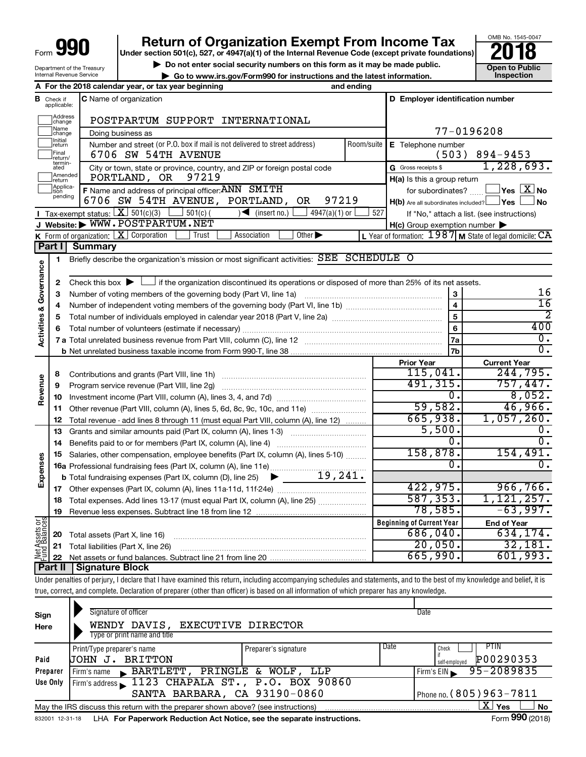Internal Revenue Service

# **990 IDEAT THE STRANGE STRANGE STRANGE STRANGE STRANGE STRANGE STRANGE STRANGE STRANGE STRANGE STRANGE STRANGE STRANGE STRANGE STRANGE STRANGE STRANGE STRANGE STRANGE STRANGE STRANGE STRANGE STRANGE STRANGE STRANGE STRAN**

▶ Do not enter social security numbers on this form as it may be made public. <br>**● Go to www.irs.gov/Form990 for instructions and the latest information.** Inspection

OMB No. 1545-0047

Department of the Treasury **| Go to www.irs.gov/Form990 for instructions and the latest information. Inspection**

|                                                                                                             |                               | A For the 2018 calendar year, or tax year beginning                                                                                                     | and ending              |                                                     |                                                             |
|-------------------------------------------------------------------------------------------------------------|-------------------------------|---------------------------------------------------------------------------------------------------------------------------------------------------------|-------------------------|-----------------------------------------------------|-------------------------------------------------------------|
|                                                                                                             | <b>B</b> Check if applicable: | <b>C</b> Name of organization                                                                                                                           |                         | D Employer identification number                    |                                                             |
|                                                                                                             | Address<br>change             | POSTPARTUM SUPPORT INTERNATIONAL                                                                                                                        |                         |                                                     |                                                             |
|                                                                                                             | Name<br>change                | Doing business as                                                                                                                                       |                         |                                                     | 77-0196208                                                  |
|                                                                                                             | Initial<br>return             | Number and street (or P.O. box if mail is not delivered to street address)                                                                              | Room/suite              | E Telephone number                                  |                                                             |
|                                                                                                             | Final<br>return/              | 6706 SW 54TH AVENUE                                                                                                                                     |                         |                                                     | $(503)$ 894-9453                                            |
|                                                                                                             | termin-<br>ated               | City or town, state or province, country, and ZIP or foreign postal code                                                                                |                         | G Gross receipts \$                                 | 1,228,693.                                                  |
|                                                                                                             | Amended<br>return             | 97219<br>PORTLAND, OR                                                                                                                                   |                         | $H(a)$ is this a group return                       |                                                             |
|                                                                                                             | Applica-<br>tion<br>pending   | F Name and address of principal officer: ANN SMITH                                                                                                      |                         | for subordinates?                                   | $\exists$ Yes $\boxed{\text{X}}$ No                         |
|                                                                                                             |                               | 97219<br>6706 SW 54TH AVENUE, PORTLAND,<br>OR.                                                                                                          |                         | $H(b)$ Are all subordinates included? $\Box$ Yes    | l No                                                        |
|                                                                                                             |                               | Tax-exempt status: $X \overline{301(c)(3)}$<br>$\sqrt{\phantom{a}}$ (insert no.)<br>4947(a)(1) or<br>$-$ 501(c) (                                       | 527                     |                                                     | If "No," attach a list. (see instructions)                  |
|                                                                                                             |                               | J Website: WWW.POSTPARTUM.NET                                                                                                                           |                         | $H(c)$ Group exemption number $\blacktriangleright$ |                                                             |
|                                                                                                             |                               | K Form of organization: $X$ Corporation<br>Trust<br>Other $\blacktriangleright$<br>Association                                                          |                         |                                                     | L Year of formation: $1987$ M State of legal domicile: $CA$ |
|                                                                                                             |                               | <b>Summary</b>                                                                                                                                          |                         |                                                     |                                                             |
|                                                                                                             | 1                             | Briefly describe the organization's mission or most significant activities: $\overline{\text{SEE}}$                                                     | <b>SCHEDULE O</b>       |                                                     |                                                             |
|                                                                                                             |                               |                                                                                                                                                         |                         |                                                     |                                                             |
|                                                                                                             | 2                             | $\perp$ if the organization discontinued its operations or disposed of more than 25% of its net assets.<br>Check this box $\blacktriangleright$ $\perp$ |                         |                                                     | 16                                                          |
|                                                                                                             |                               | Number of voting members of the governing body (Part VI, line 1a)                                                                                       |                         | $\mathbf{3}$                                        | $\overline{16}$                                             |
| <b>Activities &amp;</b>                                                                                     |                               |                                                                                                                                                         | $\overline{\mathbf{4}}$ | 2                                                   |                                                             |
|                                                                                                             |                               |                                                                                                                                                         | 5                       | 400                                                 |                                                             |
|                                                                                                             |                               |                                                                                                                                                         |                         | $6\phantom{a}$                                      | 0.                                                          |
|                                                                                                             |                               |                                                                                                                                                         |                         | 7a<br>7b                                            | $\overline{0}$ .                                            |
|                                                                                                             |                               |                                                                                                                                                         |                         | <b>Prior Year</b>                                   | <b>Current Year</b>                                         |
|                                                                                                             |                               | Contributions and grants (Part VIII, line 1h)                                                                                                           |                         | 115,041.                                            | 244,795.                                                    |
|                                                                                                             |                               | Program service revenue (Part VIII, line 2g)                                                                                                            |                         | 491,315.                                            | 757,447.                                                    |
|                                                                                                             | 10                            |                                                                                                                                                         |                         | 0.                                                  | 8,052.                                                      |
|                                                                                                             | 11                            | Other revenue (Part VIII, column (A), lines 5, 6d, 8c, 9c, 10c, and 11e)                                                                                |                         | 59,582.                                             | 46,966.                                                     |
|                                                                                                             | 12                            | Total revenue - add lines 8 through 11 (must equal Part VIII, column (A), line 12)                                                                      |                         | 665,938.                                            | 1,057,260.                                                  |
|                                                                                                             | 13                            | Grants and similar amounts paid (Part IX, column (A), lines 1-3)                                                                                        |                         | 5,500.                                              | 0.                                                          |
| Part I<br>Governance<br>3<br>4<br>5<br>6<br>8<br>Revenue<br>9<br>Expenses<br>Net Assets or<br>Fund Balances | 14                            | Benefits paid to or for members (Part IX, column (A), line 4)                                                                                           |                         | Ο.                                                  | σ.                                                          |
|                                                                                                             | 15                            | Salaries, other compensation, employee benefits (Part IX, column (A), lines 5-10)                                                                       |                         | 158,878.                                            | 154,491.                                                    |
|                                                                                                             |                               |                                                                                                                                                         |                         | $\overline{0}$ .                                    | $\overline{0}$ .                                            |
|                                                                                                             |                               |                                                                                                                                                         |                         |                                                     |                                                             |
|                                                                                                             | 17                            |                                                                                                                                                         |                         | 422,975.                                            | 966,766.                                                    |
|                                                                                                             | 18                            | Total expenses. Add lines 13-17 (must equal Part IX, column (A), line 25)                                                                               |                         | 587, 353.                                           | 1,121,257.                                                  |
|                                                                                                             | 19                            |                                                                                                                                                         |                         | 78,585.                                             | $-63,997.$                                                  |
|                                                                                                             |                               |                                                                                                                                                         |                         | <b>Beginning of Current Year</b>                    | <b>End of Year</b>                                          |
|                                                                                                             | 20                            | Total assets (Part X, line 16)                                                                                                                          |                         | 686,040.                                            | 634,174.                                                    |
|                                                                                                             | 21                            | Total liabilities (Part X, line 26)                                                                                                                     |                         | 20,050.                                             | 32,181.                                                     |
|                                                                                                             | 22                            |                                                                                                                                                         |                         | 665,990.                                            | 601,993.                                                    |
|                                                                                                             | Part II                       | <b>Signature Block</b>                                                                                                                                  |                         |                                                     |                                                             |

Under penalties of perjury, I declare that I have examined this return, including accompanying schedules and statements, and to the best of my knowledge and belief, it is true, correct, and complete. Declaration of preparer (other than officer) is based on all information of which preparer has any knowledge.

| Sign<br>Here    | Signature of officer<br>WENDY DAVIS, EXECUTIVE DIRECTOR<br>Type or print name and title |                      |      | Date                                               |
|-----------------|-----------------------------------------------------------------------------------------|----------------------|------|----------------------------------------------------|
| Paid            | Print/Type preparer's name<br>BRITTON<br>UOHN J.                                        | Preparer's signature | Date | <b>PTIN</b><br>Check<br>P00290353<br>self-emploved |
| Preparer        | BARTLETT, PRINGLE & WOLF, LLP<br>Firm's name                                            |                      |      | 95-2089835<br>Firm's EIN                           |
| Use Only        | Firm's address 1123 CHAPALA ST., P.O. BOX 90860                                         |                      |      |                                                    |
|                 | SANTA BARBARA, CA 93190-0860                                                            |                      |      | Phone no. (805) 963-7811                           |
|                 | May the IRS discuss this return with the preparer shown above? (see instructions)       |                      |      | x<br>Yes<br><b>No</b>                              |
| 832001 12-31-18 | LHA For Paperwork Reduction Act Notice, see the separate instructions.                  |                      |      | Form 990 (2018)                                    |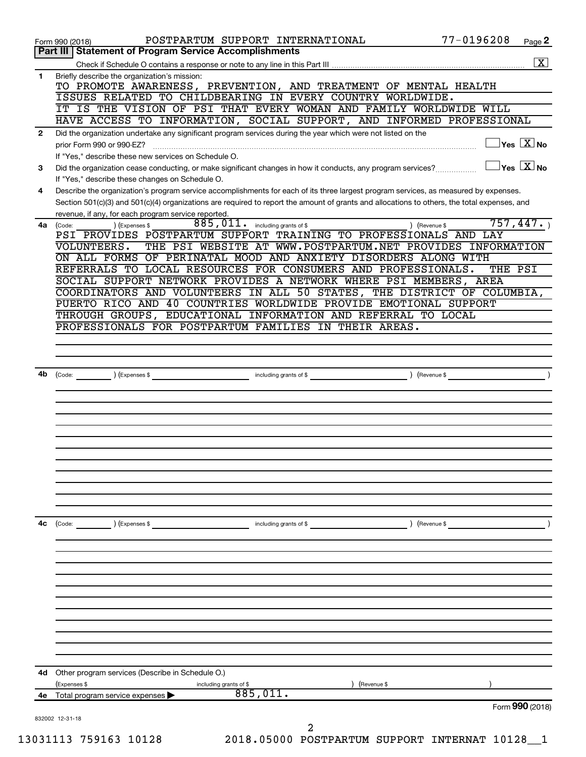|              | POSTPARTUM SUPPORT INTERNATIONAL<br>Form 990 (2018)                                                                                                                                                 | 77-0196208                           | Page 2                  |
|--------------|-----------------------------------------------------------------------------------------------------------------------------------------------------------------------------------------------------|--------------------------------------|-------------------------|
|              | Part III   Statement of Program Service Accomplishments                                                                                                                                             |                                      |                         |
|              |                                                                                                                                                                                                     |                                      | $\overline{\mathbf{X}}$ |
| 1            | Briefly describe the organization's mission:<br>TO PROMOTE AWARENESS, PREVENTION, AND TREATMENT OF MENTAL HEALTH                                                                                    |                                      |                         |
|              | ISSUES RELATED TO CHILDBEARING IN EVERY COUNTRY WORLDWIDE.                                                                                                                                          |                                      |                         |
|              | IT IS THE VISION OF PSI THAT EVERY WOMAN AND FAMILY WORLDWIDE WILL                                                                                                                                  |                                      |                         |
|              | HAVE ACCESS TO INFORMATION, SOCIAL SUPPORT, AND INFORMED PROFESSIONAL                                                                                                                               |                                      |                         |
| $\mathbf{2}$ | Did the organization undertake any significant program services during the year which were not listed on the<br>prior Form 990 or 990-EZ?                                                           | $\sqrt{\mathsf{Yes}\ \mathbf{X}}$ No |                         |
|              | If "Yes," describe these new services on Schedule O.                                                                                                                                                |                                      |                         |
| З            | Did the organization cease conducting, or make significant changes in how it conducts, any program services?<br>If "Yes," describe these changes on Schedule O.                                     | $\gamma$ es $\boxed{\text{X}}$ No    |                         |
| 4            | Describe the organization's program service accomplishments for each of its three largest program services, as measured by expenses.                                                                |                                      |                         |
|              | Section 501(c)(3) and 501(c)(4) organizations are required to report the amount of grants and allocations to others, the total expenses, and<br>revenue, if any, for each program service reported. |                                      |                         |
| 4a l         | 885,011.<br>including grants of \$<br>) (Expenses \$<br>(Code:                                                                                                                                      | 757,447.<br>) (Revenue \$            |                         |
|              | PSI PROVIDES POSTPARTUM SUPPORT TRAINING TO PROFESSIONALS AND LAY                                                                                                                                   |                                      |                         |
|              | THE PSI WEBSITE AT WWW.POSTPARTUM.NET PROVIDES INFORMATION<br>VOLUNTEERS.                                                                                                                           |                                      |                         |
|              | ON ALL FORMS OF PERINATAL MOOD AND ANXIETY DISORDERS ALONG WITH                                                                                                                                     |                                      |                         |
|              | REFERRALS TO LOCAL RESOURCES FOR CONSUMERS AND PROFESSIONALS.                                                                                                                                       | THE PSI                              |                         |
|              | SOCIAL SUPPORT NETWORK PROVIDES A NETWORK WHERE PSI MEMBERS, AREA                                                                                                                                   |                                      |                         |
|              | COORDINATORS AND VOLUNTEERS IN ALL 50 STATES, THE DISTRICT OF COLUMBIA,                                                                                                                             |                                      |                         |
|              | PUERTO RICO AND 40 COUNTRIES WORLDWIDE PROVIDE EMOTIONAL SUPPORT                                                                                                                                    |                                      |                         |
|              | THROUGH GROUPS, EDUCATIONAL INFORMATION AND REFERRAL TO LOCAL                                                                                                                                       |                                      |                         |
|              | PROFESSIONALS FOR POSTPARTUM FAMILIES IN THEIR AREAS.                                                                                                                                               |                                      |                         |
|              |                                                                                                                                                                                                     |                                      |                         |
|              |                                                                                                                                                                                                     |                                      |                         |
|              |                                                                                                                                                                                                     |                                      |                         |
| 4b           | (Expenses \$<br>including grants of \$<br>(Code:                                                                                                                                                    | (Revenue \$                          |                         |
|              |                                                                                                                                                                                                     |                                      |                         |
|              |                                                                                                                                                                                                     |                                      |                         |
|              |                                                                                                                                                                                                     |                                      |                         |
|              |                                                                                                                                                                                                     |                                      |                         |
|              |                                                                                                                                                                                                     |                                      |                         |
|              |                                                                                                                                                                                                     |                                      |                         |
|              |                                                                                                                                                                                                     |                                      |                         |
|              |                                                                                                                                                                                                     |                                      |                         |
|              |                                                                                                                                                                                                     |                                      |                         |
|              |                                                                                                                                                                                                     |                                      |                         |
|              |                                                                                                                                                                                                     |                                      |                         |
|              |                                                                                                                                                                                                     |                                      |                         |
|              |                                                                                                                                                                                                     |                                      |                         |
| 4c           | (Code:<br>(Expenses \$<br>including grants of \$                                                                                                                                                    | (Revenue \$                          |                         |
|              |                                                                                                                                                                                                     |                                      |                         |
|              |                                                                                                                                                                                                     |                                      |                         |
|              |                                                                                                                                                                                                     |                                      |                         |
|              |                                                                                                                                                                                                     |                                      |                         |
|              |                                                                                                                                                                                                     |                                      |                         |
|              |                                                                                                                                                                                                     |                                      |                         |
|              |                                                                                                                                                                                                     |                                      |                         |
|              |                                                                                                                                                                                                     |                                      |                         |
|              |                                                                                                                                                                                                     |                                      |                         |
|              |                                                                                                                                                                                                     |                                      |                         |
|              |                                                                                                                                                                                                     |                                      |                         |
|              |                                                                                                                                                                                                     |                                      |                         |
| 4d           | Other program services (Describe in Schedule O.)                                                                                                                                                    |                                      |                         |
|              | (Expenses \$<br>including grants of \$<br>(Revenue \$                                                                                                                                               |                                      |                         |
| 4е           | 885,011.<br>Total program service expenses                                                                                                                                                          |                                      |                         |
|              |                                                                                                                                                                                                     | Form 990 (2018)                      |                         |
|              | 832002 12-31-18                                                                                                                                                                                     |                                      |                         |
|              | 2                                                                                                                                                                                                   |                                      |                         |
|              | 2018.05000 POSTPARTUM SUPPORT INTERNAT 10128_1<br>13031113 759163 10128                                                                                                                             |                                      |                         |
|              |                                                                                                                                                                                                     |                                      |                         |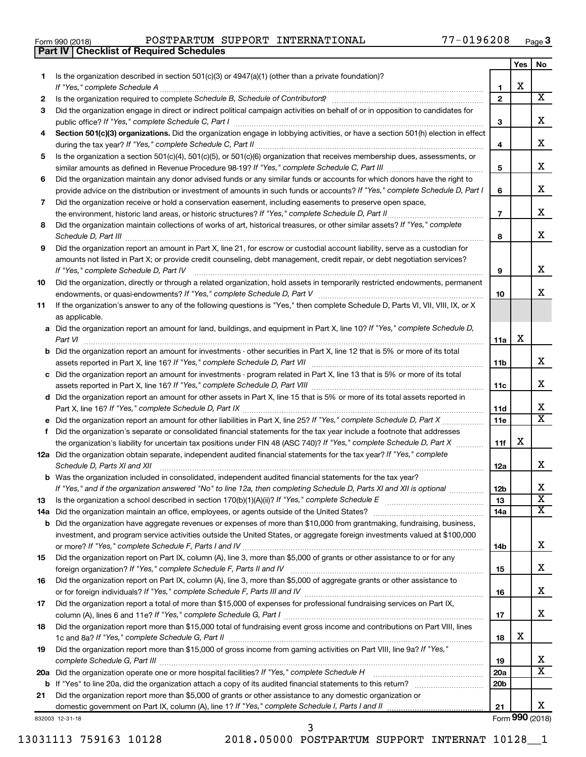| Form 990 (2018) |  |  |
|-----------------|--|--|

**Part IV Checklist of Required Schedules**

Form 990 (2018) POSTPARTUM SUPPORT INTERNATIONAL 77-0196208 <sub>Page</sub>

|    |                                                                                                                                                                                                                                                                |                 | Yes | No                      |
|----|----------------------------------------------------------------------------------------------------------------------------------------------------------------------------------------------------------------------------------------------------------------|-----------------|-----|-------------------------|
| 1  | Is the organization described in section $501(c)(3)$ or $4947(a)(1)$ (other than a private foundation)?                                                                                                                                                        |                 |     |                         |
|    | If "Yes," complete Schedule A                                                                                                                                                                                                                                  | 1               | Х   |                         |
| 2  |                                                                                                                                                                                                                                                                | $\mathbf{2}$    |     | $\overline{\mathbf{X}}$ |
| З  | Did the organization engage in direct or indirect political campaign activities on behalf of or in opposition to candidates for                                                                                                                                |                 |     |                         |
|    |                                                                                                                                                                                                                                                                | 3               |     | х                       |
| 4  | Section 501(c)(3) organizations. Did the organization engage in lobbying activities, or have a section 501(h) election in effect                                                                                                                               |                 |     |                         |
|    |                                                                                                                                                                                                                                                                | 4               |     | х                       |
| 5  | Is the organization a section 501(c)(4), 501(c)(5), or 501(c)(6) organization that receives membership dues, assessments, or                                                                                                                                   |                 |     |                         |
|    |                                                                                                                                                                                                                                                                | 5               |     | х                       |
| 6  | Did the organization maintain any donor advised funds or any similar funds or accounts for which donors have the right to                                                                                                                                      |                 |     |                         |
|    | provide advice on the distribution or investment of amounts in such funds or accounts? If "Yes," complete Schedule D, Part I                                                                                                                                   | 6               |     | x                       |
| 7  | Did the organization receive or hold a conservation easement, including easements to preserve open space,                                                                                                                                                      |                 |     |                         |
|    | the environment, historic land areas, or historic structures? If "Yes," complete Schedule D, Part II                                                                                                                                                           | $\overline{7}$  |     | x                       |
| 8  | Did the organization maintain collections of works of art, historical treasures, or other similar assets? If "Yes," complete                                                                                                                                   |                 |     |                         |
|    |                                                                                                                                                                                                                                                                | 8               |     | x                       |
| 9  | Did the organization report an amount in Part X, line 21, for escrow or custodial account liability, serve as a custodian for                                                                                                                                  |                 |     |                         |
|    | amounts not listed in Part X; or provide credit counseling, debt management, credit repair, or debt negotiation services?                                                                                                                                      |                 |     |                         |
|    | If "Yes," complete Schedule D, Part IV                                                                                                                                                                                                                         | 9               |     | x                       |
| 10 | Did the organization, directly or through a related organization, hold assets in temporarily restricted endowments, permanent                                                                                                                                  |                 |     |                         |
|    |                                                                                                                                                                                                                                                                | 10              |     | x                       |
| 11 | If the organization's answer to any of the following questions is "Yes," then complete Schedule D, Parts VI, VII, VIII, IX, or X                                                                                                                               |                 |     |                         |
|    | as applicable.                                                                                                                                                                                                                                                 |                 |     |                         |
|    | a Did the organization report an amount for land, buildings, and equipment in Part X, line 10? If "Yes," complete Schedule D,                                                                                                                                  |                 |     |                         |
|    | Part VI                                                                                                                                                                                                                                                        | 11a             | х   |                         |
|    | <b>b</b> Did the organization report an amount for investments - other securities in Part X, line 12 that is 5% or more of its total                                                                                                                           |                 |     |                         |
|    |                                                                                                                                                                                                                                                                | 11b             |     | х                       |
|    | c Did the organization report an amount for investments - program related in Part X, line 13 that is 5% or more of its total                                                                                                                                   |                 |     |                         |
|    |                                                                                                                                                                                                                                                                | 11c             |     | x                       |
|    | d Did the organization report an amount for other assets in Part X, line 15 that is 5% or more of its total assets reported in                                                                                                                                 |                 |     |                         |
|    |                                                                                                                                                                                                                                                                | 11d             |     | x<br>X                  |
|    |                                                                                                                                                                                                                                                                | 11e             |     |                         |
| f  | Did the organization's separate or consolidated financial statements for the tax year include a footnote that addresses                                                                                                                                        |                 |     |                         |
|    | the organization's liability for uncertain tax positions under FIN 48 (ASC 740)? If "Yes," complete Schedule D, Part X                                                                                                                                         | 11f             | х   |                         |
|    | 12a Did the organization obtain separate, independent audited financial statements for the tax year? If "Yes," complete                                                                                                                                        |                 |     | x                       |
|    | Schedule D, Parts XI and XII                                                                                                                                                                                                                                   | 12a             |     |                         |
|    | <b>b</b> Was the organization included in consolidated, independent audited financial statements for the tax year?                                                                                                                                             |                 |     | Χ                       |
|    | If "Yes," and if the organization answered "No" to line 12a, then completing Schedule D, Parts XI and XII is optional                                                                                                                                          | 12 <sub>b</sub> |     | $\overline{\texttt{x}}$ |
| 13 |                                                                                                                                                                                                                                                                | 13              |     | x                       |
|    | 14a Did the organization maintain an office, employees, or agents outside of the United States?                                                                                                                                                                | 14a             |     |                         |
|    | <b>b</b> Did the organization have aggregate revenues or expenses of more than \$10,000 from grantmaking, fundraising, business,<br>investment, and program service activities outside the United States, or aggregate foreign investments valued at \$100,000 |                 |     |                         |
|    |                                                                                                                                                                                                                                                                | 14b             |     | х                       |
| 15 | Did the organization report on Part IX, column (A), line 3, more than \$5,000 of grants or other assistance to or for any                                                                                                                                      |                 |     |                         |
|    |                                                                                                                                                                                                                                                                | 15              |     | x                       |
| 16 | Did the organization report on Part IX, column (A), line 3, more than \$5,000 of aggregate grants or other assistance to                                                                                                                                       |                 |     |                         |
|    |                                                                                                                                                                                                                                                                | 16              |     | x                       |
| 17 | Did the organization report a total of more than \$15,000 of expenses for professional fundraising services on Part IX,                                                                                                                                        |                 |     |                         |
|    |                                                                                                                                                                                                                                                                | 17              |     | x.                      |
| 18 | Did the organization report more than \$15,000 total of fundraising event gross income and contributions on Part VIII, lines                                                                                                                                   |                 |     |                         |
|    |                                                                                                                                                                                                                                                                | 18              | х   |                         |
| 19 | Did the organization report more than \$15,000 of gross income from gaming activities on Part VIII, line 9a? If "Yes,"                                                                                                                                         |                 |     |                         |
|    | complete Schedule G, Part III                                                                                                                                                                                                                                  | 19              |     | x                       |
|    | 20a Did the organization operate one or more hospital facilities? If "Yes," complete Schedule H                                                                                                                                                                | 20a             |     | $\overline{\text{X}}$   |
|    |                                                                                                                                                                                                                                                                | 20 <sub>b</sub> |     |                         |
| 21 | Did the organization report more than \$5,000 of grants or other assistance to any domestic organization or                                                                                                                                                    |                 |     |                         |
|    |                                                                                                                                                                                                                                                                | 21              |     | x                       |
|    | 832003 12-31-18                                                                                                                                                                                                                                                |                 |     | Form 990 (2018)         |

3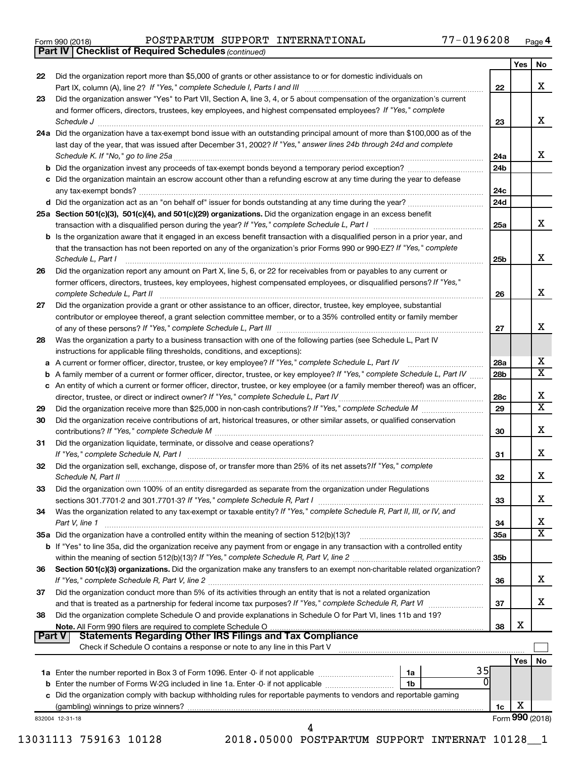|  | Form 990 (2018) |  |
|--|-----------------|--|
|  |                 |  |

*(continued)* **Part IV Checklist of Required Schedules**

Form 990 (2018) POSTPARTUM SUPPORT INTERNATIONAL 77-0196208 <sub>Page</sub>

|        |                                                                                                                                   |                 | Yes | No                      |
|--------|-----------------------------------------------------------------------------------------------------------------------------------|-----------------|-----|-------------------------|
| 22     | Did the organization report more than \$5,000 of grants or other assistance to or for domestic individuals on                     |                 |     |                         |
|        |                                                                                                                                   | 22              |     | x                       |
| 23     | Did the organization answer "Yes" to Part VII, Section A, line 3, 4, or 5 about compensation of the organization's current        |                 |     |                         |
|        | and former officers, directors, trustees, key employees, and highest compensated employees? If "Yes," complete                    |                 |     |                         |
|        | Schedule J <b>www.communications.communications.communications</b> .com                                                           | 23              |     | x                       |
|        | 24a Did the organization have a tax-exempt bond issue with an outstanding principal amount of more than \$100,000 as of the       |                 |     |                         |
|        | last day of the year, that was issued after December 31, 2002? If "Yes," answer lines 24b through 24d and complete                |                 |     |                         |
|        | Schedule K. If "No," go to line 25a                                                                                               | 24a             |     | x                       |
|        |                                                                                                                                   | 24 <sub>b</sub> |     |                         |
|        | c Did the organization maintain an escrow account other than a refunding escrow at any time during the year to defease            |                 |     |                         |
|        |                                                                                                                                   | 24c             |     |                         |
|        |                                                                                                                                   | 24d             |     |                         |
|        | 25a Section 501(c)(3), 501(c)(4), and 501(c)(29) organizations. Did the organization engage in an excess benefit                  |                 |     |                         |
|        |                                                                                                                                   | 25a             |     | x                       |
|        | b Is the organization aware that it engaged in an excess benefit transaction with a disqualified person in a prior year, and      |                 |     |                         |
|        | that the transaction has not been reported on any of the organization's prior Forms 990 or 990-EZ? If "Yes," complete             |                 |     |                         |
|        | Schedule L, Part I                                                                                                                | 25b             |     | х                       |
| 26     | Did the organization report any amount on Part X, line 5, 6, or 22 for receivables from or payables to any current or             |                 |     |                         |
|        | former officers, directors, trustees, key employees, highest compensated employees, or disqualified persons? If "Yes,"            |                 |     | х                       |
|        | complete Schedule L, Part II                                                                                                      | 26              |     |                         |
| 27     | Did the organization provide a grant or other assistance to an officer, director, trustee, key employee, substantial              |                 |     |                         |
|        | contributor or employee thereof, a grant selection committee member, or to a 35% controlled entity or family member               | 27              |     | x                       |
| 28     | Was the organization a party to a business transaction with one of the following parties (see Schedule L, Part IV                 |                 |     |                         |
|        | instructions for applicable filing thresholds, conditions, and exceptions):                                                       |                 |     |                         |
|        | a A current or former officer, director, trustee, or key employee? If "Yes," complete Schedule L, Part IV                         | 28a             |     | х                       |
| b      | A family member of a current or former officer, director, trustee, or key employee? If "Yes," complete Schedule L, Part IV        | 28 <sub>b</sub> |     | $\overline{\texttt{x}}$ |
|        | c An entity of which a current or former officer, director, trustee, or key employee (or a family member thereof) was an officer, |                 |     |                         |
|        |                                                                                                                                   | 28c             |     | х                       |
| 29     |                                                                                                                                   | 29              |     | $\overline{\textbf{X}}$ |
| 30     | Did the organization receive contributions of art, historical treasures, or other similar assets, or qualified conservation       |                 |     |                         |
|        |                                                                                                                                   | 30              |     | х                       |
| 31     | Did the organization liquidate, terminate, or dissolve and cease operations?                                                      |                 |     |                         |
|        | If "Yes," complete Schedule N, Part I                                                                                             | 31              |     | х                       |
| 32     | Did the organization sell, exchange, dispose of, or transfer more than 25% of its net assets? If "Yes," complete                  |                 |     |                         |
|        | Schedule N, Part II                                                                                                               | 32              |     | х                       |
| 33     | Did the organization own 100% of an entity disregarded as separate from the organization under Regulations                        |                 |     |                         |
|        |                                                                                                                                   | 33              |     | х                       |
| 34     | Was the organization related to any tax-exempt or taxable entity? If "Yes," complete Schedule R, Part II, III, or IV, and         |                 |     |                         |
|        | Part V, line 1                                                                                                                    | 34              |     | х                       |
|        |                                                                                                                                   | 35a             |     | $\overline{\textbf{X}}$ |
|        | b If "Yes" to line 35a, did the organization receive any payment from or engage in any transaction with a controlled entity       |                 |     |                         |
|        |                                                                                                                                   | 35 <sub>b</sub> |     |                         |
| 36     | Section 501(c)(3) organizations. Did the organization make any transfers to an exempt non-charitable related organization?        |                 |     |                         |
|        |                                                                                                                                   | 36              |     | х                       |
| 37     | Did the organization conduct more than 5% of its activities through an entity that is not a related organization                  |                 |     | x                       |
|        | and that is treated as a partnership for federal income tax purposes? If "Yes," complete Schedule R, Part VI                      | 37              |     |                         |
| 38     | Did the organization complete Schedule O and provide explanations in Schedule O for Part VI, lines 11b and 19?                    | 38              | х   |                         |
| Part V | <b>Statements Regarding Other IRS Filings and Tax Compliance</b>                                                                  |                 |     |                         |
|        | Check if Schedule O contains a response or note to any line in this Part V                                                        |                 |     |                         |
|        |                                                                                                                                   |                 | Yes | No                      |
|        | 35<br>1a                                                                                                                          |                 |     |                         |
|        | 0<br>1b                                                                                                                           |                 |     |                         |
|        | c Did the organization comply with backup withholding rules for reportable payments to vendors and reportable gaming              |                 |     |                         |
|        |                                                                                                                                   | 1c              | х   |                         |
|        | 832004 12-31-18                                                                                                                   |                 |     | Form 990 (2018)         |
|        | 4                                                                                                                                 |                 |     |                         |

13031113 759163 10128 2018.05000 POSTPARTUM SUPPORT INTERNAT 10128\_\_1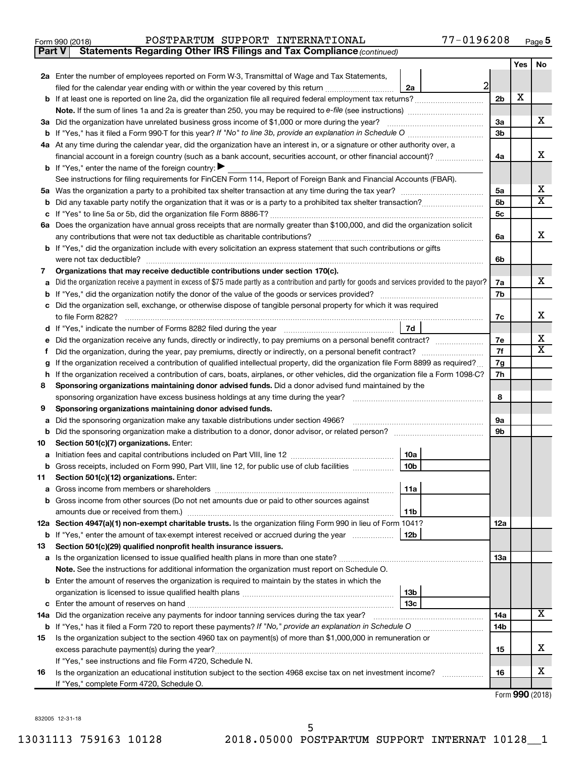| Form 990 (2018) | POSTPARTUM SUPPORT INTERNATIONAL | $77 - 0196208$<br>Page |
|-----------------|----------------------------------|------------------------|
|-----------------|----------------------------------|------------------------|

**Part V Statements Regarding Other IRS Filings and Tax Compliance**

*(continued)*

|         |                                                                                                                                                                                                      |                      | Yes | No                      |
|---------|------------------------------------------------------------------------------------------------------------------------------------------------------------------------------------------------------|----------------------|-----|-------------------------|
|         | 2a Enter the number of employees reported on Form W-3, Transmittal of Wage and Tax Statements,                                                                                                       |                      |     |                         |
|         | $\overline{2}$<br>filed for the calendar year ending with or within the year covered by this return<br>2a                                                                                            |                      |     |                         |
|         |                                                                                                                                                                                                      | 2 <sub>b</sub>       | Х   |                         |
|         |                                                                                                                                                                                                      |                      |     |                         |
|         | 3a Did the organization have unrelated business gross income of \$1,000 or more during the year?                                                                                                     | За                   |     | X.                      |
|         | <b>b</b> If "Yes," has it filed a Form 990-T for this year? If "No" to line 3b, provide an explanation in Schedule O manumum                                                                         | 3b                   |     |                         |
|         | 4a At any time during the calendar year, did the organization have an interest in, or a signature or other authority over, a                                                                         |                      |     |                         |
|         | financial account in a foreign country (such as a bank account, securities account, or other financial account)?                                                                                     | 4a                   |     | x                       |
|         | <b>b</b> If "Yes," enter the name of the foreign country:                                                                                                                                            |                      |     |                         |
|         | See instructions for filing requirements for FinCEN Form 114, Report of Foreign Bank and Financial Accounts (FBAR).                                                                                  |                      |     | х                       |
|         |                                                                                                                                                                                                      | 5a                   |     | $\overline{\mathbf{X}}$ |
| b       |                                                                                                                                                                                                      | 5b<br>5 <sub>c</sub> |     |                         |
|         | 6a Does the organization have annual gross receipts that are normally greater than \$100,000, and did the organization solicit                                                                       |                      |     |                         |
|         | any contributions that were not tax deductible as charitable contributions?                                                                                                                          | 6a                   |     | x                       |
|         | b If "Yes," did the organization include with every solicitation an express statement that such contributions or gifts                                                                               |                      |     |                         |
|         | were not tax deductible?                                                                                                                                                                             | 6b                   |     |                         |
| 7       | Organizations that may receive deductible contributions under section 170(c).                                                                                                                        |                      |     |                         |
|         | Did the organization receive a payment in excess of \$75 made partly as a contribution and partly for goods and services provided to the payor?                                                      | 7a                   |     | X.                      |
| b       |                                                                                                                                                                                                      | 7b                   |     |                         |
|         | Did the organization sell, exchange, or otherwise dispose of tangible personal property for which it was required                                                                                    |                      |     |                         |
|         | to file Form 8282?                                                                                                                                                                                   | 7c                   |     | x                       |
| d       | 7d                                                                                                                                                                                                   |                      |     |                         |
|         | Did the organization receive any funds, directly or indirectly, to pay premiums on a personal benefit contract?                                                                                      | 7e                   |     | x                       |
|         |                                                                                                                                                                                                      | 7f                   |     | $\overline{\mathbf{X}}$ |
| g       | If the organization received a contribution of qualified intellectual property, did the organization file Form 8899 as required?                                                                     | 7g                   |     |                         |
| h.      | If the organization received a contribution of cars, boats, airplanes, or other vehicles, did the organization file a Form 1098-C?                                                                   | 7h                   |     |                         |
| 8       | Sponsoring organizations maintaining donor advised funds. Did a donor advised fund maintained by the                                                                                                 |                      |     |                         |
|         | sponsoring organization have excess business holdings at any time during the year?<br>and a series of the contract of the contract of the contract of the contract of the contract of the contract o | 8                    |     |                         |
| 9       | Sponsoring organizations maintaining donor advised funds.                                                                                                                                            |                      |     |                         |
| a       | Did the sponsoring organization make any taxable distributions under section 4966?                                                                                                                   | 9а<br>9b             |     |                         |
| b<br>10 | Section 501(c)(7) organizations. Enter:                                                                                                                                                              |                      |     |                         |
| а       | 10a                                                                                                                                                                                                  |                      |     |                         |
| b       | 10 <sub>b</sub><br>Gross receipts, included on Form 990, Part VIII, line 12, for public use of club facilities                                                                                       |                      |     |                         |
| 11      | Section 501(c)(12) organizations. Enter:                                                                                                                                                             |                      |     |                         |
|         | 11a                                                                                                                                                                                                  |                      |     |                         |
|         | <b>b</b> Gross income from other sources (Do not net amounts due or paid to other sources against                                                                                                    |                      |     |                         |
|         | amounts due or received from them.)<br>11b                                                                                                                                                           |                      |     |                         |
|         | 12a Section 4947(a)(1) non-exempt charitable trusts. Is the organization filing Form 990 in lieu of Form 1041?                                                                                       | 12a                  |     |                         |
|         | <b>b</b> If "Yes," enter the amount of tax-exempt interest received or accrued during the year<br>12b                                                                                                |                      |     |                         |
| 13      | Section 501(c)(29) qualified nonprofit health insurance issuers.                                                                                                                                     |                      |     |                         |
|         | <b>a</b> Is the organization licensed to issue qualified health plans in more than one state?                                                                                                        | 1За                  |     |                         |
|         | Note. See the instructions for additional information the organization must report on Schedule O.                                                                                                    |                      |     |                         |
|         | <b>b</b> Enter the amount of reserves the organization is required to maintain by the states in which the                                                                                            |                      |     |                         |
|         | 13 <sub>b</sub>                                                                                                                                                                                      |                      |     |                         |
| c       | 13с                                                                                                                                                                                                  |                      |     | х                       |
|         | 14a Did the organization receive any payments for indoor tanning services during the tax year?                                                                                                       | 14a                  |     |                         |
|         |                                                                                                                                                                                                      | 14b                  |     |                         |
| 15      | Is the organization subject to the section 4960 tax on payment(s) of more than \$1,000,000 in remuneration or<br>excess parachute payment(s) during the year?                                        | 15                   |     | x                       |
|         | If "Yes," see instructions and file Form 4720, Schedule N.                                                                                                                                           |                      |     |                         |
| 16      | Is the organization an educational institution subject to the section 4968 excise tax on net investment income?                                                                                      | 16                   |     | х                       |
|         | If "Yes," complete Form 4720, Schedule O.                                                                                                                                                            |                      |     |                         |

Form (2018) **990**

832005 12-31-18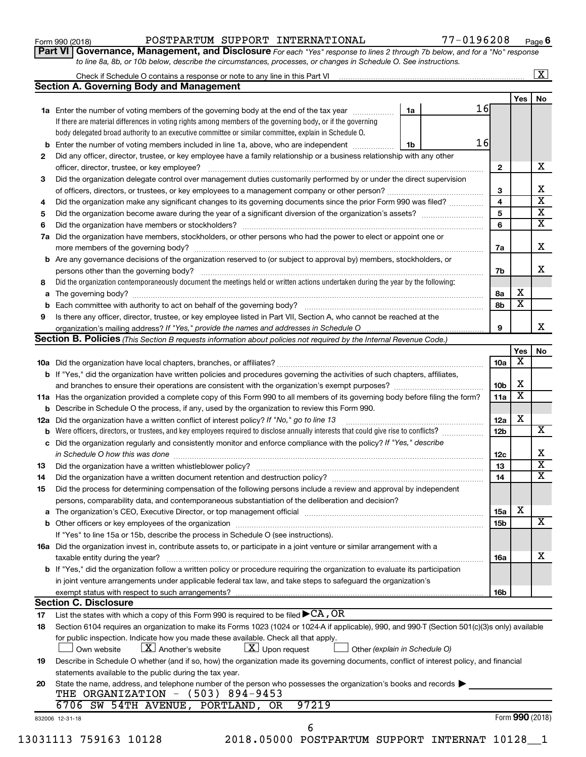|  | Form 990 (2018) |  |
|--|-----------------|--|
|  |                 |  |

#### Form 990 (2018) POSTPARTUM SUPPORT INTERNATIONAL 77-0196208 <sub>Page</sub>

**Part VI** Governance, Management, and Disclosure For each "Yes" response to lines 2 through 7b below, and for a "No" response *to line 8a, 8b, or 10b below, describe the circumstances, processes, or changes in Schedule O. See instructions.*

|     | Check if Schedule O contains a response or note to any line in this Part VI [11] [12] [12] [13] [13] Check if Schedule O contains a response or note to any line in this Part VI |    |    |                 |                         | $\mathbf{X}$            |
|-----|----------------------------------------------------------------------------------------------------------------------------------------------------------------------------------|----|----|-----------------|-------------------------|-------------------------|
|     | <b>Section A. Governing Body and Management</b>                                                                                                                                  |    |    |                 |                         |                         |
|     |                                                                                                                                                                                  |    |    |                 | Yes                     | No                      |
|     | <b>1a</b> Enter the number of voting members of the governing body at the end of the tax year                                                                                    | 1a | 16 |                 |                         |                         |
|     | If there are material differences in voting rights among members of the governing body, or if the governing                                                                      |    |    |                 |                         |                         |
|     | body delegated broad authority to an executive committee or similar committee, explain in Schedule O.                                                                            |    |    |                 |                         |                         |
| b   | Enter the number of voting members included in line 1a, above, who are independent                                                                                               | 1b | 16 |                 |                         |                         |
| 2   | Did any officer, director, trustee, or key employee have a family relationship or a business relationship with any other                                                         |    |    |                 |                         |                         |
|     | officer, director, trustee, or key employee?                                                                                                                                     |    |    | $\mathbf{2}$    |                         | х                       |
| 3   | Did the organization delegate control over management duties customarily performed by or under the direct supervision                                                            |    |    |                 |                         |                         |
|     |                                                                                                                                                                                  |    |    | 3               |                         | х                       |
| 4   | Did the organization make any significant changes to its governing documents since the prior Form 990 was filed?                                                                 |    |    | 4               |                         | $\overline{\mathbf{x}}$ |
| 5   |                                                                                                                                                                                  |    |    | 5               |                         | $\overline{\mathbf{X}}$ |
| 6   |                                                                                                                                                                                  |    |    | 6               |                         | $\overline{\mathbf{X}}$ |
| 7a  | Did the organization have members, stockholders, or other persons who had the power to elect or appoint one or                                                                   |    |    |                 |                         |                         |
|     |                                                                                                                                                                                  |    |    | 7a              |                         | X                       |
| b   | Are any governance decisions of the organization reserved to (or subject to approval by) members, stockholders, or                                                               |    |    |                 |                         |                         |
|     |                                                                                                                                                                                  |    |    | 7b              |                         | x                       |
|     | Did the organization contemporaneously document the meetings held or written actions undertaken during the year by the following:                                                |    |    |                 |                         |                         |
| 8   |                                                                                                                                                                                  |    |    |                 | х                       |                         |
| a   |                                                                                                                                                                                  |    |    | 8а              | $\overline{\textbf{x}}$ |                         |
| b   |                                                                                                                                                                                  |    |    | 8b              |                         |                         |
| 9   | Is there any officer, director, trustee, or key employee listed in Part VII, Section A, who cannot be reached at the                                                             |    |    |                 |                         |                         |
|     |                                                                                                                                                                                  |    |    | 9               |                         | х                       |
|     | <b>Section B. Policies</b> (This Section B requests information about policies not required by the Internal Revenue Code.)                                                       |    |    |                 |                         |                         |
|     |                                                                                                                                                                                  |    |    |                 | Yes<br>х                | No                      |
|     |                                                                                                                                                                                  |    |    | 10a             |                         |                         |
|     | <b>b</b> If "Yes," did the organization have written policies and procedures governing the activities of such chapters, affiliates,                                              |    |    |                 |                         |                         |
|     |                                                                                                                                                                                  |    |    | 10 <sub>b</sub> | X                       |                         |
|     | 11a Has the organization provided a complete copy of this Form 990 to all members of its governing body before filing the form?                                                  |    |    | 11a             | X                       |                         |
|     | <b>b</b> Describe in Schedule O the process, if any, used by the organization to review this Form 990.                                                                           |    |    |                 |                         |                         |
| 12a | Did the organization have a written conflict of interest policy? If "No," go to line 13                                                                                          |    |    | 12a             | X                       |                         |
| b   | Were officers, directors, or trustees, and key employees required to disclose annually interests that could give rise to conflicts?                                              |    |    | 12 <sub>b</sub> |                         | $\overline{\mathbf{x}}$ |
| с   | Did the organization regularly and consistently monitor and enforce compliance with the policy? If "Yes," describe                                                               |    |    |                 |                         |                         |
|     |                                                                                                                                                                                  |    |    | 12c             |                         | х                       |
| 13  |                                                                                                                                                                                  |    |    | 13              |                         | $\overline{\mathbf{X}}$ |
| 14  |                                                                                                                                                                                  |    |    | 14              |                         | $\overline{\mathbf{x}}$ |
| 15  | Did the process for determining compensation of the following persons include a review and approval by independent                                                               |    |    |                 |                         |                         |
|     | persons, comparability data, and contemporaneous substantiation of the deliberation and decision?                                                                                |    |    |                 |                         |                         |
| а   |                                                                                                                                                                                  |    |    | 15a             | х                       |                         |
|     |                                                                                                                                                                                  |    |    | <b>15b</b>      |                         | х                       |
|     | If "Yes" to line 15a or 15b, describe the process in Schedule O (see instructions).                                                                                              |    |    |                 |                         |                         |
|     | 16a Did the organization invest in, contribute assets to, or participate in a joint venture or similar arrangement with a                                                        |    |    |                 |                         |                         |
|     | taxable entity during the year?                                                                                                                                                  |    |    | 16a             |                         | x                       |
|     | b If "Yes," did the organization follow a written policy or procedure requiring the organization to evaluate its participation                                                   |    |    |                 |                         |                         |
|     |                                                                                                                                                                                  |    |    |                 |                         |                         |
|     | in joint venture arrangements under applicable federal tax law, and take steps to safeguard the organization's                                                                   |    |    |                 |                         |                         |
|     | exempt status with respect to such arrangements?<br><b>Section C. Disclosure</b>                                                                                                 |    |    | 16b             |                         |                         |
|     | List the states with which a copy of this Form 990 is required to be filed $\blacktriangleright$ CA, OR                                                                          |    |    |                 |                         |                         |
| 17  | Section 6104 requires an organization to make its Forms 1023 (1024 or 1024 A if applicable), 990, and 990-T (Section 501(c)(3)s only) available                                  |    |    |                 |                         |                         |
| 18  |                                                                                                                                                                                  |    |    |                 |                         |                         |
|     | for public inspection. Indicate how you made these available. Check all that apply.                                                                                              |    |    |                 |                         |                         |
|     | $\lfloor x \rfloor$ Upon request<br>$ \mathbf{X} $ Another's website<br>Own website<br>Other (explain in Schedule O)                                                             |    |    |                 |                         |                         |
| 19  | Describe in Schedule O whether (and if so, how) the organization made its governing documents, conflict of interest policy, and financial                                        |    |    |                 |                         |                         |
|     | statements available to the public during the tax year.                                                                                                                          |    |    |                 |                         |                         |
| 20  | State the name, address, and telephone number of the person who possesses the organization's books and records                                                                   |    |    |                 |                         |                         |
|     | THE ORGANIZATION - (503) 894-9453                                                                                                                                                |    |    |                 |                         |                         |
|     | 6706 SW 54TH AVENUE, PORTLAND, OR<br>97219                                                                                                                                       |    |    |                 |                         |                         |
|     | 832006 12-31-18                                                                                                                                                                  |    |    |                 | Form 990 (2018)         |                         |
|     | 6                                                                                                                                                                                |    |    |                 |                         |                         |
|     | 13031113 759163 10128<br>2018.05000 POSTPARTUM SUPPORT INTERNAT 10128                                                                                                            |    |    |                 |                         |                         |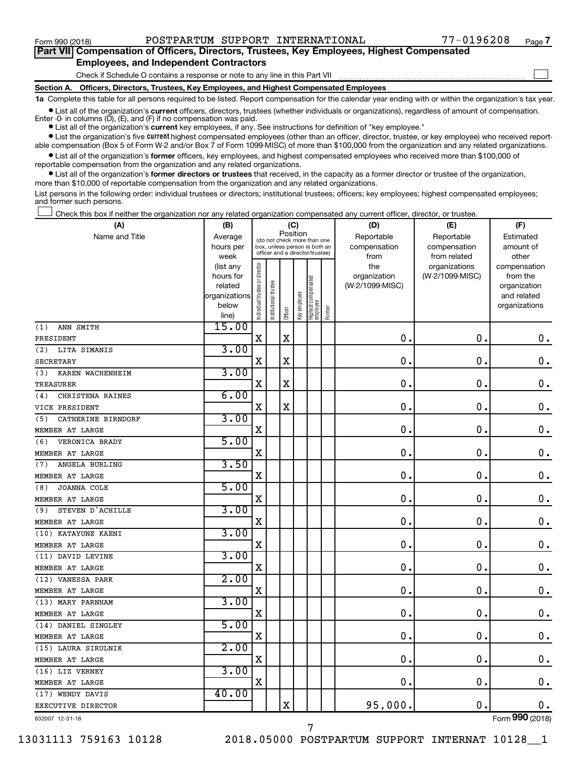$\begin{array}{c} \hline \end{array}$ 

| Part VII Compensation of Officers, Directors, Trustees, Key Employees, Highest Compensated |  |  |  |  |
|--------------------------------------------------------------------------------------------|--|--|--|--|
| <b>Employees, and Independent Contractors</b>                                              |  |  |  |  |

Check if Schedule O contains a response or note to any line in this Part VII

**Section A. Officers, Directors, Trustees, Key Employees, and Highest Compensated Employees**

**1a**  Complete this table for all persons required to be listed. Report compensation for the calendar year ending with or within the organization's tax year.

 $\bullet$  List all of the organization's current officers, directors, trustees (whether individuals or organizations), regardless of amount of compensation.

**•** List all of the organization's **current** key employees, if any. See instructions for definition of "key employee." Enter  $-0$ - in columns  $(D)$ ,  $(E)$ , and  $(F)$  if no compensation was paid.

**Examber 1** List the organization's five current highest compensated employees (other than an officer, director, trustee, or key employee) who received reportable compensation (Box 5 of Form W-2 and/or Box 7 of Form 1099-MISC) of more than \$100,000 from the organization and any related organizations.

 $\bullet$  List all of the organization's former officers, key employees, and highest compensated employees who received more than \$100,000 of reportable compensation from the organization and any related organizations.

**•** List all of the organization's former directors or trustees that received, in the capacity as a former director or trustee of the organization, more than \$10,000 of reportable compensation from the organization and any related organizations.

List persons in the following order: individual trustees or directors; institutional trustees; officers; key employees; highest compensated employees; and former such persons.

Check this box if neither the organization nor any related organization compensated any current officer, director, or trustee.  $\begin{array}{c} \hline \end{array}$ 

| (A)                       | (B)                    |                                |                                                                  |             | (C)          |                                 |        | (D)                 | (E)                              | (F)                      |
|---------------------------|------------------------|--------------------------------|------------------------------------------------------------------|-------------|--------------|---------------------------------|--------|---------------------|----------------------------------|--------------------------|
| Name and Title            | Average                |                                | (do not check more than one                                      | Position    |              |                                 |        | Reportable          | Reportable                       | Estimated                |
|                           | hours per              |                                | box, unless person is both an<br>officer and a director/trustee) |             |              |                                 |        | compensation        | compensation                     | amount of                |
|                           | week                   |                                |                                                                  |             |              |                                 |        | from                | from related                     | other                    |
|                           | (list any<br>hours for | Individual trustee or director |                                                                  |             |              |                                 |        | the<br>organization | organizations<br>(W-2/1099-MISC) | compensation<br>from the |
|                           | related                |                                |                                                                  |             |              |                                 |        | (W-2/1099-MISC)     |                                  | organization             |
|                           | organizations          |                                | nstitutional trustee                                             |             |              | Highest compensated<br>employee |        |                     |                                  | and related              |
|                           | below                  |                                |                                                                  |             | Key employee |                                 |        |                     |                                  | organizations            |
|                           | line)                  |                                |                                                                  | Officer     |              |                                 | Former |                     |                                  |                          |
| ANN SMITH<br>(1)          | 15.00                  |                                |                                                                  |             |              |                                 |        |                     |                                  |                          |
| PRESIDENT                 |                        | $\mathbf X$                    |                                                                  | X           |              |                                 |        | 0                   | $\mathbf 0$ .                    | 0.                       |
| LITA SIMANIS<br>(2)       | 3.00                   |                                |                                                                  |             |              |                                 |        |                     |                                  |                          |
| <b>SECRETARY</b>          |                        | $\mathbf X$                    |                                                                  | $\mathbf X$ |              |                                 |        | 0                   | $\mathbf 0$ .                    | $\mathbf 0$ .            |
| (3)<br>KAREN WACHENHEIM   | 3.00                   |                                |                                                                  |             |              |                                 |        |                     |                                  |                          |
| <b>TREASURER</b>          |                        | $\mathbf X$                    |                                                                  | X           |              |                                 |        | 0                   | $\mathbf 0$                      | $\mathbf 0$ .            |
| CHRISTENA RAINES<br>(4)   | 6.00                   |                                |                                                                  |             |              |                                 |        |                     |                                  |                          |
| VICE PRESIDENT            |                        | X                              |                                                                  | $\mathbf X$ |              |                                 |        | 0                   | $\mathbf 0$                      | $\mathbf 0$ .            |
| CATHERINE BIRNDORF<br>(5) | 3.00                   |                                |                                                                  |             |              |                                 |        |                     |                                  |                          |
| MEMBER AT LARGE           |                        | X                              |                                                                  |             |              |                                 |        | 0                   | $\mathbf 0$                      | $\mathbf 0$ .            |
| VERONICA BRADY<br>(6)     | 5.00                   |                                |                                                                  |             |              |                                 |        |                     |                                  |                          |
| MEMBER AT LARGE           |                        | X                              |                                                                  |             |              |                                 |        | 0                   | $\mathbf 0$                      | $\mathbf 0$ .            |
| ANGELA BURLING<br>(7)     | 3.50                   |                                |                                                                  |             |              |                                 |        |                     |                                  |                          |
| MEMBER AT LARGE           |                        | X                              |                                                                  |             |              |                                 |        | 0                   | $\mathbf 0$                      | $\mathbf 0$ .            |
| JOANNA COLE<br>(8)        | 5.00                   |                                |                                                                  |             |              |                                 |        |                     |                                  |                          |
| MEMBER AT LARGE           |                        | X                              |                                                                  |             |              |                                 |        | 0                   | $\mathbf 0$ .                    | $\mathbf 0$ .            |
| STEVEN D'ACHILLE<br>(9)   | 3.00                   |                                |                                                                  |             |              |                                 |        |                     |                                  |                          |
| MEMBER AT LARGE           |                        | X                              |                                                                  |             |              |                                 |        | $\mathbf 0$         | $\mathbf 0$                      | $\mathbf 0$ .            |
| (10) KATAYUNE KAENI       | 3.00                   |                                |                                                                  |             |              |                                 |        |                     |                                  |                          |
| MEMBER AT LARGE           |                        | $\mathbf X$                    |                                                                  |             |              |                                 |        | 0                   | $\mathbf 0$ .                    | 0.                       |
| (11) DAVID LEVINE         | 3.00                   |                                |                                                                  |             |              |                                 |        |                     |                                  |                          |
| MEMBER AT LARGE           |                        | $\mathbf X$                    |                                                                  |             |              |                                 |        | $\mathbf 0$         | $\mathbf 0$                      | $\mathbf 0$ .            |
| (12) VANESSA PARK         | 2.00                   |                                |                                                                  |             |              |                                 |        |                     |                                  |                          |
| MEMBER AT LARGE           |                        | $\mathbf X$                    |                                                                  |             |              |                                 |        | 0                   | $\mathbf 0$ .                    | $\mathbf 0$ .            |
| (13) MARY PARNHAM         | 3.00                   |                                |                                                                  |             |              |                                 |        |                     |                                  |                          |
| MEMBER AT LARGE           |                        | X                              |                                                                  |             |              |                                 |        | 0                   | $\mathbf 0$                      | $\mathbf 0$ .            |
| (14) DANIEL SINGLEY       | 5.00                   |                                |                                                                  |             |              |                                 |        |                     |                                  |                          |
| MEMBER AT LARGE           |                        | $\mathbf X$                    |                                                                  |             |              |                                 |        | 0                   | $\mathbf 0$ .                    | $\mathbf 0$ .            |
| (15) LAURA SIRULNIK       | 2.00                   |                                |                                                                  |             |              |                                 |        |                     |                                  |                          |
| MEMBER AT LARGE           |                        | X                              |                                                                  |             |              |                                 |        | 0                   | $\mathbf 0$                      | $\mathbf 0$ .            |
| (16) LIZ VERNEY           | 3.00                   |                                |                                                                  |             |              |                                 |        |                     |                                  |                          |
| MEMBER AT LARGE           |                        | X                              |                                                                  |             |              |                                 |        | $\mathbf 0$         | $\mathbf 0$ .                    | $0$ .                    |
| (17) WENDY DAVIS          | 40.00                  |                                |                                                                  |             |              |                                 |        |                     |                                  |                          |
| EXECUTIVE DIRECTOR        |                        |                                |                                                                  | X           |              |                                 |        | 95,000.             | $\mathbf 0$                      | $0$ .                    |
| 832007 12-31-18           |                        |                                |                                                                  |             |              |                                 |        |                     |                                  | Form 990 (2018)          |

832007 12-31-18

13031113 759163 10128 2018.05000 POSTPARTUM SUPPORT INTERNAT 10128\_\_1

7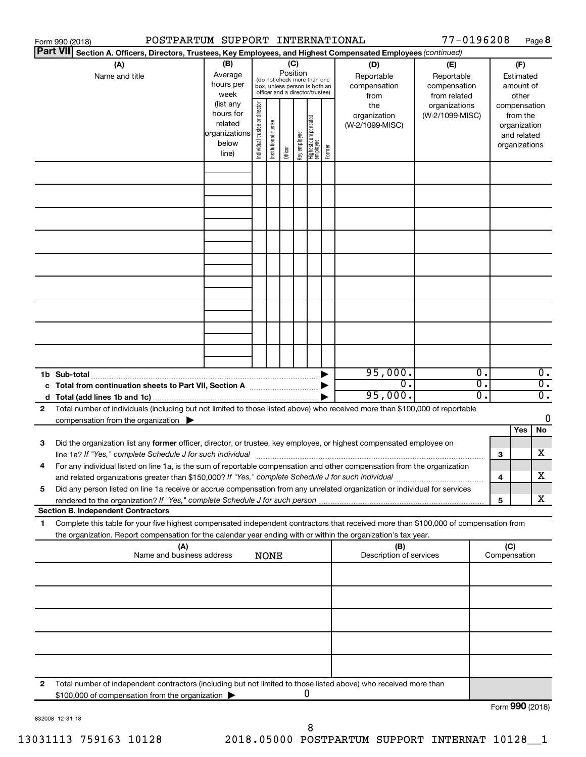|                 | POSTPARTUM SUPPORT INTERNATIONAL<br>Form 990 (2018)                                                                                                                                                                                                    |                                                                      |                               |                       |          |              |                                                                                                 |        |                                           | 77-0196208                                        |                |        |                                                                          | Page 8                                        |
|-----------------|--------------------------------------------------------------------------------------------------------------------------------------------------------------------------------------------------------------------------------------------------------|----------------------------------------------------------------------|-------------------------------|-----------------------|----------|--------------|-------------------------------------------------------------------------------------------------|--------|-------------------------------------------|---------------------------------------------------|----------------|--------|--------------------------------------------------------------------------|-----------------------------------------------|
| <b>Part VII</b> | Section A. Officers, Directors, Trustees, Key Employees, and Highest Compensated Employees (continued)                                                                                                                                                 |                                                                      |                               |                       |          |              |                                                                                                 |        |                                           |                                                   |                |        |                                                                          |                                               |
|                 | (A)<br>Name and title                                                                                                                                                                                                                                  | (B)<br>Average<br>hours per<br>week                                  |                               |                       | Position | (C)          | (do not check more than one<br>box, unless person is both an<br>officer and a director/trustee) |        | (D)<br>Reportable<br>compensation<br>from | (E)<br>Reportable<br>compensation<br>from related |                |        | (F)<br>Estimated<br>amount of<br>other                                   |                                               |
|                 |                                                                                                                                                                                                                                                        | (list any<br>hours for<br>related<br>organizations<br>below<br>line) | ndividual trustee or director | Institutional trustee | Officer  | Key employee | Highest compensated<br>  employee                                                               | Former | the<br>organization<br>(W-2/1099-MISC)    | organizations<br>(W-2/1099-MISC)                  |                |        | compensation<br>from the<br>organization<br>and related<br>organizations |                                               |
|                 |                                                                                                                                                                                                                                                        |                                                                      |                               |                       |          |              |                                                                                                 |        |                                           |                                                   |                |        |                                                                          |                                               |
|                 |                                                                                                                                                                                                                                                        |                                                                      |                               |                       |          |              |                                                                                                 |        |                                           |                                                   |                |        |                                                                          |                                               |
|                 |                                                                                                                                                                                                                                                        |                                                                      |                               |                       |          |              |                                                                                                 |        |                                           |                                                   |                |        |                                                                          |                                               |
|                 |                                                                                                                                                                                                                                                        |                                                                      |                               |                       |          |              |                                                                                                 |        |                                           |                                                   |                |        |                                                                          |                                               |
|                 |                                                                                                                                                                                                                                                        |                                                                      |                               |                       |          |              |                                                                                                 |        |                                           |                                                   |                |        |                                                                          |                                               |
|                 |                                                                                                                                                                                                                                                        |                                                                      |                               |                       |          |              |                                                                                                 |        |                                           |                                                   |                |        |                                                                          |                                               |
|                 |                                                                                                                                                                                                                                                        |                                                                      |                               |                       |          |              |                                                                                                 |        |                                           |                                                   |                |        |                                                                          |                                               |
|                 | 1b Sub-total<br>c Total from continuation sheets to Part VII, Section A [111] [12] [13] Doction A                                                                                                                                                      |                                                                      |                               |                       |          |              |                                                                                                 |        | 95,000.<br>0.<br>95,000.                  |                                                   | 0.<br>О.<br>О. |        |                                                                          | $0$ .<br>$\overline{0}$ .<br>$\overline{0}$ . |
| 2               | Total number of individuals (including but not limited to those listed above) who received more than \$100,000 of reportable<br>compensation from the organization $\blacktriangleright$                                                               |                                                                      |                               |                       |          |              |                                                                                                 |        |                                           |                                                   |                |        |                                                                          | 0                                             |
| 3               | Did the organization list any former officer, director, or trustee, key employee, or highest compensated employee on                                                                                                                                   |                                                                      |                               |                       |          |              |                                                                                                 |        |                                           |                                                   |                |        | Yes                                                                      | No                                            |
|                 | line 1a? If "Yes," complete Schedule J for such individual [11] manufacture manufacture in the set of the set o<br>For any individual listed on line 1a, is the sum of reportable compensation and other compensation from the organization            |                                                                      |                               |                       |          |              |                                                                                                 |        |                                           |                                                   |                | 3      |                                                                          | х                                             |
| 5               | and related organizations greater than \$150,000? If "Yes," complete Schedule J for such individual<br>Did any person listed on line 1a receive or accrue compensation from any unrelated organization or individual for services                      |                                                                      |                               |                       |          |              |                                                                                                 |        |                                           |                                                   |                | 4<br>5 |                                                                          | х<br>х                                        |
|                 | <b>Section B. Independent Contractors</b>                                                                                                                                                                                                              |                                                                      |                               |                       |          |              |                                                                                                 |        |                                           |                                                   |                |        |                                                                          |                                               |
| 1               | Complete this table for your five highest compensated independent contractors that received more than \$100,000 of compensation from<br>the organization. Report compensation for the calendar year ending with or within the organization's tax year. |                                                                      |                               |                       |          |              |                                                                                                 |        |                                           |                                                   |                |        |                                                                          |                                               |
|                 | (A)<br>Name and business address                                                                                                                                                                                                                       |                                                                      |                               | <b>NONE</b>           |          |              |                                                                                                 |        | (B)<br>Description of services            |                                                   |                | (C)    | Compensation                                                             |                                               |
|                 |                                                                                                                                                                                                                                                        |                                                                      |                               |                       |          |              |                                                                                                 |        |                                           |                                                   |                |        |                                                                          |                                               |
|                 |                                                                                                                                                                                                                                                        |                                                                      |                               |                       |          |              |                                                                                                 |        |                                           |                                                   |                |        |                                                                          |                                               |
|                 |                                                                                                                                                                                                                                                        |                                                                      |                               |                       |          |              |                                                                                                 |        |                                           |                                                   |                |        |                                                                          |                                               |
|                 |                                                                                                                                                                                                                                                        |                                                                      |                               |                       |          |              |                                                                                                 |        |                                           |                                                   |                |        |                                                                          |                                               |
| 2               | Total number of independent contractors (including but not limited to those listed above) who received more than<br>\$100,000 of compensation from the organization                                                                                    |                                                                      |                               |                       |          |              | U                                                                                               |        |                                           |                                                   |                |        | $F_{\text{sum}}$ QQQ $(201.8)$                                           |                                               |

832008 12-31-18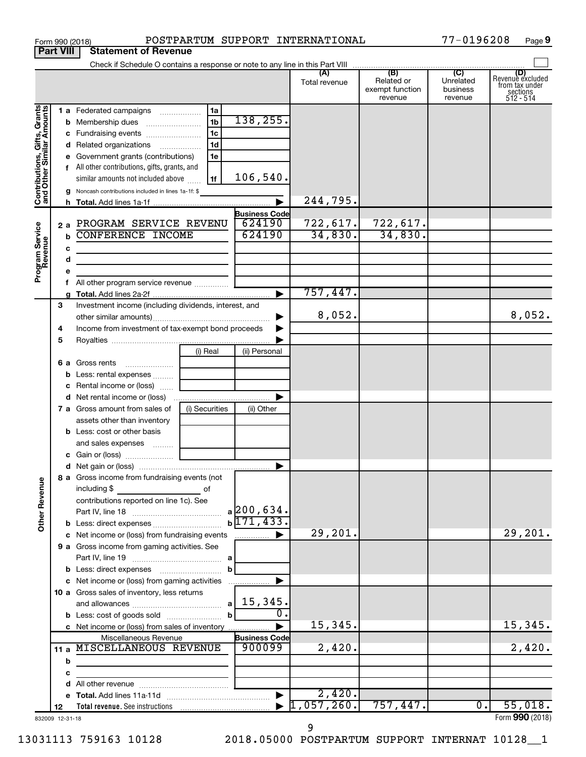|                                                           |                  | POSTPARTUM SUPPORT INTERNATIONAL<br>Form 990 (2018)                                                                   |                                |                             |                                          | 77-0196208                       | Page 9                                                      |
|-----------------------------------------------------------|------------------|-----------------------------------------------------------------------------------------------------------------------|--------------------------------|-----------------------------|------------------------------------------|----------------------------------|-------------------------------------------------------------|
|                                                           | <b>Part VIII</b> | <b>Statement of Revenue</b>                                                                                           |                                |                             |                                          |                                  |                                                             |
|                                                           |                  | Check if Schedule O contains a response or note to any line in this Part VIII                                         |                                |                             | (B)                                      | $\overline{C}$                   |                                                             |
|                                                           |                  |                                                                                                                       |                                | (A)<br>Total revenue        | Related or<br>exempt function<br>revenue | Unrelated<br>business<br>revenue | Revenue excluded<br>from tax under<br>sections<br>512 - 514 |
| Contributions, Gifts, Grants<br>and Other Similar Amounts |                  | 1a<br>1 a Federated campaigns                                                                                         |                                |                             |                                          |                                  |                                                             |
|                                                           |                  | 1 <sub>b</sub><br><b>b</b> Membership dues                                                                            | 138, 255.                      |                             |                                          |                                  |                                                             |
|                                                           |                  | 1 <sub>c</sub><br>c Fundraising events                                                                                |                                |                             |                                          |                                  |                                                             |
|                                                           |                  | 1 <sub>d</sub><br>d Related organizations<br>1e<br>e Government grants (contributions)                                |                                |                             |                                          |                                  |                                                             |
|                                                           |                  | f All other contributions, gifts, grants, and                                                                         |                                |                             |                                          |                                  |                                                             |
|                                                           |                  | 1f<br>similar amounts not included above                                                                              | 106,540.                       |                             |                                          |                                  |                                                             |
|                                                           |                  | g Noncash contributions included in lines 1a-1f: \$                                                                   |                                |                             |                                          |                                  |                                                             |
|                                                           |                  |                                                                                                                       |                                | 244,795.                    |                                          |                                  |                                                             |
|                                                           |                  |                                                                                                                       | <b>Business Code</b>           |                             |                                          |                                  |                                                             |
|                                                           |                  | 2 a PROGRAM SERVICE REVENU                                                                                            | 624190                         | 722, 617.                   | 722,617.                                 |                                  |                                                             |
| Program Service<br>Revenue                                |                  | <b>b</b> CONFERENCE INCOME                                                                                            | 624190                         | 34,830.                     | 34,830.                                  |                                  |                                                             |
|                                                           | c<br>d           | <u> 1980 - Johann Barbara, martin amerikan basar da</u>                                                               |                                |                             |                                          |                                  |                                                             |
|                                                           | е                | <u> 1989 - Johann Barbara, martin a</u>                                                                               |                                |                             |                                          |                                  |                                                             |
|                                                           |                  | All other program service revenue                                                                                     |                                |                             |                                          |                                  |                                                             |
|                                                           |                  |                                                                                                                       |                                | 757,447.                    |                                          |                                  |                                                             |
|                                                           | 3                | Investment income (including dividends, interest, and                                                                 |                                |                             |                                          |                                  |                                                             |
|                                                           |                  |                                                                                                                       |                                | 8,052.                      |                                          |                                  | 8,052.                                                      |
|                                                           | 4                | Income from investment of tax-exempt bond proceeds                                                                    |                                |                             |                                          |                                  |                                                             |
|                                                           | 5                | (i) Real                                                                                                              | (ii) Personal                  |                             |                                          |                                  |                                                             |
|                                                           |                  | 6 a Gross rents                                                                                                       |                                |                             |                                          |                                  |                                                             |
|                                                           |                  |                                                                                                                       |                                |                             |                                          |                                  |                                                             |
|                                                           |                  | c Rental income or (loss)                                                                                             |                                |                             |                                          |                                  |                                                             |
|                                                           |                  |                                                                                                                       | ▶                              |                             |                                          |                                  |                                                             |
|                                                           |                  | (i) Securities<br>7 a Gross amount from sales of                                                                      | (ii) Other                     |                             |                                          |                                  |                                                             |
|                                                           |                  | assets other than inventory                                                                                           |                                |                             |                                          |                                  |                                                             |
|                                                           |                  | <b>b</b> Less: cost or other basis<br>and sales expenses                                                              |                                |                             |                                          |                                  |                                                             |
|                                                           |                  |                                                                                                                       |                                |                             |                                          |                                  |                                                             |
|                                                           |                  |                                                                                                                       |                                |                             |                                          |                                  |                                                             |
| <b>Other Revenue</b>                                      |                  | 8 a Gross income from fundraising events (not<br>including \$<br><u>of</u> of                                         |                                |                             |                                          |                                  |                                                             |
|                                                           |                  | contributions reported on line 1c). See                                                                               |                                |                             |                                          |                                  |                                                             |
|                                                           |                  |                                                                                                                       |                                |                             |                                          |                                  |                                                             |
|                                                           |                  | <b>b</b> Less: direct expenses <i></i>                                                                                | $b\sqrt{171,433}$ .            |                             |                                          |                                  |                                                             |
|                                                           |                  | c Net income or (loss) from fundraising events                                                                        |                                | 29,201.                     |                                          |                                  | 29, 201.                                                    |
|                                                           |                  | 9 a Gross income from gaming activities. See                                                                          |                                |                             |                                          |                                  |                                                             |
|                                                           |                  |                                                                                                                       | $\mathbf{b}$                   |                             |                                          |                                  |                                                             |
|                                                           |                  | c Net income or (loss) from gaming activities                                                                         |                                |                             |                                          |                                  |                                                             |
|                                                           |                  | 10 a Gross sales of inventory, less returns                                                                           |                                |                             |                                          |                                  |                                                             |
|                                                           |                  |                                                                                                                       |                                |                             |                                          |                                  |                                                             |
|                                                           |                  |                                                                                                                       | 0.                             |                             |                                          |                                  |                                                             |
|                                                           |                  | c Net income or (loss) from sales of inventory                                                                        | $\blacktriangleright$          | 15,345.                     |                                          |                                  | 15,345.                                                     |
|                                                           |                  | Miscellaneous Revenue                                                                                                 | <b>Business Code</b><br>900099 |                             |                                          |                                  |                                                             |
|                                                           |                  | 11 a MISCELLANEOUS REVENUE                                                                                            |                                | 2,420.                      |                                          |                                  | 2,420.                                                      |
|                                                           | b<br>c           | the control of the control of the control of the control of the control of                                            |                                |                             |                                          |                                  |                                                             |
|                                                           |                  | <u> 1989 - Johann Barbara, martin amerikan basar dan berasal dalam basar dalam basar dalam basar dalam basar dala</u> |                                |                             |                                          |                                  |                                                             |
|                                                           |                  |                                                                                                                       |                                | 2,420.                      |                                          |                                  |                                                             |
|                                                           | 12               |                                                                                                                       |                                | $\triangleright$ 1,057,260. | 757,447.                                 | 0.                               | 55,018.                                                     |
|                                                           | 832009 12-31-18  |                                                                                                                       |                                |                             |                                          |                                  | Form 990 (2018)                                             |

9

77-0196208 Page 9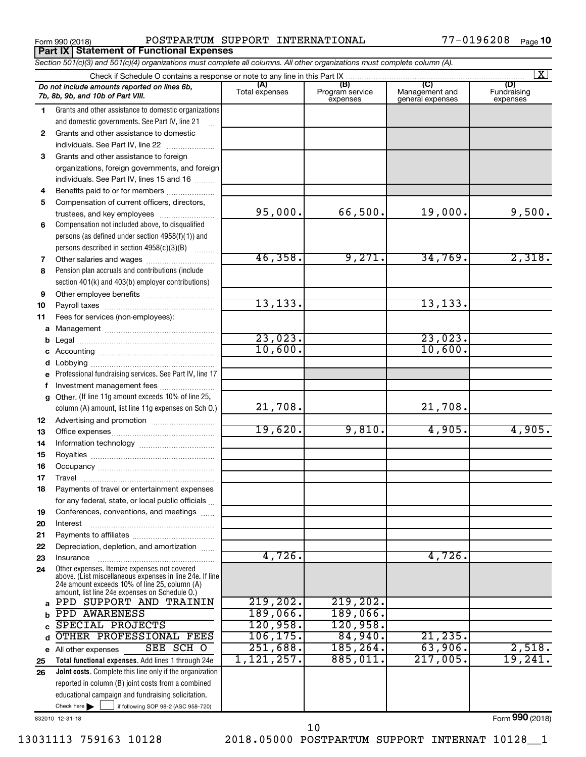Form 990 (2018) POSTPARTUM SUPPORT INTERNATIONAL 77-0196208 <sub>Page</sub> **Part IX Statement of Functional Expenses**

| Section 501(c)(3) and 501(c)(4) organizations must complete all columns. All other organizations must complete column (A). |                                                                                                                                                                                                             |                       |                                    |                                                      |                                |  |  |  |  |  |
|----------------------------------------------------------------------------------------------------------------------------|-------------------------------------------------------------------------------------------------------------------------------------------------------------------------------------------------------------|-----------------------|------------------------------------|------------------------------------------------------|--------------------------------|--|--|--|--|--|
|                                                                                                                            | Check if Schedule O contains a response or note to any line in this Part IX                                                                                                                                 |                       |                                    |                                                      | $\vert X \vert$                |  |  |  |  |  |
|                                                                                                                            | Do not include amounts reported on lines 6b,<br>7b, 8b, 9b, and 10b of Part VIII.                                                                                                                           | (A)<br>Total expenses | (B)<br>Program service<br>expenses | $\overline{C}$<br>Management and<br>general expenses | (D)<br>Fundraising<br>expenses |  |  |  |  |  |
| $\mathbf 1$                                                                                                                | Grants and other assistance to domestic organizations                                                                                                                                                       |                       |                                    |                                                      |                                |  |  |  |  |  |
|                                                                                                                            | and domestic governments. See Part IV, line 21                                                                                                                                                              |                       |                                    |                                                      |                                |  |  |  |  |  |
| $\mathbf{2}$                                                                                                               | Grants and other assistance to domestic                                                                                                                                                                     |                       |                                    |                                                      |                                |  |  |  |  |  |
|                                                                                                                            | individuals. See Part IV, line 22                                                                                                                                                                           |                       |                                    |                                                      |                                |  |  |  |  |  |
| 3                                                                                                                          | Grants and other assistance to foreign                                                                                                                                                                      |                       |                                    |                                                      |                                |  |  |  |  |  |
|                                                                                                                            | organizations, foreign governments, and foreign                                                                                                                                                             |                       |                                    |                                                      |                                |  |  |  |  |  |
|                                                                                                                            | individuals. See Part IV, lines 15 and 16                                                                                                                                                                   |                       |                                    |                                                      |                                |  |  |  |  |  |
| 4                                                                                                                          | Benefits paid to or for members                                                                                                                                                                             |                       |                                    |                                                      |                                |  |  |  |  |  |
| 5                                                                                                                          | Compensation of current officers, directors,                                                                                                                                                                |                       |                                    |                                                      |                                |  |  |  |  |  |
|                                                                                                                            | trustees, and key employees                                                                                                                                                                                 | 95,000.               | 66,500.                            | 19,000.                                              | 9,500.                         |  |  |  |  |  |
| 6                                                                                                                          | Compensation not included above, to disqualified                                                                                                                                                            |                       |                                    |                                                      |                                |  |  |  |  |  |
|                                                                                                                            | persons (as defined under section 4958(f)(1)) and                                                                                                                                                           |                       |                                    |                                                      |                                |  |  |  |  |  |
|                                                                                                                            | persons described in section 4958(c)(3)(B)                                                                                                                                                                  |                       |                                    |                                                      |                                |  |  |  |  |  |
| 7                                                                                                                          | Other salaries and wages                                                                                                                                                                                    | 46,358.               | 9,271.                             | 34,769.                                              | 2,318.                         |  |  |  |  |  |
| 8                                                                                                                          | Pension plan accruals and contributions (include                                                                                                                                                            |                       |                                    |                                                      |                                |  |  |  |  |  |
|                                                                                                                            | section 401(k) and 403(b) employer contributions)                                                                                                                                                           |                       |                                    |                                                      |                                |  |  |  |  |  |
| 9                                                                                                                          | Other employee benefits                                                                                                                                                                                     |                       |                                    |                                                      |                                |  |  |  |  |  |
| 10                                                                                                                         |                                                                                                                                                                                                             | 13, 133.              |                                    | 13, 133.                                             |                                |  |  |  |  |  |
| 11                                                                                                                         | Fees for services (non-employees):                                                                                                                                                                          |                       |                                    |                                                      |                                |  |  |  |  |  |
| a                                                                                                                          |                                                                                                                                                                                                             |                       |                                    |                                                      |                                |  |  |  |  |  |
|                                                                                                                            |                                                                                                                                                                                                             | 23,023.<br>10,600.    |                                    | 23,023.<br>10,600.                                   |                                |  |  |  |  |  |
|                                                                                                                            |                                                                                                                                                                                                             |                       |                                    |                                                      |                                |  |  |  |  |  |
|                                                                                                                            |                                                                                                                                                                                                             |                       |                                    |                                                      |                                |  |  |  |  |  |
|                                                                                                                            | Professional fundraising services. See Part IV, line 17                                                                                                                                                     |                       |                                    |                                                      |                                |  |  |  |  |  |
|                                                                                                                            | Investment management fees                                                                                                                                                                                  |                       |                                    |                                                      |                                |  |  |  |  |  |
| g                                                                                                                          | Other. (If line 11g amount exceeds 10% of line 25,                                                                                                                                                          | 21,708.               |                                    | 21,708.                                              |                                |  |  |  |  |  |
|                                                                                                                            | column (A) amount, list line 11g expenses on Sch O.)                                                                                                                                                        |                       |                                    |                                                      |                                |  |  |  |  |  |
| 12                                                                                                                         |                                                                                                                                                                                                             | 19,620.               | 9,810.                             | 4,905.                                               | 4,905.                         |  |  |  |  |  |
| 13<br>14                                                                                                                   |                                                                                                                                                                                                             |                       |                                    |                                                      |                                |  |  |  |  |  |
| 15                                                                                                                         |                                                                                                                                                                                                             |                       |                                    |                                                      |                                |  |  |  |  |  |
| 16                                                                                                                         |                                                                                                                                                                                                             |                       |                                    |                                                      |                                |  |  |  |  |  |
| 17                                                                                                                         |                                                                                                                                                                                                             |                       |                                    |                                                      |                                |  |  |  |  |  |
| 18                                                                                                                         | Payments of travel or entertainment expenses                                                                                                                                                                |                       |                                    |                                                      |                                |  |  |  |  |  |
|                                                                                                                            | for any federal, state, or local public officials                                                                                                                                                           |                       |                                    |                                                      |                                |  |  |  |  |  |
| 19                                                                                                                         | Conferences, conventions, and meetings                                                                                                                                                                      |                       |                                    |                                                      |                                |  |  |  |  |  |
| 20                                                                                                                         | Interest                                                                                                                                                                                                    |                       |                                    |                                                      |                                |  |  |  |  |  |
| 21                                                                                                                         |                                                                                                                                                                                                             |                       |                                    |                                                      |                                |  |  |  |  |  |
| 22                                                                                                                         | Depreciation, depletion, and amortization                                                                                                                                                                   |                       |                                    |                                                      |                                |  |  |  |  |  |
| 23                                                                                                                         | Insurance                                                                                                                                                                                                   | 4,726.                |                                    | 4,726.                                               |                                |  |  |  |  |  |
| 24                                                                                                                         | Other expenses. Itemize expenses not covered<br>above. (List miscellaneous expenses in line 24e. If line<br>24e amount exceeds 10% of line 25, column (A)<br>amount, list line 24e expenses on Schedule O.) |                       |                                    |                                                      |                                |  |  |  |  |  |
| a                                                                                                                          | PPD SUPPORT AND TRAININ                                                                                                                                                                                     | 219,202.              | 219, 202.                          |                                                      |                                |  |  |  |  |  |
|                                                                                                                            | PPD AWARENESS                                                                                                                                                                                               | 189,066.              | 189,066.                           |                                                      |                                |  |  |  |  |  |
|                                                                                                                            | SPECIAL PROJECTS                                                                                                                                                                                            | 120,958.              | 120,958.                           |                                                      |                                |  |  |  |  |  |
|                                                                                                                            | OTHER PROFESSIONAL FEES                                                                                                                                                                                     | 106, 175.             | 84,940.                            | 21, 235.                                             |                                |  |  |  |  |  |
| е                                                                                                                          | SEE SCH O<br>All other expenses                                                                                                                                                                             | 251,688.              | 185, 264.                          | 63,906.                                              | 2,518.                         |  |  |  |  |  |
| 25                                                                                                                         | Total functional expenses. Add lines 1 through 24e                                                                                                                                                          | 1, 121, 257.          | 885,011.                           | 217,005.                                             | 19,241.                        |  |  |  |  |  |
| 26                                                                                                                         | Joint costs. Complete this line only if the organization                                                                                                                                                    |                       |                                    |                                                      |                                |  |  |  |  |  |
|                                                                                                                            | reported in column (B) joint costs from a combined                                                                                                                                                          |                       |                                    |                                                      |                                |  |  |  |  |  |
|                                                                                                                            | educational campaign and fundraising solicitation.                                                                                                                                                          |                       |                                    |                                                      |                                |  |  |  |  |  |
|                                                                                                                            | Check here $\blacktriangleright$<br>if following SOP 98-2 (ASC 958-720)                                                                                                                                     |                       |                                    |                                                      |                                |  |  |  |  |  |

832010 12-31-18

13031113 759163 10128 2018.05000 POSTPARTUM SUPPORT INTERNAT 10128\_\_1

Form (2018) **990**

10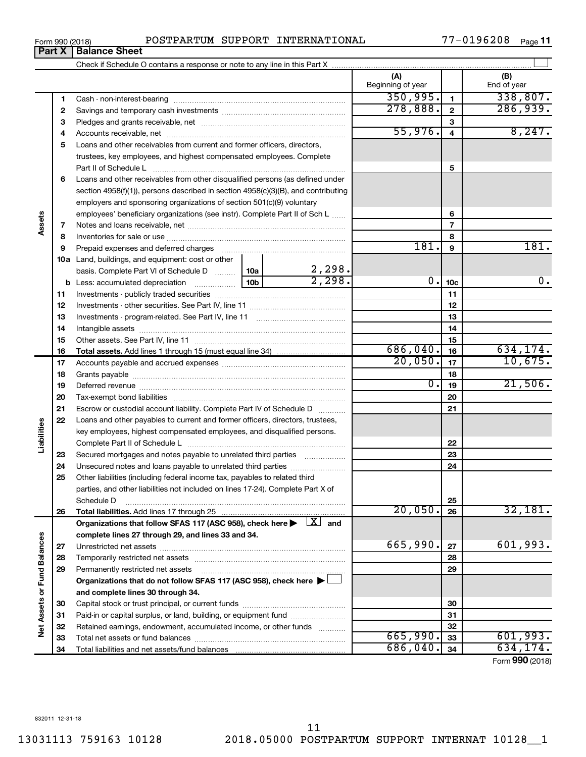**34**

Total liabilities and net assets/fund balances

**34**

Form (2018) **990**

Form 990 (2018) POSTPARTUM SUPPORT INTERNATIONAL 77-0196208 <sub>Page</sub>

Check if Schedule O contains a response or note to any line in this Part X

**(A) (B)** Beginning of year  $\begin{vmatrix} 1 & 1 \end{vmatrix}$  End of year  $350,995.$   $1$  338,807. **1 1** Cash - non-interest-bearing ~~~~~~~~~~~~~~~~~~~~~~~~~ 278,888. 2 286,939 **2 2** Savings and temporary cash investments ~~~~~~~~~~~~~~~~~~ **3 3** Pledges and grants receivable, net ~~~~~~~~~~~~~~~~~~~~~  $55,976.$  4 **4 4** Accounts receivable, net ~~~~~~~~~~~~~~~~~~~~~~~~~~ **5** Loans and other receivables from current and former officers, directors, trustees, key employees, and highest compensated employees. Complete **5** Part II of Schedule L ~~~~~~~~~~~~~~~~~~~~~~~~~~~~ **6** Loans and other receivables from other disqualified persons (as defined under section 4958(f)(1)), persons described in section 4958(c)(3)(B), and contributing employers and sponsoring organizations of section 501(c)(9) voluntary employees' beneficiary organizations (see instr). Complete Part II of Sch L ...... **6 7 7** Notes and loans receivable, net ~~~~~~~~~~~~~~~~~~~~~~~ **8 8** Inventories for sale or use ~~~~~~~~~~~~~~~~~~~~~~~~~~ 181. 9 **9 9** Prepaid expenses and deferred charges ~~~~~~~~~~~~~~~~~~ **10 a** Land, buildings, and equipment: cost or other 2,298. basis. Complete Part VI of Schedule D  $\frac{1}{10a}$  $2,298.$  0.  $1_{10c}$  0. 0. **10c b** Less: accumulated depreciation  $\ldots$  [10b] **11 11** Investments - publicly traded securities ~~~~~~~~~~~~~~~~~~~ **12 12** Investments - other securities. See Part IV, line 11 ~~~~~~~~~~~~~~ **13 13** Investments - program-related. See Part IV, line 11 ~~~~~~~~~~~~~ **14 14** Intangible assets ~~~~~~~~~~~~~~~~~~~~~~~~~~~~~~ **15** Other assets. See Part IV, line 11 ~~~~~~~~~~~~~~~~~~~~~~ **15** 686,040. 16 **16 16 Total assets.**  Add lines 1 through 15 (must equal line 34) 20,050. 10,675. **17 17** Accounts payable and accrued expenses ~~~~~~~~~~~~~~~~~~ **18 18** Grants payable ~~~~~~~~~~~~~~~~~~~~~~~~~~~~~~~  $0.1_{19}$  21,506. **19 19** Deferred revenue ~~~~~~~~~~~~~~~~~~~~~~~~~~~~~~ **20 20** Tax-exempt bond liabilities ~~~~~~~~~~~~~~~~~~~~~~~~~ **21 21** Escrow or custodial account liability. Complete Part IV of Schedule D ........... **22** Loans and other payables to current and former officers, directors, trustees, key employees, highest compensated employees, and disqualified persons. Complete Part II of Schedule L ~~~~~~~~~~~~~~~~~~~~~~~ **22** Secured mortgages and notes payable to unrelated third parties  $\ldots$  ................. **23 23 24** Unsecured notes and loans payable to unrelated third parties ~~~~~~~~ **24 25** Other liabilities (including federal income tax, payables to related third parties, and other liabilities not included on lines 17-24). Complete Part X of Schedule D ~~~~~~~~~~~~~~~~~~~~~~~~~~~~~~~~ **25** 20,050. 32,181. **26 26 Total liabilities.**  Add lines 17 through 25 Organizations that follow SFAS 117 (ASC 958), check here  $\blacktriangleright\begin{array}{|l|}\hline \text{X} \end{array}$  and **complete lines 27 through 29, and lines 33 and 34. Vet Assets or Fund Balances Net Assets or Fund Balances**  $665,990$ .  $27$  601,993. **27 27** Unrestricted net assets ~~~~~~~~~~~~~~~~~~~~~~~~~~~ **28 28** Temporarily restricted net assets ~~~~~~~~~~~~~~~~~~~~~~ **29 29** Permanently restricted net assets ~~~~~~~~~~~~~~~~~~~~~ **Organizations that do not follow SFAS 117 (ASC 958), check here** | **and complete lines 30 through 34. 30 30** Capital stock or trust principal, or current funds ~~~~~~~~~~~~~~~ **31 31** Paid-in or capital surplus, or land, building, or equipment fund ...................... **32 32** Retained earnings, endowment, accumulated income, or other funds ............  $\overline{665,990.}$  33 601,993. Total net assets or fund balances ~~~~~~~~~~~~~~~~~~~~~~ **33 33**  $686,040.$   $34$  | 634,174.

 $\Box$ 

## **Part X** | **Balance Sheet**

**Assets**

**Liabilities**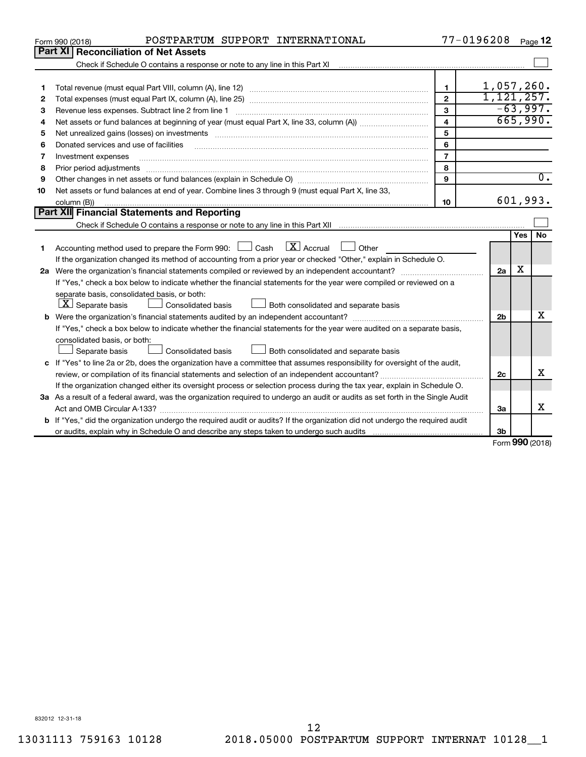|    | POSTPARTUM SUPPORT INTERNATIONAL<br>Form 990 (2018)                                                                                  |                         | 77-0196208     |                   | Page 12          |
|----|--------------------------------------------------------------------------------------------------------------------------------------|-------------------------|----------------|-------------------|------------------|
|    | Part XI   Reconciliation of Net Assets                                                                                               |                         |                |                   |                  |
|    |                                                                                                                                      |                         |                |                   |                  |
|    |                                                                                                                                      |                         |                |                   |                  |
| 1  |                                                                                                                                      | 1                       | $1,057,260$ .  |                   |                  |
| 2  |                                                                                                                                      | $\overline{2}$          | 1, 121, 257.   |                   |                  |
| 3  | Revenue less expenses. Subtract line 2 from line 1                                                                                   | $\mathbf{3}$            |                |                   | $-63,997.$       |
| 4  |                                                                                                                                      | $\overline{\mathbf{4}}$ |                |                   | 665,990.         |
| 5  |                                                                                                                                      | 5                       |                |                   |                  |
| 6  | Donated services and use of facilities                                                                                               | 6                       |                |                   |                  |
| 7  | Investment expenses                                                                                                                  | $\overline{7}$          |                |                   |                  |
| 8  | Prior period adjustments                                                                                                             | 8                       |                |                   |                  |
| 9  |                                                                                                                                      | 9                       |                |                   | $\overline{0}$ . |
| 10 | Net assets or fund balances at end of year. Combine lines 3 through 9 (must equal Part X, line 33,                                   |                         |                |                   |                  |
|    | column (B))                                                                                                                          | 10                      |                |                   | 601,993.         |
|    | Part XII Financial Statements and Reporting                                                                                          |                         |                |                   |                  |
|    |                                                                                                                                      |                         |                |                   |                  |
|    |                                                                                                                                      |                         |                | Yes               | No               |
| 1  | $\lfloor x \rfloor$ Accrual<br>Accounting method used to prepare the Form 990: [130] Cash<br>Other                                   |                         |                |                   |                  |
|    | If the organization changed its method of accounting from a prior year or checked "Other," explain in Schedule O.                    |                         |                |                   |                  |
|    |                                                                                                                                      |                         | 2a             | x                 |                  |
|    | If "Yes," check a box below to indicate whether the financial statements for the year were compiled or reviewed on a                 |                         |                |                   |                  |
|    | separate basis, consolidated basis, or both:                                                                                         |                         |                |                   |                  |
|    | $ \mathbf{X} $ Separate basis<br>Both consolidated and separate basis<br>Consolidated basis                                          |                         |                |                   |                  |
|    |                                                                                                                                      |                         | 2 <sub>b</sub> |                   | x                |
|    | If "Yes," check a box below to indicate whether the financial statements for the year were audited on a separate basis,              |                         |                |                   |                  |
|    | consolidated basis, or both:                                                                                                         |                         |                |                   |                  |
|    | Separate basis<br>Consolidated basis<br>Both consolidated and separate basis                                                         |                         |                |                   |                  |
|    | c If "Yes" to line 2a or 2b, does the organization have a committee that assumes responsibility for oversight of the audit,          |                         |                |                   |                  |
|    |                                                                                                                                      |                         | 2c             |                   | х                |
|    | If the organization changed either its oversight process or selection process during the tax year, explain in Schedule O.            |                         |                |                   |                  |
|    | 3a As a result of a federal award, was the organization required to undergo an audit or audits as set forth in the Single Audit      |                         |                |                   |                  |
|    |                                                                                                                                      |                         | 3a             |                   | x                |
|    | <b>b</b> If "Yes," did the organization undergo the required audit or audits? If the organization did not undergo the required audit |                         |                |                   |                  |
|    |                                                                                                                                      |                         | 3b             | $000 \text{ mas}$ |                  |
|    |                                                                                                                                      |                         |                |                   |                  |

Form (2018) **990**

832012 12-31-18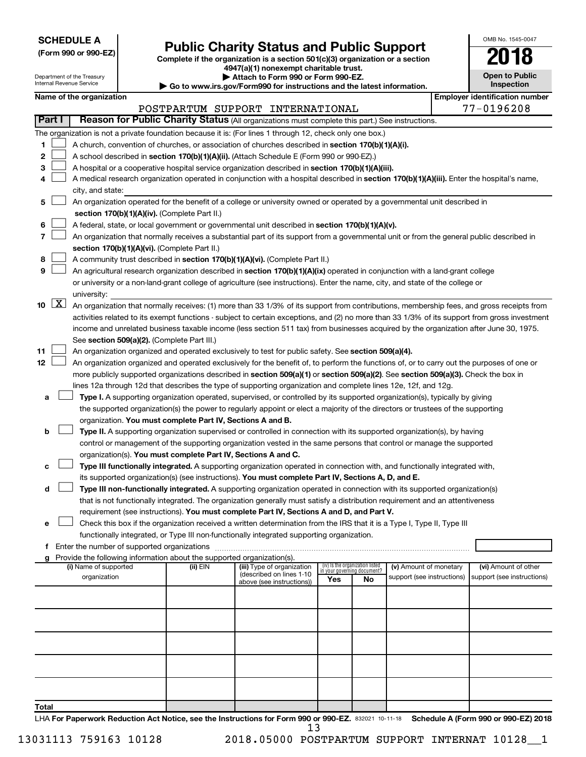**SCHEDULE A**

# Form 990 or 990-EZ) **Public Charity Status and Public Support** Form 990 or 990-EZ) Complete if the organization is a section 501(c)(3) organization or a section

**4947(a)(1) nonexempt charitable trust.**

| OMB No 1545-0047                    |
|-------------------------------------|
| 2018                                |
| <b>Open to Public</b><br>Inspection |

|       |                     | Department of the Treasury<br>Internal Revenue Service |                                                                        | Attach to Form 990 or Form 990-EZ.<br>Go to www.irs.gov/Form990 for instructions and the latest information.                                                                                                                                                                           |                                 |                             |                            | <b>Open to Public</b><br>Inspection   |
|-------|---------------------|--------------------------------------------------------|------------------------------------------------------------------------|----------------------------------------------------------------------------------------------------------------------------------------------------------------------------------------------------------------------------------------------------------------------------------------|---------------------------------|-----------------------------|----------------------------|---------------------------------------|
|       |                     | Name of the organization                               |                                                                        |                                                                                                                                                                                                                                                                                        |                                 |                             |                            | <b>Employer identification number</b> |
|       |                     |                                                        |                                                                        | POSTPARTUM SUPPORT INTERNATIONAL                                                                                                                                                                                                                                                       |                                 |                             |                            | 77-0196208                            |
|       | Part I              |                                                        |                                                                        | Reason for Public Charity Status (All organizations must complete this part.) See instructions.                                                                                                                                                                                        |                                 |                             |                            |                                       |
|       |                     |                                                        |                                                                        | The organization is not a private foundation because it is: (For lines 1 through 12, check only one box.)                                                                                                                                                                              |                                 |                             |                            |                                       |
| 1     |                     |                                                        |                                                                        | A church, convention of churches, or association of churches described in section 170(b)(1)(A)(i).                                                                                                                                                                                     |                                 |                             |                            |                                       |
| 2     |                     |                                                        |                                                                        | A school described in section 170(b)(1)(A)(ii). (Attach Schedule E (Form 990 or 990-EZ).)                                                                                                                                                                                              |                                 |                             |                            |                                       |
| 3     |                     |                                                        |                                                                        | A hospital or a cooperative hospital service organization described in section 170(b)(1)(A)(iii).                                                                                                                                                                                      |                                 |                             |                            |                                       |
| 4     |                     |                                                        |                                                                        | A medical research organization operated in conjunction with a hospital described in section 170(b)(1)(A)(iii). Enter the hospital's name,                                                                                                                                             |                                 |                             |                            |                                       |
|       |                     | city, and state:                                       |                                                                        |                                                                                                                                                                                                                                                                                        |                                 |                             |                            |                                       |
| 5     |                     |                                                        |                                                                        | An organization operated for the benefit of a college or university owned or operated by a governmental unit described in                                                                                                                                                              |                                 |                             |                            |                                       |
|       |                     |                                                        | section 170(b)(1)(A)(iv). (Complete Part II.)                          |                                                                                                                                                                                                                                                                                        |                                 |                             |                            |                                       |
| 6     |                     |                                                        |                                                                        | A federal, state, or local government or governmental unit described in section 170(b)(1)(A)(v).                                                                                                                                                                                       |                                 |                             |                            |                                       |
| 7     |                     |                                                        |                                                                        | An organization that normally receives a substantial part of its support from a governmental unit or from the general public described in                                                                                                                                              |                                 |                             |                            |                                       |
|       |                     |                                                        | section 170(b)(1)(A)(vi). (Complete Part II.)                          |                                                                                                                                                                                                                                                                                        |                                 |                             |                            |                                       |
| 8     |                     |                                                        |                                                                        | A community trust described in section 170(b)(1)(A)(vi). (Complete Part II.)                                                                                                                                                                                                           |                                 |                             |                            |                                       |
| 9     |                     |                                                        |                                                                        | An agricultural research organization described in section 170(b)(1)(A)(ix) operated in conjunction with a land-grant college                                                                                                                                                          |                                 |                             |                            |                                       |
|       |                     |                                                        |                                                                        | or university or a non-land-grant college of agriculture (see instructions). Enter the name, city, and state of the college or                                                                                                                                                         |                                 |                             |                            |                                       |
|       | $\lfloor x \rfloor$ | university:                                            |                                                                        |                                                                                                                                                                                                                                                                                        |                                 |                             |                            |                                       |
| 10    |                     |                                                        |                                                                        | An organization that normally receives: (1) more than 33 1/3% of its support from contributions, membership fees, and gross receipts from                                                                                                                                              |                                 |                             |                            |                                       |
|       |                     |                                                        |                                                                        | activities related to its exempt functions - subject to certain exceptions, and (2) no more than 33 1/3% of its support from gross investment<br>income and unrelated business taxable income (less section 511 tax) from businesses acquired by the organization after June 30, 1975. |                                 |                             |                            |                                       |
|       |                     |                                                        | See section 509(a)(2). (Complete Part III.)                            |                                                                                                                                                                                                                                                                                        |                                 |                             |                            |                                       |
| 11    |                     |                                                        |                                                                        | An organization organized and operated exclusively to test for public safety. See section 509(a)(4).                                                                                                                                                                                   |                                 |                             |                            |                                       |
| 12    |                     |                                                        |                                                                        | An organization organized and operated exclusively for the benefit of, to perform the functions of, or to carry out the purposes of one or                                                                                                                                             |                                 |                             |                            |                                       |
|       |                     |                                                        |                                                                        | more publicly supported organizations described in section 509(a)(1) or section 509(a)(2). See section 509(a)(3). Check the box in                                                                                                                                                     |                                 |                             |                            |                                       |
|       |                     |                                                        |                                                                        | lines 12a through 12d that describes the type of supporting organization and complete lines 12e, 12f, and 12g.                                                                                                                                                                         |                                 |                             |                            |                                       |
| a     |                     |                                                        |                                                                        | Type I. A supporting organization operated, supervised, or controlled by its supported organization(s), typically by giving                                                                                                                                                            |                                 |                             |                            |                                       |
|       |                     |                                                        |                                                                        | the supported organization(s) the power to regularly appoint or elect a majority of the directors or trustees of the supporting                                                                                                                                                        |                                 |                             |                            |                                       |
|       |                     |                                                        | organization. You must complete Part IV, Sections A and B.             |                                                                                                                                                                                                                                                                                        |                                 |                             |                            |                                       |
| b     |                     |                                                        |                                                                        | Type II. A supporting organization supervised or controlled in connection with its supported organization(s), by having                                                                                                                                                                |                                 |                             |                            |                                       |
|       |                     |                                                        |                                                                        | control or management of the supporting organization vested in the same persons that control or manage the supported                                                                                                                                                                   |                                 |                             |                            |                                       |
|       |                     |                                                        | organization(s). You must complete Part IV, Sections A and C.          |                                                                                                                                                                                                                                                                                        |                                 |                             |                            |                                       |
| с     |                     |                                                        |                                                                        | Type III functionally integrated. A supporting organization operated in connection with, and functionally integrated with,                                                                                                                                                             |                                 |                             |                            |                                       |
|       |                     |                                                        |                                                                        | its supported organization(s) (see instructions). You must complete Part IV, Sections A, D, and E.                                                                                                                                                                                     |                                 |                             |                            |                                       |
| d     |                     |                                                        |                                                                        | Type III non-functionally integrated. A supporting organization operated in connection with its supported organization(s)                                                                                                                                                              |                                 |                             |                            |                                       |
|       |                     |                                                        |                                                                        | that is not functionally integrated. The organization generally must satisfy a distribution requirement and an attentiveness                                                                                                                                                           |                                 |                             |                            |                                       |
| e     |                     |                                                        |                                                                        | requirement (see instructions). You must complete Part IV, Sections A and D, and Part V.<br>Check this box if the organization received a written determination from the IRS that it is a Type I, Type II, Type III                                                                    |                                 |                             |                            |                                       |
|       |                     |                                                        |                                                                        | functionally integrated, or Type III non-functionally integrated supporting organization.                                                                                                                                                                                              |                                 |                             |                            |                                       |
|       |                     |                                                        |                                                                        |                                                                                                                                                                                                                                                                                        |                                 |                             |                            |                                       |
|       |                     |                                                        | Provide the following information about the supported organization(s). |                                                                                                                                                                                                                                                                                        |                                 |                             |                            |                                       |
|       |                     | (i) Name of supported                                  | (ii) EIN                                                               | (iii) Type of organization                                                                                                                                                                                                                                                             | (iv) Is the organization listed | in vour aovernina document? | (v) Amount of monetary     | (vi) Amount of other                  |
|       |                     | organization                                           |                                                                        | (described on lines 1-10<br>above (see instructions))                                                                                                                                                                                                                                  | Yes                             | No                          | support (see instructions) | support (see instructions)            |
|       |                     |                                                        |                                                                        |                                                                                                                                                                                                                                                                                        |                                 |                             |                            |                                       |
|       |                     |                                                        |                                                                        |                                                                                                                                                                                                                                                                                        |                                 |                             |                            |                                       |
|       |                     |                                                        |                                                                        |                                                                                                                                                                                                                                                                                        |                                 |                             |                            |                                       |
|       |                     |                                                        |                                                                        |                                                                                                                                                                                                                                                                                        |                                 |                             |                            |                                       |
|       |                     |                                                        |                                                                        |                                                                                                                                                                                                                                                                                        |                                 |                             |                            |                                       |
|       |                     |                                                        |                                                                        |                                                                                                                                                                                                                                                                                        |                                 |                             |                            |                                       |
|       |                     |                                                        |                                                                        |                                                                                                                                                                                                                                                                                        |                                 |                             |                            |                                       |
|       |                     |                                                        |                                                                        |                                                                                                                                                                                                                                                                                        |                                 |                             |                            |                                       |
|       |                     |                                                        |                                                                        |                                                                                                                                                                                                                                                                                        |                                 |                             |                            |                                       |
| Total |                     |                                                        |                                                                        |                                                                                                                                                                                                                                                                                        |                                 |                             |                            |                                       |

LHA For Paperwork Reduction Act Notice, see the Instructions for Form 990 or 990-EZ. 832021 10-11-18 Schedule A (Form 990 or 990-EZ) 2018 13

13031113 759163 10128 2018.05000 POSTPARTUM SUPPORT INTERNAT 10128\_\_1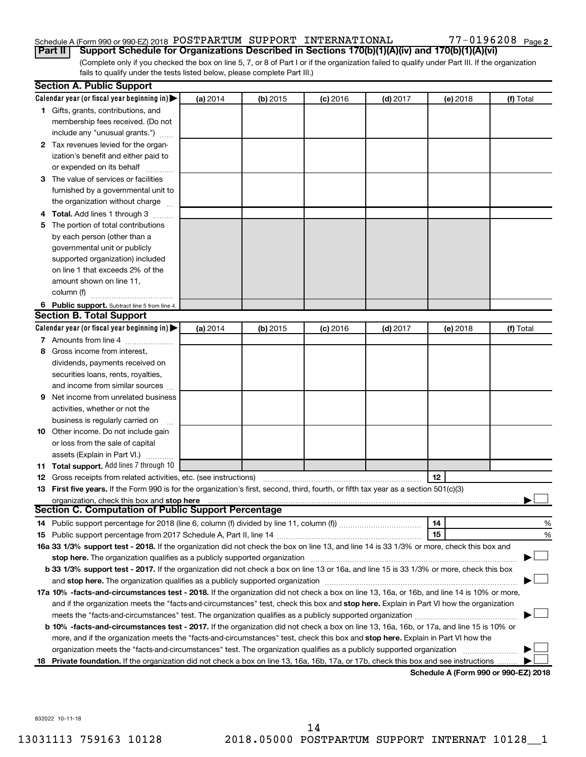#### Schedule A (Form 990 or 990-EZ) 2018  ${\tt POSTPARTUM}$  SUPPORT  ${\tt INTERNATIONAL}$   $77-0196208$   ${\tt Page}$

(Complete only if you checked the box on line 5, 7, or 8 of Part I or if the organization failed to qualify under Part III. If the organization fails to qualify under the tests listed below, please complete Part III.) **Part II** | Support Schedule for Organizations Described in Sections 170(b)(1)(A)(iv) and 170(b)(1)(A)(vi)

| Calendar year (or fiscal year beginning in) $\blacktriangleright$<br>(a) 2014<br>(b) 2015<br>$(c)$ 2016<br>$(d)$ 2017<br>(e) 2018<br>(f) Total<br>1 Gifts, grants, contributions, and<br>membership fees received. (Do not<br>include any "unusual grants.")<br>2 Tax revenues levied for the organ-<br>ization's benefit and either paid to<br>or expended on its behalf<br>3 The value of services or facilities<br>furnished by a governmental unit to<br>the organization without charge<br>4 Total. Add lines 1 through 3<br>The portion of total contributions<br>5.<br>by each person (other than a<br>governmental unit or publicly<br>supported organization) included<br>on line 1 that exceeds 2% of the<br>amount shown on line 11,<br>column (f)<br>6 Public support. Subtract line 5 from line 4.<br><b>Section B. Total Support</b><br>Calendar year (or fiscal year beginning in)<br>(a) 2014<br>(b) 2015<br>$(c)$ 2016<br>$(d)$ 2017<br>(f) Total<br>(e) 2018<br>7 Amounts from line 4<br>Gross income from interest.<br>8<br>dividends, payments received on<br>securities loans, rents, royalties,<br>and income from similar sources<br>Net income from unrelated business<br>9<br>activities, whether or not the<br>business is regularly carried on<br><b>10</b> Other income. Do not include gain<br>or loss from the sale of capital<br>assets (Explain in Part VI.)<br>11 Total support. Add lines 7 through 10<br>12<br><b>12</b> Gross receipts from related activities, etc. (see instructions)<br>13 First five years. If the Form 990 is for the organization's first, second, third, fourth, or fifth tax year as a section 501(c)(3)<br>organization, check this box and stop here<br><b>Section C. Computation of Public Support Percentage</b><br>14<br>%<br>15<br>%<br>16a 33 1/3% support test - 2018. If the organization did not check the box on line 13, and line 14 is 33 1/3% or more, check this box and<br>stop here. The organization qualifies as a publicly supported organization manufaction manufacture or the organization<br>b 33 1/3% support test - 2017. If the organization did not check a box on line 13 or 16a, and line 15 is 33 1/3% or more, check this box<br>17a 10% -facts-and-circumstances test - 2018. If the organization did not check a box on line 13, 16a, or 16b, and line 14 is 10% or more,<br>and if the organization meets the "facts-and-circumstances" test, check this box and stop here. Explain in Part VI how the organization<br>b 10% -facts-and-circumstances test - 2017. If the organization did not check a box on line 13, 16a, 16b, or 17a, and line 15 is 10% or<br>more, and if the organization meets the "facts-and-circumstances" test, check this box and stop here. Explain in Part VI how the<br>organization meets the "facts-and-circumstances" test. The organization qualifies as a publicly supported organization |    | <b>Section A. Public Support</b> |  |  |  |
|-----------------------------------------------------------------------------------------------------------------------------------------------------------------------------------------------------------------------------------------------------------------------------------------------------------------------------------------------------------------------------------------------------------------------------------------------------------------------------------------------------------------------------------------------------------------------------------------------------------------------------------------------------------------------------------------------------------------------------------------------------------------------------------------------------------------------------------------------------------------------------------------------------------------------------------------------------------------------------------------------------------------------------------------------------------------------------------------------------------------------------------------------------------------------------------------------------------------------------------------------------------------------------------------------------------------------------------------------------------------------------------------------------------------------------------------------------------------------------------------------------------------------------------------------------------------------------------------------------------------------------------------------------------------------------------------------------------------------------------------------------------------------------------------------------------------------------------------------------------------------------------------------------------------------------------------------------------------------------------------------------------------------------------------------------------------------------------------------------------------------------------------------------------------------------------------------------------------------------------------------------------------------------------------------------------------------------------------------------------------------------------------------------------------------------------------------------------------------------------------------------------------------------------------------------------------------------------------------------------------------------------------------------------------------------------------------------------------------------------------------------------------------------------------------------------------------------------------------------------------------------------------------------------------------------|----|----------------------------------|--|--|--|
|                                                                                                                                                                                                                                                                                                                                                                                                                                                                                                                                                                                                                                                                                                                                                                                                                                                                                                                                                                                                                                                                                                                                                                                                                                                                                                                                                                                                                                                                                                                                                                                                                                                                                                                                                                                                                                                                                                                                                                                                                                                                                                                                                                                                                                                                                                                                                                                                                                                                                                                                                                                                                                                                                                                                                                                                                                                                                                                             |    |                                  |  |  |  |
|                                                                                                                                                                                                                                                                                                                                                                                                                                                                                                                                                                                                                                                                                                                                                                                                                                                                                                                                                                                                                                                                                                                                                                                                                                                                                                                                                                                                                                                                                                                                                                                                                                                                                                                                                                                                                                                                                                                                                                                                                                                                                                                                                                                                                                                                                                                                                                                                                                                                                                                                                                                                                                                                                                                                                                                                                                                                                                                             |    |                                  |  |  |  |
|                                                                                                                                                                                                                                                                                                                                                                                                                                                                                                                                                                                                                                                                                                                                                                                                                                                                                                                                                                                                                                                                                                                                                                                                                                                                                                                                                                                                                                                                                                                                                                                                                                                                                                                                                                                                                                                                                                                                                                                                                                                                                                                                                                                                                                                                                                                                                                                                                                                                                                                                                                                                                                                                                                                                                                                                                                                                                                                             |    |                                  |  |  |  |
|                                                                                                                                                                                                                                                                                                                                                                                                                                                                                                                                                                                                                                                                                                                                                                                                                                                                                                                                                                                                                                                                                                                                                                                                                                                                                                                                                                                                                                                                                                                                                                                                                                                                                                                                                                                                                                                                                                                                                                                                                                                                                                                                                                                                                                                                                                                                                                                                                                                                                                                                                                                                                                                                                                                                                                                                                                                                                                                             |    |                                  |  |  |  |
|                                                                                                                                                                                                                                                                                                                                                                                                                                                                                                                                                                                                                                                                                                                                                                                                                                                                                                                                                                                                                                                                                                                                                                                                                                                                                                                                                                                                                                                                                                                                                                                                                                                                                                                                                                                                                                                                                                                                                                                                                                                                                                                                                                                                                                                                                                                                                                                                                                                                                                                                                                                                                                                                                                                                                                                                                                                                                                                             |    |                                  |  |  |  |
|                                                                                                                                                                                                                                                                                                                                                                                                                                                                                                                                                                                                                                                                                                                                                                                                                                                                                                                                                                                                                                                                                                                                                                                                                                                                                                                                                                                                                                                                                                                                                                                                                                                                                                                                                                                                                                                                                                                                                                                                                                                                                                                                                                                                                                                                                                                                                                                                                                                                                                                                                                                                                                                                                                                                                                                                                                                                                                                             |    |                                  |  |  |  |
|                                                                                                                                                                                                                                                                                                                                                                                                                                                                                                                                                                                                                                                                                                                                                                                                                                                                                                                                                                                                                                                                                                                                                                                                                                                                                                                                                                                                                                                                                                                                                                                                                                                                                                                                                                                                                                                                                                                                                                                                                                                                                                                                                                                                                                                                                                                                                                                                                                                                                                                                                                                                                                                                                                                                                                                                                                                                                                                             |    |                                  |  |  |  |
|                                                                                                                                                                                                                                                                                                                                                                                                                                                                                                                                                                                                                                                                                                                                                                                                                                                                                                                                                                                                                                                                                                                                                                                                                                                                                                                                                                                                                                                                                                                                                                                                                                                                                                                                                                                                                                                                                                                                                                                                                                                                                                                                                                                                                                                                                                                                                                                                                                                                                                                                                                                                                                                                                                                                                                                                                                                                                                                             |    |                                  |  |  |  |
|                                                                                                                                                                                                                                                                                                                                                                                                                                                                                                                                                                                                                                                                                                                                                                                                                                                                                                                                                                                                                                                                                                                                                                                                                                                                                                                                                                                                                                                                                                                                                                                                                                                                                                                                                                                                                                                                                                                                                                                                                                                                                                                                                                                                                                                                                                                                                                                                                                                                                                                                                                                                                                                                                                                                                                                                                                                                                                                             |    |                                  |  |  |  |
|                                                                                                                                                                                                                                                                                                                                                                                                                                                                                                                                                                                                                                                                                                                                                                                                                                                                                                                                                                                                                                                                                                                                                                                                                                                                                                                                                                                                                                                                                                                                                                                                                                                                                                                                                                                                                                                                                                                                                                                                                                                                                                                                                                                                                                                                                                                                                                                                                                                                                                                                                                                                                                                                                                                                                                                                                                                                                                                             |    |                                  |  |  |  |
|                                                                                                                                                                                                                                                                                                                                                                                                                                                                                                                                                                                                                                                                                                                                                                                                                                                                                                                                                                                                                                                                                                                                                                                                                                                                                                                                                                                                                                                                                                                                                                                                                                                                                                                                                                                                                                                                                                                                                                                                                                                                                                                                                                                                                                                                                                                                                                                                                                                                                                                                                                                                                                                                                                                                                                                                                                                                                                                             |    |                                  |  |  |  |
|                                                                                                                                                                                                                                                                                                                                                                                                                                                                                                                                                                                                                                                                                                                                                                                                                                                                                                                                                                                                                                                                                                                                                                                                                                                                                                                                                                                                                                                                                                                                                                                                                                                                                                                                                                                                                                                                                                                                                                                                                                                                                                                                                                                                                                                                                                                                                                                                                                                                                                                                                                                                                                                                                                                                                                                                                                                                                                                             |    |                                  |  |  |  |
|                                                                                                                                                                                                                                                                                                                                                                                                                                                                                                                                                                                                                                                                                                                                                                                                                                                                                                                                                                                                                                                                                                                                                                                                                                                                                                                                                                                                                                                                                                                                                                                                                                                                                                                                                                                                                                                                                                                                                                                                                                                                                                                                                                                                                                                                                                                                                                                                                                                                                                                                                                                                                                                                                                                                                                                                                                                                                                                             |    |                                  |  |  |  |
|                                                                                                                                                                                                                                                                                                                                                                                                                                                                                                                                                                                                                                                                                                                                                                                                                                                                                                                                                                                                                                                                                                                                                                                                                                                                                                                                                                                                                                                                                                                                                                                                                                                                                                                                                                                                                                                                                                                                                                                                                                                                                                                                                                                                                                                                                                                                                                                                                                                                                                                                                                                                                                                                                                                                                                                                                                                                                                                             |    |                                  |  |  |  |
|                                                                                                                                                                                                                                                                                                                                                                                                                                                                                                                                                                                                                                                                                                                                                                                                                                                                                                                                                                                                                                                                                                                                                                                                                                                                                                                                                                                                                                                                                                                                                                                                                                                                                                                                                                                                                                                                                                                                                                                                                                                                                                                                                                                                                                                                                                                                                                                                                                                                                                                                                                                                                                                                                                                                                                                                                                                                                                                             |    |                                  |  |  |  |
|                                                                                                                                                                                                                                                                                                                                                                                                                                                                                                                                                                                                                                                                                                                                                                                                                                                                                                                                                                                                                                                                                                                                                                                                                                                                                                                                                                                                                                                                                                                                                                                                                                                                                                                                                                                                                                                                                                                                                                                                                                                                                                                                                                                                                                                                                                                                                                                                                                                                                                                                                                                                                                                                                                                                                                                                                                                                                                                             |    |                                  |  |  |  |
|                                                                                                                                                                                                                                                                                                                                                                                                                                                                                                                                                                                                                                                                                                                                                                                                                                                                                                                                                                                                                                                                                                                                                                                                                                                                                                                                                                                                                                                                                                                                                                                                                                                                                                                                                                                                                                                                                                                                                                                                                                                                                                                                                                                                                                                                                                                                                                                                                                                                                                                                                                                                                                                                                                                                                                                                                                                                                                                             |    |                                  |  |  |  |
|                                                                                                                                                                                                                                                                                                                                                                                                                                                                                                                                                                                                                                                                                                                                                                                                                                                                                                                                                                                                                                                                                                                                                                                                                                                                                                                                                                                                                                                                                                                                                                                                                                                                                                                                                                                                                                                                                                                                                                                                                                                                                                                                                                                                                                                                                                                                                                                                                                                                                                                                                                                                                                                                                                                                                                                                                                                                                                                             |    |                                  |  |  |  |
|                                                                                                                                                                                                                                                                                                                                                                                                                                                                                                                                                                                                                                                                                                                                                                                                                                                                                                                                                                                                                                                                                                                                                                                                                                                                                                                                                                                                                                                                                                                                                                                                                                                                                                                                                                                                                                                                                                                                                                                                                                                                                                                                                                                                                                                                                                                                                                                                                                                                                                                                                                                                                                                                                                                                                                                                                                                                                                                             |    |                                  |  |  |  |
|                                                                                                                                                                                                                                                                                                                                                                                                                                                                                                                                                                                                                                                                                                                                                                                                                                                                                                                                                                                                                                                                                                                                                                                                                                                                                                                                                                                                                                                                                                                                                                                                                                                                                                                                                                                                                                                                                                                                                                                                                                                                                                                                                                                                                                                                                                                                                                                                                                                                                                                                                                                                                                                                                                                                                                                                                                                                                                                             |    |                                  |  |  |  |
|                                                                                                                                                                                                                                                                                                                                                                                                                                                                                                                                                                                                                                                                                                                                                                                                                                                                                                                                                                                                                                                                                                                                                                                                                                                                                                                                                                                                                                                                                                                                                                                                                                                                                                                                                                                                                                                                                                                                                                                                                                                                                                                                                                                                                                                                                                                                                                                                                                                                                                                                                                                                                                                                                                                                                                                                                                                                                                                             |    |                                  |  |  |  |
|                                                                                                                                                                                                                                                                                                                                                                                                                                                                                                                                                                                                                                                                                                                                                                                                                                                                                                                                                                                                                                                                                                                                                                                                                                                                                                                                                                                                                                                                                                                                                                                                                                                                                                                                                                                                                                                                                                                                                                                                                                                                                                                                                                                                                                                                                                                                                                                                                                                                                                                                                                                                                                                                                                                                                                                                                                                                                                                             |    |                                  |  |  |  |
|                                                                                                                                                                                                                                                                                                                                                                                                                                                                                                                                                                                                                                                                                                                                                                                                                                                                                                                                                                                                                                                                                                                                                                                                                                                                                                                                                                                                                                                                                                                                                                                                                                                                                                                                                                                                                                                                                                                                                                                                                                                                                                                                                                                                                                                                                                                                                                                                                                                                                                                                                                                                                                                                                                                                                                                                                                                                                                                             |    |                                  |  |  |  |
|                                                                                                                                                                                                                                                                                                                                                                                                                                                                                                                                                                                                                                                                                                                                                                                                                                                                                                                                                                                                                                                                                                                                                                                                                                                                                                                                                                                                                                                                                                                                                                                                                                                                                                                                                                                                                                                                                                                                                                                                                                                                                                                                                                                                                                                                                                                                                                                                                                                                                                                                                                                                                                                                                                                                                                                                                                                                                                                             |    |                                  |  |  |  |
|                                                                                                                                                                                                                                                                                                                                                                                                                                                                                                                                                                                                                                                                                                                                                                                                                                                                                                                                                                                                                                                                                                                                                                                                                                                                                                                                                                                                                                                                                                                                                                                                                                                                                                                                                                                                                                                                                                                                                                                                                                                                                                                                                                                                                                                                                                                                                                                                                                                                                                                                                                                                                                                                                                                                                                                                                                                                                                                             |    |                                  |  |  |  |
|                                                                                                                                                                                                                                                                                                                                                                                                                                                                                                                                                                                                                                                                                                                                                                                                                                                                                                                                                                                                                                                                                                                                                                                                                                                                                                                                                                                                                                                                                                                                                                                                                                                                                                                                                                                                                                                                                                                                                                                                                                                                                                                                                                                                                                                                                                                                                                                                                                                                                                                                                                                                                                                                                                                                                                                                                                                                                                                             |    |                                  |  |  |  |
|                                                                                                                                                                                                                                                                                                                                                                                                                                                                                                                                                                                                                                                                                                                                                                                                                                                                                                                                                                                                                                                                                                                                                                                                                                                                                                                                                                                                                                                                                                                                                                                                                                                                                                                                                                                                                                                                                                                                                                                                                                                                                                                                                                                                                                                                                                                                                                                                                                                                                                                                                                                                                                                                                                                                                                                                                                                                                                                             |    |                                  |  |  |  |
|                                                                                                                                                                                                                                                                                                                                                                                                                                                                                                                                                                                                                                                                                                                                                                                                                                                                                                                                                                                                                                                                                                                                                                                                                                                                                                                                                                                                                                                                                                                                                                                                                                                                                                                                                                                                                                                                                                                                                                                                                                                                                                                                                                                                                                                                                                                                                                                                                                                                                                                                                                                                                                                                                                                                                                                                                                                                                                                             |    |                                  |  |  |  |
|                                                                                                                                                                                                                                                                                                                                                                                                                                                                                                                                                                                                                                                                                                                                                                                                                                                                                                                                                                                                                                                                                                                                                                                                                                                                                                                                                                                                                                                                                                                                                                                                                                                                                                                                                                                                                                                                                                                                                                                                                                                                                                                                                                                                                                                                                                                                                                                                                                                                                                                                                                                                                                                                                                                                                                                                                                                                                                                             |    |                                  |  |  |  |
|                                                                                                                                                                                                                                                                                                                                                                                                                                                                                                                                                                                                                                                                                                                                                                                                                                                                                                                                                                                                                                                                                                                                                                                                                                                                                                                                                                                                                                                                                                                                                                                                                                                                                                                                                                                                                                                                                                                                                                                                                                                                                                                                                                                                                                                                                                                                                                                                                                                                                                                                                                                                                                                                                                                                                                                                                                                                                                                             |    |                                  |  |  |  |
|                                                                                                                                                                                                                                                                                                                                                                                                                                                                                                                                                                                                                                                                                                                                                                                                                                                                                                                                                                                                                                                                                                                                                                                                                                                                                                                                                                                                                                                                                                                                                                                                                                                                                                                                                                                                                                                                                                                                                                                                                                                                                                                                                                                                                                                                                                                                                                                                                                                                                                                                                                                                                                                                                                                                                                                                                                                                                                                             |    |                                  |  |  |  |
|                                                                                                                                                                                                                                                                                                                                                                                                                                                                                                                                                                                                                                                                                                                                                                                                                                                                                                                                                                                                                                                                                                                                                                                                                                                                                                                                                                                                                                                                                                                                                                                                                                                                                                                                                                                                                                                                                                                                                                                                                                                                                                                                                                                                                                                                                                                                                                                                                                                                                                                                                                                                                                                                                                                                                                                                                                                                                                                             |    |                                  |  |  |  |
|                                                                                                                                                                                                                                                                                                                                                                                                                                                                                                                                                                                                                                                                                                                                                                                                                                                                                                                                                                                                                                                                                                                                                                                                                                                                                                                                                                                                                                                                                                                                                                                                                                                                                                                                                                                                                                                                                                                                                                                                                                                                                                                                                                                                                                                                                                                                                                                                                                                                                                                                                                                                                                                                                                                                                                                                                                                                                                                             |    |                                  |  |  |  |
|                                                                                                                                                                                                                                                                                                                                                                                                                                                                                                                                                                                                                                                                                                                                                                                                                                                                                                                                                                                                                                                                                                                                                                                                                                                                                                                                                                                                                                                                                                                                                                                                                                                                                                                                                                                                                                                                                                                                                                                                                                                                                                                                                                                                                                                                                                                                                                                                                                                                                                                                                                                                                                                                                                                                                                                                                                                                                                                             |    |                                  |  |  |  |
|                                                                                                                                                                                                                                                                                                                                                                                                                                                                                                                                                                                                                                                                                                                                                                                                                                                                                                                                                                                                                                                                                                                                                                                                                                                                                                                                                                                                                                                                                                                                                                                                                                                                                                                                                                                                                                                                                                                                                                                                                                                                                                                                                                                                                                                                                                                                                                                                                                                                                                                                                                                                                                                                                                                                                                                                                                                                                                                             |    |                                  |  |  |  |
|                                                                                                                                                                                                                                                                                                                                                                                                                                                                                                                                                                                                                                                                                                                                                                                                                                                                                                                                                                                                                                                                                                                                                                                                                                                                                                                                                                                                                                                                                                                                                                                                                                                                                                                                                                                                                                                                                                                                                                                                                                                                                                                                                                                                                                                                                                                                                                                                                                                                                                                                                                                                                                                                                                                                                                                                                                                                                                                             |    |                                  |  |  |  |
|                                                                                                                                                                                                                                                                                                                                                                                                                                                                                                                                                                                                                                                                                                                                                                                                                                                                                                                                                                                                                                                                                                                                                                                                                                                                                                                                                                                                                                                                                                                                                                                                                                                                                                                                                                                                                                                                                                                                                                                                                                                                                                                                                                                                                                                                                                                                                                                                                                                                                                                                                                                                                                                                                                                                                                                                                                                                                                                             |    |                                  |  |  |  |
|                                                                                                                                                                                                                                                                                                                                                                                                                                                                                                                                                                                                                                                                                                                                                                                                                                                                                                                                                                                                                                                                                                                                                                                                                                                                                                                                                                                                                                                                                                                                                                                                                                                                                                                                                                                                                                                                                                                                                                                                                                                                                                                                                                                                                                                                                                                                                                                                                                                                                                                                                                                                                                                                                                                                                                                                                                                                                                                             |    |                                  |  |  |  |
|                                                                                                                                                                                                                                                                                                                                                                                                                                                                                                                                                                                                                                                                                                                                                                                                                                                                                                                                                                                                                                                                                                                                                                                                                                                                                                                                                                                                                                                                                                                                                                                                                                                                                                                                                                                                                                                                                                                                                                                                                                                                                                                                                                                                                                                                                                                                                                                                                                                                                                                                                                                                                                                                                                                                                                                                                                                                                                                             |    |                                  |  |  |  |
|                                                                                                                                                                                                                                                                                                                                                                                                                                                                                                                                                                                                                                                                                                                                                                                                                                                                                                                                                                                                                                                                                                                                                                                                                                                                                                                                                                                                                                                                                                                                                                                                                                                                                                                                                                                                                                                                                                                                                                                                                                                                                                                                                                                                                                                                                                                                                                                                                                                                                                                                                                                                                                                                                                                                                                                                                                                                                                                             |    |                                  |  |  |  |
|                                                                                                                                                                                                                                                                                                                                                                                                                                                                                                                                                                                                                                                                                                                                                                                                                                                                                                                                                                                                                                                                                                                                                                                                                                                                                                                                                                                                                                                                                                                                                                                                                                                                                                                                                                                                                                                                                                                                                                                                                                                                                                                                                                                                                                                                                                                                                                                                                                                                                                                                                                                                                                                                                                                                                                                                                                                                                                                             |    |                                  |  |  |  |
|                                                                                                                                                                                                                                                                                                                                                                                                                                                                                                                                                                                                                                                                                                                                                                                                                                                                                                                                                                                                                                                                                                                                                                                                                                                                                                                                                                                                                                                                                                                                                                                                                                                                                                                                                                                                                                                                                                                                                                                                                                                                                                                                                                                                                                                                                                                                                                                                                                                                                                                                                                                                                                                                                                                                                                                                                                                                                                                             |    |                                  |  |  |  |
|                                                                                                                                                                                                                                                                                                                                                                                                                                                                                                                                                                                                                                                                                                                                                                                                                                                                                                                                                                                                                                                                                                                                                                                                                                                                                                                                                                                                                                                                                                                                                                                                                                                                                                                                                                                                                                                                                                                                                                                                                                                                                                                                                                                                                                                                                                                                                                                                                                                                                                                                                                                                                                                                                                                                                                                                                                                                                                                             |    |                                  |  |  |  |
|                                                                                                                                                                                                                                                                                                                                                                                                                                                                                                                                                                                                                                                                                                                                                                                                                                                                                                                                                                                                                                                                                                                                                                                                                                                                                                                                                                                                                                                                                                                                                                                                                                                                                                                                                                                                                                                                                                                                                                                                                                                                                                                                                                                                                                                                                                                                                                                                                                                                                                                                                                                                                                                                                                                                                                                                                                                                                                                             |    |                                  |  |  |  |
|                                                                                                                                                                                                                                                                                                                                                                                                                                                                                                                                                                                                                                                                                                                                                                                                                                                                                                                                                                                                                                                                                                                                                                                                                                                                                                                                                                                                                                                                                                                                                                                                                                                                                                                                                                                                                                                                                                                                                                                                                                                                                                                                                                                                                                                                                                                                                                                                                                                                                                                                                                                                                                                                                                                                                                                                                                                                                                                             |    |                                  |  |  |  |
|                                                                                                                                                                                                                                                                                                                                                                                                                                                                                                                                                                                                                                                                                                                                                                                                                                                                                                                                                                                                                                                                                                                                                                                                                                                                                                                                                                                                                                                                                                                                                                                                                                                                                                                                                                                                                                                                                                                                                                                                                                                                                                                                                                                                                                                                                                                                                                                                                                                                                                                                                                                                                                                                                                                                                                                                                                                                                                                             |    |                                  |  |  |  |
|                                                                                                                                                                                                                                                                                                                                                                                                                                                                                                                                                                                                                                                                                                                                                                                                                                                                                                                                                                                                                                                                                                                                                                                                                                                                                                                                                                                                                                                                                                                                                                                                                                                                                                                                                                                                                                                                                                                                                                                                                                                                                                                                                                                                                                                                                                                                                                                                                                                                                                                                                                                                                                                                                                                                                                                                                                                                                                                             |    |                                  |  |  |  |
|                                                                                                                                                                                                                                                                                                                                                                                                                                                                                                                                                                                                                                                                                                                                                                                                                                                                                                                                                                                                                                                                                                                                                                                                                                                                                                                                                                                                                                                                                                                                                                                                                                                                                                                                                                                                                                                                                                                                                                                                                                                                                                                                                                                                                                                                                                                                                                                                                                                                                                                                                                                                                                                                                                                                                                                                                                                                                                                             |    |                                  |  |  |  |
|                                                                                                                                                                                                                                                                                                                                                                                                                                                                                                                                                                                                                                                                                                                                                                                                                                                                                                                                                                                                                                                                                                                                                                                                                                                                                                                                                                                                                                                                                                                                                                                                                                                                                                                                                                                                                                                                                                                                                                                                                                                                                                                                                                                                                                                                                                                                                                                                                                                                                                                                                                                                                                                                                                                                                                                                                                                                                                                             |    |                                  |  |  |  |
| Private foundation. If the organization did not check a box on line 13, 16a, 16b, 17a, or 17b, check this box and see instructions<br>Schedule A (Form 990 or 990-F7) 2018                                                                                                                                                                                                                                                                                                                                                                                                                                                                                                                                                                                                                                                                                                                                                                                                                                                                                                                                                                                                                                                                                                                                                                                                                                                                                                                                                                                                                                                                                                                                                                                                                                                                                                                                                                                                                                                                                                                                                                                                                                                                                                                                                                                                                                                                                                                                                                                                                                                                                                                                                                                                                                                                                                                                                  | 18 |                                  |  |  |  |

**Schedule A (Form 990 or 990-EZ) 2018**

832022 10-11-18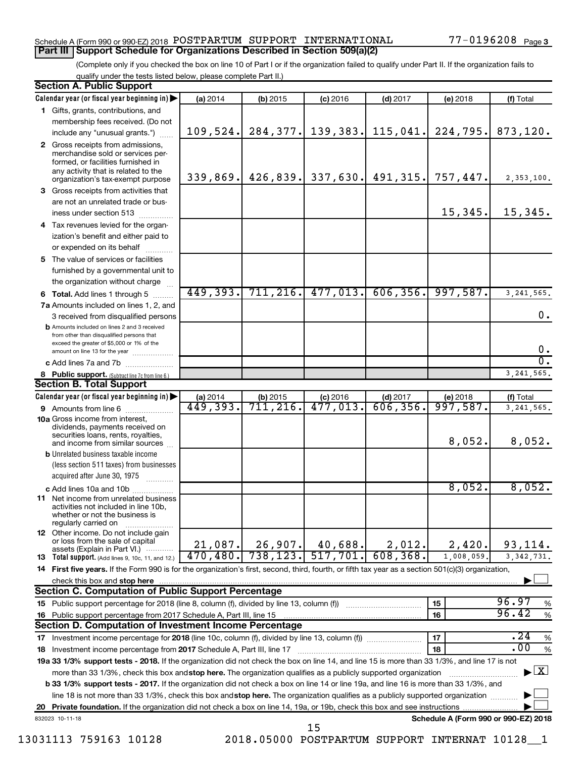#### Schedule A (Form 990 or 990-EZ) 2018  ${\tt POSTPARTUM}$  SUPPORT  ${\tt INTERNATIONAL}$   $77-0196208$   ${\tt Page}$ **Part III | Support Schedule for Organizations Described in Section 509(a)(2)**

(Complete only if you checked the box on line 10 of Part I or if the organization failed to qualify under Part II. If the organization fails to qualify under the tests listed below, please complete Part II.)

|                                                                                                                                 | <b>Section A. Public Support</b>                                                                                                                                                                                                                                                                      |                        |            |                        |            |                                      |               |  |  |  |
|---------------------------------------------------------------------------------------------------------------------------------|-------------------------------------------------------------------------------------------------------------------------------------------------------------------------------------------------------------------------------------------------------------------------------------------------------|------------------------|------------|------------------------|------------|--------------------------------------|---------------|--|--|--|
|                                                                                                                                 | Calendar year (or fiscal year beginning in)                                                                                                                                                                                                                                                           | (a) 2014               | $(b)$ 2015 | $(c)$ 2016             | $(d)$ 2017 | (e) 2018                             | (f) Total     |  |  |  |
|                                                                                                                                 | 1 Gifts, grants, contributions, and                                                                                                                                                                                                                                                                   |                        |            |                        |            |                                      |               |  |  |  |
|                                                                                                                                 | membership fees received. (Do not                                                                                                                                                                                                                                                                     |                        |            |                        |            |                                      |               |  |  |  |
|                                                                                                                                 | include any "unusual grants.")                                                                                                                                                                                                                                                                        | 109,524.               | 284, 377.  | 139, 383.              | 115,041.   | 224,795.                             | 873,120.      |  |  |  |
|                                                                                                                                 | 2 Gross receipts from admissions,<br>merchandise sold or services per-<br>formed, or facilities furnished in<br>any activity that is related to the<br>organization's tax-exempt purpose                                                                                                              | 339,869.               | 426,839.   | 337,630.               | 491, 315.  | 757,447.                             | 2,353,100.    |  |  |  |
|                                                                                                                                 | 3 Gross receipts from activities that                                                                                                                                                                                                                                                                 |                        |            |                        |            |                                      |               |  |  |  |
|                                                                                                                                 | are not an unrelated trade or bus-                                                                                                                                                                                                                                                                    |                        |            |                        |            |                                      |               |  |  |  |
|                                                                                                                                 | iness under section 513                                                                                                                                                                                                                                                                               |                        |            |                        |            | 15,345.                              | 15,345.       |  |  |  |
|                                                                                                                                 | 4 Tax revenues levied for the organ-                                                                                                                                                                                                                                                                  |                        |            |                        |            |                                      |               |  |  |  |
|                                                                                                                                 | ization's benefit and either paid to                                                                                                                                                                                                                                                                  |                        |            |                        |            |                                      |               |  |  |  |
|                                                                                                                                 | or expended on its behalf                                                                                                                                                                                                                                                                             |                        |            |                        |            |                                      |               |  |  |  |
|                                                                                                                                 | 5 The value of services or facilities                                                                                                                                                                                                                                                                 |                        |            |                        |            |                                      |               |  |  |  |
|                                                                                                                                 | furnished by a governmental unit to                                                                                                                                                                                                                                                                   |                        |            |                        |            |                                      |               |  |  |  |
|                                                                                                                                 | the organization without charge                                                                                                                                                                                                                                                                       |                        |            |                        |            |                                      |               |  |  |  |
|                                                                                                                                 | 6 Total. Add lines 1 through 5                                                                                                                                                                                                                                                                        | 449,393.               | 711, 216.  | 477,013.               | 606, 356.  | 997,587.                             | 3, 241, 565.  |  |  |  |
|                                                                                                                                 | 7a Amounts included on lines 1, 2, and                                                                                                                                                                                                                                                                |                        |            |                        |            |                                      |               |  |  |  |
|                                                                                                                                 | 3 received from disqualified persons                                                                                                                                                                                                                                                                  |                        |            |                        |            |                                      | 0.            |  |  |  |
|                                                                                                                                 | <b>b</b> Amounts included on lines 2 and 3 received<br>from other than disqualified persons that<br>exceed the greater of \$5,000 or 1% of the<br>amount on line 13 for the year                                                                                                                      |                        |            |                        |            |                                      | 0.            |  |  |  |
|                                                                                                                                 | c Add lines 7a and 7b                                                                                                                                                                                                                                                                                 |                        |            |                        |            |                                      | σ.            |  |  |  |
|                                                                                                                                 | 8 Public support. (Subtract line 7c from line 6.)                                                                                                                                                                                                                                                     |                        |            |                        |            |                                      | 3, 241, 565.  |  |  |  |
|                                                                                                                                 | <b>Section B. Total Support</b>                                                                                                                                                                                                                                                                       |                        |            |                        |            |                                      |               |  |  |  |
|                                                                                                                                 | Calendar year (or fiscal year beginning in)                                                                                                                                                                                                                                                           | (a) 2014               | $(b)$ 2015 | $(c)$ 2016             | $(d)$ 2017 | (e) 2018                             | (f) Total     |  |  |  |
|                                                                                                                                 | 9 Amounts from line 6                                                                                                                                                                                                                                                                                 | $\overline{449,393}$ . | 711,216.   | $\overline{477,013}$ . | 606, 356.  | 997,587.                             | 3, 241, 565.  |  |  |  |
|                                                                                                                                 | <b>10a</b> Gross income from interest,<br>dividends, payments received on<br>securities loans, rents, royalties,<br>and income from similar sources                                                                                                                                                   |                        |            |                        |            | 8,052.                               | 8,052.        |  |  |  |
|                                                                                                                                 | <b>b</b> Unrelated business taxable income<br>(less section 511 taxes) from businesses<br>acquired after June 30, 1975                                                                                                                                                                                |                        |            |                        |            |                                      |               |  |  |  |
|                                                                                                                                 | c Add lines 10a and 10b                                                                                                                                                                                                                                                                               |                        |            |                        |            | 8,052.                               | 8,052.        |  |  |  |
|                                                                                                                                 | <b>11</b> Net income from unrelated business<br>activities not included in line 10b,<br>whether or not the business is<br>regularly carried on                                                                                                                                                        |                        |            |                        |            |                                      |               |  |  |  |
|                                                                                                                                 | <b>12</b> Other income. Do not include gain<br>or loss from the sale of capital<br>assets (Explain in Part VI.)                                                                                                                                                                                       | 21,087.                | 26,907.    | 40,688.                | 2,012.     | 2,420.                               | 93,114.       |  |  |  |
|                                                                                                                                 | 13 Total support. (Add lines 9, 10c, 11, and 12.)                                                                                                                                                                                                                                                     | 470, 480.              | 738, 123.  | 517,701.               | 608, 368.  | 1,008,059.                           | 3, 342, 731.  |  |  |  |
|                                                                                                                                 | 14 First five years. If the Form 990 is for the organization's first, second, third, fourth, or fifth tax year as a section 501(c)(3) organization,                                                                                                                                                   |                        |            |                        |            |                                      |               |  |  |  |
|                                                                                                                                 | check this box and stop here                                                                                                                                                                                                                                                                          |                        |            |                        |            |                                      |               |  |  |  |
|                                                                                                                                 | <b>Section C. Computation of Public Support Percentage</b>                                                                                                                                                                                                                                            |                        |            |                        |            |                                      |               |  |  |  |
|                                                                                                                                 |                                                                                                                                                                                                                                                                                                       |                        |            |                        |            | 15                                   | 96.97<br>%    |  |  |  |
|                                                                                                                                 | 16 Public support percentage from 2017 Schedule A, Part III, line 15                                                                                                                                                                                                                                  |                        |            |                        |            | 16                                   | 96.42<br>$\%$ |  |  |  |
|                                                                                                                                 | Section D. Computation of Investment Income Percentage                                                                                                                                                                                                                                                |                        |            |                        |            |                                      |               |  |  |  |
|                                                                                                                                 |                                                                                                                                                                                                                                                                                                       |                        |            |                        |            | 17                                   | .24<br>$\%$   |  |  |  |
|                                                                                                                                 | 18 Investment income percentage from 2017 Schedule A, Part III, line 17                                                                                                                                                                                                                               |                        |            |                        |            | 18                                   | .00<br>%      |  |  |  |
|                                                                                                                                 | 19a 33 1/3% support tests - 2018. If the organization did not check the box on line 14, and line 15 is more than 33 1/3%, and line 17 is not                                                                                                                                                          |                        |            |                        |            |                                      |               |  |  |  |
|                                                                                                                                 | $\blacktriangleright$ $\boxed{\text{X}}$<br>more than 33 1/3%, check this box and stop here. The organization qualifies as a publicly supported organization<br>b 33 1/3% support tests - 2017. If the organization did not check a box on line 14 or line 19a, and line 16 is more than 33 1/3%, and |                        |            |                        |            |                                      |               |  |  |  |
|                                                                                                                                 |                                                                                                                                                                                                                                                                                                       |                        |            |                        |            |                                      |               |  |  |  |
| line 18 is not more than 33 1/3%, check this box and stop here. The organization qualifies as a publicly supported organization |                                                                                                                                                                                                                                                                                                       |                        |            |                        |            |                                      |               |  |  |  |
|                                                                                                                                 |                                                                                                                                                                                                                                                                                                       |                        |            |                        |            |                                      |               |  |  |  |
|                                                                                                                                 | 832023 10-11-18                                                                                                                                                                                                                                                                                       |                        |            | 15                     |            | Schedule A (Form 990 or 990-EZ) 2018 |               |  |  |  |

13031113 759163 10128 2018.05000 POSTPARTUM SUPPORT INTERNAT 10128\_\_1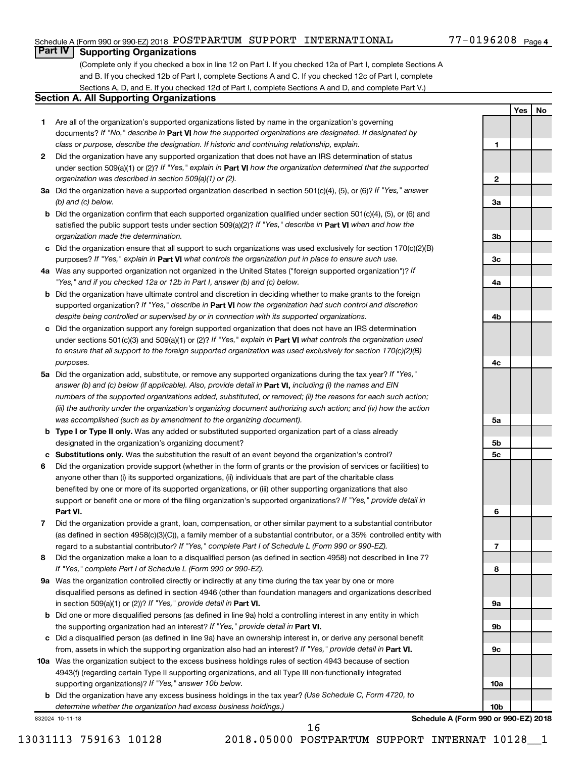#### Schedule A (Form 990 or 990-EZ) 2018 POSTPARTUM SUPPORT INTERNATIONAL  $77\text{--}0196208$  Page

#### 77-0196208 Page 4

**1**

**2**

**3a**

**3b**

**3c**

**4a**

**4b**

**4c**

**5a**

**5b 5c**

**6**

**7**

**8**

**9a**

**9b**

**9c**

**10a**

**10b**

**Yes No**

### **Part IV Supporting Organizations**

(Complete only if you checked a box in line 12 on Part I. If you checked 12a of Part I, complete Sections A and B. If you checked 12b of Part I, complete Sections A and C. If you checked 12c of Part I, complete Sections A, D, and E. If you checked 12d of Part I, complete Sections A and D, and complete Part V.)

#### **Section A. All Supporting Organizations**

- **1** Are all of the organization's supported organizations listed by name in the organization's governing documents? If "No," describe in Part VI how the supported organizations are designated. If designated by *class or purpose, describe the designation. If historic and continuing relationship, explain.*
- **2** Did the organization have any supported organization that does not have an IRS determination of status under section 509(a)(1) or (2)? If "Yes," explain in Part **VI** how the organization determined that the supported *organization was described in section 509(a)(1) or (2).*
- **3a** Did the organization have a supported organization described in section 501(c)(4), (5), or (6)? If "Yes," answer *(b) and (c) below.*
- **b** Did the organization confirm that each supported organization qualified under section 501(c)(4), (5), or (6) and satisfied the public support tests under section 509(a)(2)? If "Yes," describe in Part VI when and how the *organization made the determination.*
- **c** Did the organization ensure that all support to such organizations was used exclusively for section 170(c)(2)(B) purposes? If "Yes," explain in Part VI what controls the organization put in place to ensure such use.
- **4 a** *If* Was any supported organization not organized in the United States ("foreign supported organization")? *"Yes," and if you checked 12a or 12b in Part I, answer (b) and (c) below.*
- **b** Did the organization have ultimate control and discretion in deciding whether to make grants to the foreign supported organization? If "Yes," describe in Part VI how the organization had such control and discretion *despite being controlled or supervised by or in connection with its supported organizations.*
- **c** Did the organization support any foreign supported organization that does not have an IRS determination under sections 501(c)(3) and 509(a)(1) or (2)? If "Yes," explain in Part VI what controls the organization used *to ensure that all support to the foreign supported organization was used exclusively for section 170(c)(2)(B) purposes.*
- **5a** Did the organization add, substitute, or remove any supported organizations during the tax year? If "Yes," answer (b) and (c) below (if applicable). Also, provide detail in **Part VI,** including (i) the names and EIN *numbers of the supported organizations added, substituted, or removed; (ii) the reasons for each such action; (iii) the authority under the organization's organizing document authorizing such action; and (iv) how the action was accomplished (such as by amendment to the organizing document).*
- **b Type I or Type II only.** Was any added or substituted supported organization part of a class already designated in the organization's organizing document?
- **c Substitutions only.**  Was the substitution the result of an event beyond the organization's control?
- **6** Did the organization provide support (whether in the form of grants or the provision of services or facilities) to **Part VI.** support or benefit one or more of the filing organization's supported organizations? If "Yes," provide detail in anyone other than (i) its supported organizations, (ii) individuals that are part of the charitable class benefited by one or more of its supported organizations, or (iii) other supporting organizations that also
- **7** Did the organization provide a grant, loan, compensation, or other similar payment to a substantial contributor regard to a substantial contributor? If "Yes," complete Part I of Schedule L (Form 990 or 990-EZ). (as defined in section 4958(c)(3)(C)), a family member of a substantial contributor, or a 35% controlled entity with
- **8** Did the organization make a loan to a disqualified person (as defined in section 4958) not described in line 7? *If "Yes," complete Part I of Schedule L (Form 990 or 990-EZ).*
- **9 a** Was the organization controlled directly or indirectly at any time during the tax year by one or more in section 509(a)(1) or (2))? If "Yes," provide detail in **Part VI.** disqualified persons as defined in section 4946 (other than foundation managers and organizations described
- **b** Did one or more disqualified persons (as defined in line 9a) hold a controlling interest in any entity in which the supporting organization had an interest? If "Yes," provide detail in Part VI.
- **c** Did a disqualified person (as defined in line 9a) have an ownership interest in, or derive any personal benefit from, assets in which the supporting organization also had an interest? If "Yes," provide detail in Part VI.
- **10 a** Was the organization subject to the excess business holdings rules of section 4943 because of section supporting organizations)? If "Yes," answer 10b below. 4943(f) (regarding certain Type II supporting organizations, and all Type III non-functionally integrated
	- **b** Did the organization have any excess business holdings in the tax year? (Use Schedule C, Form 4720, to *determine whether the organization had excess business holdings.)*

832024 10-11-18

**Schedule A (Form 990 or 990-EZ) 2018**

16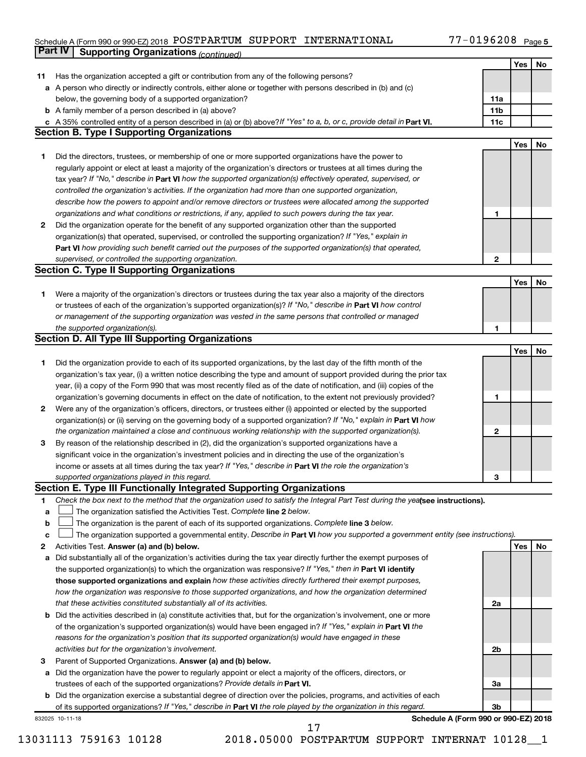#### Schedule A (Form 990 or 990-EZ) 2018 POSTPARTUM SUPPORT INTERNATIONAL //-UI96208 Page POSTPARTUM SUPPORT INTERNATIONAL 77-0196208

|             | Part IV<br><b>Supporting Organizations (continued)</b>                                                                          |                 |     |     |
|-------------|---------------------------------------------------------------------------------------------------------------------------------|-----------------|-----|-----|
|             |                                                                                                                                 |                 | Yes | No  |
| 11          | Has the organization accepted a gift or contribution from any of the following persons?                                         |                 |     |     |
|             | a A person who directly or indirectly controls, either alone or together with persons described in (b) and (c)                  |                 |     |     |
|             | below, the governing body of a supported organization?                                                                          | 11a             |     |     |
|             | <b>b</b> A family member of a person described in (a) above?                                                                    | 11 <sub>b</sub> |     |     |
|             | c A 35% controlled entity of a person described in (a) or (b) above? If "Yes" to a, b, or c, provide detail in Part VI.         | 11c             |     |     |
|             | <b>Section B. Type I Supporting Organizations</b>                                                                               |                 |     |     |
|             |                                                                                                                                 |                 | Yes | No  |
|             |                                                                                                                                 |                 |     |     |
| 1           | Did the directors, trustees, or membership of one or more supported organizations have the power to                             |                 |     |     |
|             | regularly appoint or elect at least a majority of the organization's directors or trustees at all times during the              |                 |     |     |
|             | tax year? If "No," describe in Part VI how the supported organization(s) effectively operated, supervised, or                   |                 |     |     |
|             | controlled the organization's activities. If the organization had more than one supported organization,                         |                 |     |     |
|             | describe how the powers to appoint and/or remove directors or trustees were allocated among the supported                       |                 |     |     |
|             | organizations and what conditions or restrictions, if any, applied to such powers during the tax year.                          | 1               |     |     |
| 2           | Did the organization operate for the benefit of any supported organization other than the supported                             |                 |     |     |
|             | organization(s) that operated, supervised, or controlled the supporting organization? If "Yes," explain in                      |                 |     |     |
|             | Part VI how providing such benefit carried out the purposes of the supported organization(s) that operated,                     |                 |     |     |
|             | supervised, or controlled the supporting organization.                                                                          | 2               |     |     |
|             | <b>Section C. Type II Supporting Organizations</b>                                                                              |                 |     |     |
|             |                                                                                                                                 |                 | Yes | No  |
| 1           | Were a majority of the organization's directors or trustees during the tax year also a majority of the directors                |                 |     |     |
|             | or trustees of each of the organization's supported organization(s)? If "No," describe in Part VI how control                   |                 |     |     |
|             | or management of the supporting organization was vested in the same persons that controlled or managed                          |                 |     |     |
|             | the supported organization(s).                                                                                                  | 1               |     |     |
|             | <b>Section D. All Type III Supporting Organizations</b>                                                                         |                 |     |     |
|             |                                                                                                                                 |                 | Yes | No  |
| 1           | Did the organization provide to each of its supported organizations, by the last day of the fifth month of the                  |                 |     |     |
|             | organization's tax year, (i) a written notice describing the type and amount of support provided during the prior tax           |                 |     |     |
|             | year, (ii) a copy of the Form 990 that was most recently filed as of the date of notification, and (iii) copies of the          |                 |     |     |
|             | organization's governing documents in effect on the date of notification, to the extent not previously provided?                | 1               |     |     |
| 2           | Were any of the organization's officers, directors, or trustees either (i) appointed or elected by the supported                |                 |     |     |
|             | organization(s) or (ii) serving on the governing body of a supported organization? If "No," explain in Part VI how              |                 |     |     |
|             |                                                                                                                                 |                 |     |     |
|             | the organization maintained a close and continuous working relationship with the supported organization(s).                     | 2               |     |     |
| 3           | By reason of the relationship described in (2), did the organization's supported organizations have a                           |                 |     |     |
|             | significant voice in the organization's investment policies and in directing the use of the organization's                      |                 |     |     |
|             | income or assets at all times during the tax year? If "Yes," describe in Part VI the role the organization's                    |                 |     |     |
|             | supported organizations played in this regard.                                                                                  | 3               |     |     |
|             | Section E. Type III Functionally Integrated Supporting Organizations                                                            |                 |     |     |
| 1           | Check the box next to the method that the organization used to satisfy the Integral Part Test during the yealsee instructions). |                 |     |     |
| a           | The organization satisfied the Activities Test. Complete line 2 below.                                                          |                 |     |     |
| $\mathbf b$ | The organization is the parent of each of its supported organizations. Complete line 3 below.                                   |                 |     |     |
| c           | The organization supported a governmental entity. Describe in Part VI how you supported a government entity (see instructions). |                 |     |     |
| 2           | Activities Test. Answer (a) and (b) below.                                                                                      |                 | Yes | No. |
| a           | Did substantially all of the organization's activities during the tax year directly further the exempt purposes of              |                 |     |     |
|             | the supported organization(s) to which the organization was responsive? If "Yes," then in Part VI identify                      |                 |     |     |
|             | those supported organizations and explain how these activities directly furthered their exempt purposes,                        |                 |     |     |
|             | how the organization was responsive to those supported organizations, and how the organization determined                       |                 |     |     |
|             | that these activities constituted substantially all of its activities.                                                          | 2a              |     |     |
|             | <b>b</b> Did the activities described in (a) constitute activities that, but for the organization's involvement, one or more    |                 |     |     |
|             | of the organization's supported organization(s) would have been engaged in? If "Yes," explain in Part VI the                    |                 |     |     |
|             | reasons for the organization's position that its supported organization(s) would have engaged in these                          |                 |     |     |
|             | activities but for the organization's involvement.                                                                              | 2b              |     |     |
| з           | Parent of Supported Organizations. Answer (a) and (b) below.                                                                    |                 |     |     |
|             | a Did the organization have the power to regularly appoint or elect a majority of the officers, directors, or                   |                 |     |     |
|             | trustees of each of the supported organizations? Provide details in Part VI.                                                    | За              |     |     |
|             | <b>b</b> Did the organization exercise a substantial degree of direction over the policies, programs, and activities of each    |                 |     |     |
|             | of its supported organizations? If "Yes," describe in Part VI the role played by the organization in this regard.               | 3b              |     |     |
|             | Schedule A (Form 990 or 990-EZ) 2018<br>832025 10-11-18                                                                         |                 |     |     |
|             |                                                                                                                                 |                 |     |     |

13031113 759163 10128 2018.05000 POSTPARTUM SUPPORT INTERNAT 10128\_\_1 17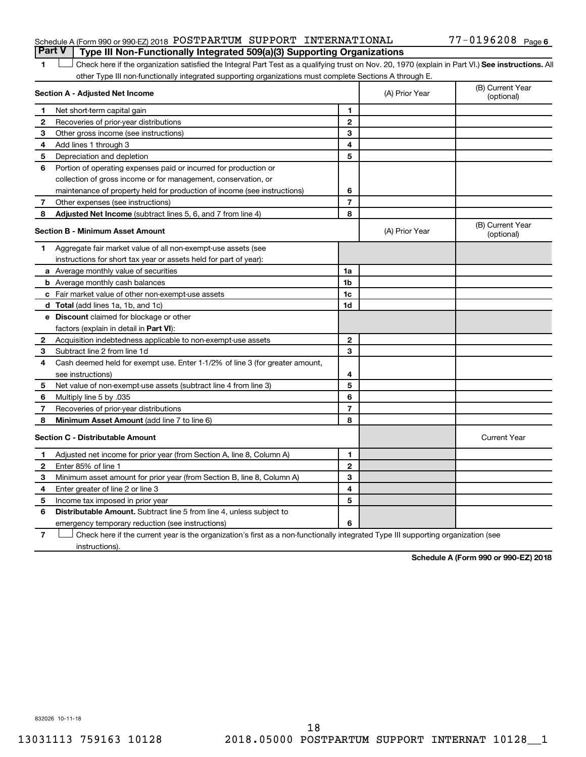#### Schedule A (Form 990 or 990-EZ) 2018  ${\tt POSTPARTUM}$  SUPPORT  ${\tt INTERNATIONAL}$   $77-0196208$   ${\tt Page}$ **Part V Type III Non-Functionally Integrated 509(a)(3) Supporting Organizations**

#### 1 **Letter See instructions.** All Check here if the organization satisfied the Integral Part Test as a qualifying trust on Nov. 20, 1970 (explain in Part VI.) See instructions. All other Type III non-functionally integrated supporting organizations must complete Sections A through E.

|              | Section A - Adjusted Net Income                                              |                | (A) Prior Year | (B) Current Year<br>(optional) |
|--------------|------------------------------------------------------------------------------|----------------|----------------|--------------------------------|
| 1            | Net short-term capital gain                                                  | 1              |                |                                |
| $\mathbf{2}$ | Recoveries of prior-year distributions                                       | $\mathbf{2}$   |                |                                |
| З            | Other gross income (see instructions)                                        | 3              |                |                                |
| 4            | Add lines 1 through 3                                                        | 4              |                |                                |
| 5            | Depreciation and depletion                                                   | 5              |                |                                |
| 6            | Portion of operating expenses paid or incurred for production or             |                |                |                                |
|              | collection of gross income or for management, conservation, or               |                |                |                                |
|              | maintenance of property held for production of income (see instructions)     | 6              |                |                                |
| 7            | Other expenses (see instructions)                                            | $\overline{7}$ |                |                                |
| 8            | <b>Adjusted Net Income</b> (subtract lines 5, 6, and 7 from line 4)          | 8              |                |                                |
|              | <b>Section B - Minimum Asset Amount</b>                                      |                | (A) Prior Year | (B) Current Year<br>(optional) |
| 1            | Aggregate fair market value of all non-exempt-use assets (see                |                |                |                                |
|              | instructions for short tax year or assets held for part of year):            |                |                |                                |
|              | a Average monthly value of securities                                        | 1a             |                |                                |
|              | <b>b</b> Average monthly cash balances                                       | 1b             |                |                                |
|              | c Fair market value of other non-exempt-use assets                           | 1c             |                |                                |
|              | <b>d</b> Total (add lines 1a, 1b, and 1c)                                    | 1d             |                |                                |
|              | e Discount claimed for blockage or other                                     |                |                |                                |
|              | factors (explain in detail in Part VI):                                      |                |                |                                |
| 2            | Acquisition indebtedness applicable to non-exempt-use assets                 | $\mathbf{2}$   |                |                                |
| 3            | Subtract line 2 from line 1d                                                 | 3              |                |                                |
| 4            | Cash deemed held for exempt use. Enter 1-1/2% of line 3 (for greater amount, |                |                |                                |
|              | see instructions)                                                            | 4              |                |                                |
| 5            | Net value of non-exempt-use assets (subtract line 4 from line 3)             | 5              |                |                                |
| 6            | Multiply line 5 by .035                                                      | 6              |                |                                |
| 7            | Recoveries of prior-year distributions                                       | $\overline{7}$ |                |                                |
| 8            | <b>Minimum Asset Amount (add line 7 to line 6)</b>                           | 8              |                |                                |
|              | <b>Section C - Distributable Amount</b>                                      |                |                | <b>Current Year</b>            |
| 1            | Adjusted net income for prior year (from Section A, line 8, Column A)        | 1              |                |                                |
| 2            | Enter 85% of line 1                                                          | $\mathbf{2}$   |                |                                |
| З            | Minimum asset amount for prior year (from Section B, line 8, Column A)       | 3              |                |                                |
| 4            | Enter greater of line 2 or line 3                                            | 4              |                |                                |
| 5            | Income tax imposed in prior year                                             | 5              |                |                                |
| 6            | <b>Distributable Amount.</b> Subtract line 5 from line 4, unless subject to  |                |                |                                |
|              | emergency temporary reduction (see instructions)                             | 6              |                |                                |
|              |                                                                              |                |                |                                |

**7** Check here if the current year is the organization's first as a non-functionally integrated Type III supporting organization (see instructions).

**Schedule A (Form 990 or 990-EZ) 2018**

832026 10-11-18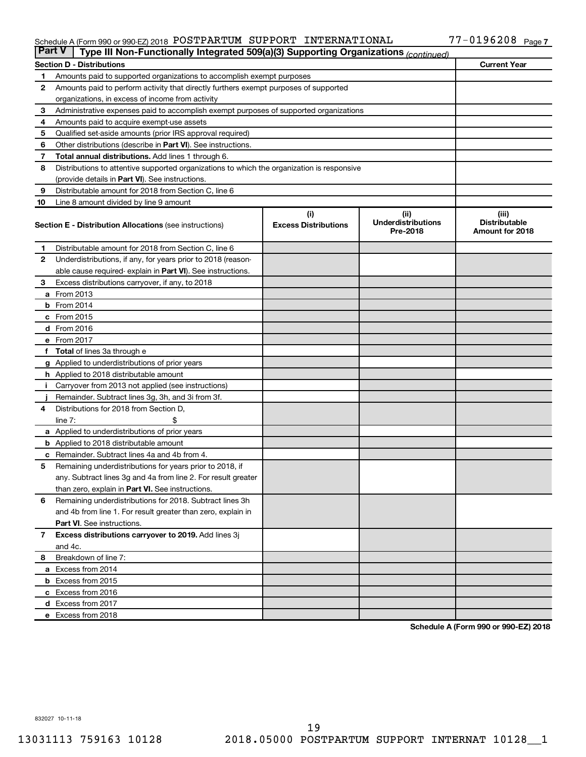#### Schedule A (Form 990 or 990-EZ) 2018 POSTPARTUM SUPPORT INTERNATIONAL //-UI96208 Page POSTPARTUM SUPPORT INTERNATIONAL 77-0196208

| <b>Part V</b>                                                               | Type III Non-Functionally Integrated 509(a)(3) Supporting Organizations (continued)        |                                    |                                               |                                                  |  |  |  |  |  |
|-----------------------------------------------------------------------------|--------------------------------------------------------------------------------------------|------------------------------------|-----------------------------------------------|--------------------------------------------------|--|--|--|--|--|
|                                                                             | <b>Section D - Distributions</b>                                                           |                                    |                                               | <b>Current Year</b>                              |  |  |  |  |  |
| Amounts paid to supported organizations to accomplish exempt purposes<br>1. |                                                                                            |                                    |                                               |                                                  |  |  |  |  |  |
| 2                                                                           | Amounts paid to perform activity that directly furthers exempt purposes of supported       |                                    |                                               |                                                  |  |  |  |  |  |
|                                                                             | organizations, in excess of income from activity                                           |                                    |                                               |                                                  |  |  |  |  |  |
| З                                                                           | Administrative expenses paid to accomplish exempt purposes of supported organizations      |                                    |                                               |                                                  |  |  |  |  |  |
| 4                                                                           | Amounts paid to acquire exempt-use assets                                                  |                                    |                                               |                                                  |  |  |  |  |  |
| 5                                                                           | Qualified set-aside amounts (prior IRS approval required)                                  |                                    |                                               |                                                  |  |  |  |  |  |
| 6                                                                           | Other distributions (describe in <b>Part VI</b> ). See instructions.                       |                                    |                                               |                                                  |  |  |  |  |  |
| 7                                                                           | Total annual distributions. Add lines 1 through 6.                                         |                                    |                                               |                                                  |  |  |  |  |  |
| 8                                                                           | Distributions to attentive supported organizations to which the organization is responsive |                                    |                                               |                                                  |  |  |  |  |  |
|                                                                             | (provide details in Part VI). See instructions.                                            |                                    |                                               |                                                  |  |  |  |  |  |
| 9                                                                           | Distributable amount for 2018 from Section C, line 6                                       |                                    |                                               |                                                  |  |  |  |  |  |
| 10                                                                          | Line 8 amount divided by line 9 amount                                                     |                                    |                                               |                                                  |  |  |  |  |  |
|                                                                             | <b>Section E - Distribution Allocations (see instructions)</b>                             | (i)<br><b>Excess Distributions</b> | (ii)<br><b>Underdistributions</b><br>Pre-2018 | (iii)<br><b>Distributable</b><br>Amount for 2018 |  |  |  |  |  |
| 1.                                                                          | Distributable amount for 2018 from Section C, line 6                                       |                                    |                                               |                                                  |  |  |  |  |  |
| 2                                                                           | Underdistributions, if any, for years prior to 2018 (reason-                               |                                    |                                               |                                                  |  |  |  |  |  |
|                                                                             | able cause required-explain in Part VI). See instructions.                                 |                                    |                                               |                                                  |  |  |  |  |  |
| З                                                                           | Excess distributions carryover, if any, to 2018                                            |                                    |                                               |                                                  |  |  |  |  |  |
|                                                                             | <b>a</b> From 2013                                                                         |                                    |                                               |                                                  |  |  |  |  |  |
|                                                                             | $b$ From 2014                                                                              |                                    |                                               |                                                  |  |  |  |  |  |
|                                                                             | $c$ From 2015                                                                              |                                    |                                               |                                                  |  |  |  |  |  |
|                                                                             | d From 2016                                                                                |                                    |                                               |                                                  |  |  |  |  |  |
|                                                                             | e From 2017                                                                                |                                    |                                               |                                                  |  |  |  |  |  |
|                                                                             | f Total of lines 3a through e                                                              |                                    |                                               |                                                  |  |  |  |  |  |
|                                                                             | <b>g</b> Applied to underdistributions of prior years                                      |                                    |                                               |                                                  |  |  |  |  |  |
|                                                                             | <b>h</b> Applied to 2018 distributable amount                                              |                                    |                                               |                                                  |  |  |  |  |  |
| Ť.                                                                          | Carryover from 2013 not applied (see instructions)                                         |                                    |                                               |                                                  |  |  |  |  |  |
|                                                                             | Remainder. Subtract lines 3g, 3h, and 3i from 3f.                                          |                                    |                                               |                                                  |  |  |  |  |  |
| 4                                                                           | Distributions for 2018 from Section D.                                                     |                                    |                                               |                                                  |  |  |  |  |  |
|                                                                             | line $7:$                                                                                  |                                    |                                               |                                                  |  |  |  |  |  |
|                                                                             | <b>a</b> Applied to underdistributions of prior years                                      |                                    |                                               |                                                  |  |  |  |  |  |
|                                                                             | <b>b</b> Applied to 2018 distributable amount                                              |                                    |                                               |                                                  |  |  |  |  |  |
|                                                                             | <b>c</b> Remainder. Subtract lines 4a and 4b from 4.                                       |                                    |                                               |                                                  |  |  |  |  |  |
| 5                                                                           | Remaining underdistributions for years prior to 2018, if                                   |                                    |                                               |                                                  |  |  |  |  |  |
|                                                                             | any. Subtract lines 3g and 4a from line 2. For result greater                              |                                    |                                               |                                                  |  |  |  |  |  |
|                                                                             | than zero, explain in Part VI. See instructions.                                           |                                    |                                               |                                                  |  |  |  |  |  |
| 6                                                                           | Remaining underdistributions for 2018. Subtract lines 3h                                   |                                    |                                               |                                                  |  |  |  |  |  |
|                                                                             | and 4b from line 1. For result greater than zero, explain in                               |                                    |                                               |                                                  |  |  |  |  |  |
|                                                                             | <b>Part VI.</b> See instructions.                                                          |                                    |                                               |                                                  |  |  |  |  |  |
| 7                                                                           | Excess distributions carryover to 2019. Add lines 3j                                       |                                    |                                               |                                                  |  |  |  |  |  |
|                                                                             | and 4c.                                                                                    |                                    |                                               |                                                  |  |  |  |  |  |
| 8                                                                           | Breakdown of line 7:                                                                       |                                    |                                               |                                                  |  |  |  |  |  |
|                                                                             | a Excess from 2014                                                                         |                                    |                                               |                                                  |  |  |  |  |  |
|                                                                             | <b>b</b> Excess from 2015                                                                  |                                    |                                               |                                                  |  |  |  |  |  |
|                                                                             | c Excess from 2016                                                                         |                                    |                                               |                                                  |  |  |  |  |  |
|                                                                             | d Excess from 2017                                                                         |                                    |                                               |                                                  |  |  |  |  |  |
|                                                                             | e Excess from 2018                                                                         |                                    |                                               |                                                  |  |  |  |  |  |

**Schedule A (Form 990 or 990-EZ) 2018**

832027 10-11-18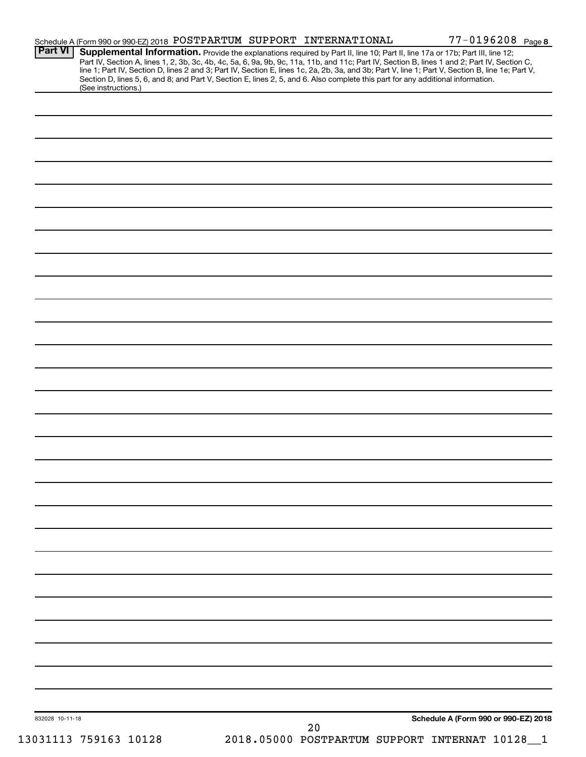|                 | Schedule A (Form 990 or 990-EZ) 2018 POSTPARTUM SUPPORT INTERNATIONAL                                                                                                                                                                                                                                                                                                                                                                                                                                                                                                |  |    | 77-0196208 Page 8                            |              |
|-----------------|----------------------------------------------------------------------------------------------------------------------------------------------------------------------------------------------------------------------------------------------------------------------------------------------------------------------------------------------------------------------------------------------------------------------------------------------------------------------------------------------------------------------------------------------------------------------|--|----|----------------------------------------------|--------------|
| <b>Part VI</b>  | Supplemental Information. Provide the explanations required by Part II, line 10; Part II, line 17a or 17b; Part III, line 12;<br>Part IV, Section A, lines 1, 2, 3b, 3c, 4b, 4c, 5a, 6, 9a, 9b, 9c, 11a, 11b, and 11c; Part IV, Section B, lines 1 and 2; Part IV, Section C,<br>line 1; Part IV, Section D, lines 2 and 3; Part IV, Section E, lines 1c, 2a, 2b, 3a, and 3b; Part V, line 1; Part V, Section B, line 1e; Part V,<br>Section D, lines 5, 6, and 8; and Part V, Section E, lines 2, 5, and 6. Also complete this part for any additional information. |  |    |                                              |              |
|                 | (See instructions.)                                                                                                                                                                                                                                                                                                                                                                                                                                                                                                                                                  |  |    |                                              |              |
|                 |                                                                                                                                                                                                                                                                                                                                                                                                                                                                                                                                                                      |  |    |                                              |              |
|                 |                                                                                                                                                                                                                                                                                                                                                                                                                                                                                                                                                                      |  |    |                                              |              |
|                 |                                                                                                                                                                                                                                                                                                                                                                                                                                                                                                                                                                      |  |    |                                              |              |
|                 |                                                                                                                                                                                                                                                                                                                                                                                                                                                                                                                                                                      |  |    |                                              |              |
|                 |                                                                                                                                                                                                                                                                                                                                                                                                                                                                                                                                                                      |  |    |                                              |              |
|                 |                                                                                                                                                                                                                                                                                                                                                                                                                                                                                                                                                                      |  |    |                                              |              |
|                 |                                                                                                                                                                                                                                                                                                                                                                                                                                                                                                                                                                      |  |    |                                              |              |
|                 |                                                                                                                                                                                                                                                                                                                                                                                                                                                                                                                                                                      |  |    |                                              |              |
|                 |                                                                                                                                                                                                                                                                                                                                                                                                                                                                                                                                                                      |  |    |                                              |              |
|                 |                                                                                                                                                                                                                                                                                                                                                                                                                                                                                                                                                                      |  |    |                                              |              |
|                 |                                                                                                                                                                                                                                                                                                                                                                                                                                                                                                                                                                      |  |    |                                              |              |
|                 |                                                                                                                                                                                                                                                                                                                                                                                                                                                                                                                                                                      |  |    |                                              |              |
|                 |                                                                                                                                                                                                                                                                                                                                                                                                                                                                                                                                                                      |  |    |                                              |              |
|                 |                                                                                                                                                                                                                                                                                                                                                                                                                                                                                                                                                                      |  |    |                                              |              |
|                 |                                                                                                                                                                                                                                                                                                                                                                                                                                                                                                                                                                      |  |    |                                              |              |
|                 |                                                                                                                                                                                                                                                                                                                                                                                                                                                                                                                                                                      |  |    |                                              |              |
|                 |                                                                                                                                                                                                                                                                                                                                                                                                                                                                                                                                                                      |  |    |                                              |              |
|                 |                                                                                                                                                                                                                                                                                                                                                                                                                                                                                                                                                                      |  |    |                                              |              |
|                 |                                                                                                                                                                                                                                                                                                                                                                                                                                                                                                                                                                      |  |    |                                              |              |
|                 |                                                                                                                                                                                                                                                                                                                                                                                                                                                                                                                                                                      |  |    |                                              |              |
|                 |                                                                                                                                                                                                                                                                                                                                                                                                                                                                                                                                                                      |  |    |                                              |              |
|                 |                                                                                                                                                                                                                                                                                                                                                                                                                                                                                                                                                                      |  |    |                                              |              |
|                 |                                                                                                                                                                                                                                                                                                                                                                                                                                                                                                                                                                      |  |    |                                              |              |
|                 |                                                                                                                                                                                                                                                                                                                                                                                                                                                                                                                                                                      |  |    |                                              |              |
|                 |                                                                                                                                                                                                                                                                                                                                                                                                                                                                                                                                                                      |  |    |                                              |              |
|                 |                                                                                                                                                                                                                                                                                                                                                                                                                                                                                                                                                                      |  |    |                                              |              |
|                 |                                                                                                                                                                                                                                                                                                                                                                                                                                                                                                                                                                      |  |    |                                              |              |
|                 |                                                                                                                                                                                                                                                                                                                                                                                                                                                                                                                                                                      |  |    |                                              |              |
|                 |                                                                                                                                                                                                                                                                                                                                                                                                                                                                                                                                                                      |  |    |                                              |              |
|                 |                                                                                                                                                                                                                                                                                                                                                                                                                                                                                                                                                                      |  |    |                                              |              |
|                 |                                                                                                                                                                                                                                                                                                                                                                                                                                                                                                                                                                      |  |    |                                              |              |
|                 |                                                                                                                                                                                                                                                                                                                                                                                                                                                                                                                                                                      |  |    |                                              |              |
|                 |                                                                                                                                                                                                                                                                                                                                                                                                                                                                                                                                                                      |  |    |                                              |              |
|                 |                                                                                                                                                                                                                                                                                                                                                                                                                                                                                                                                                                      |  |    |                                              |              |
|                 |                                                                                                                                                                                                                                                                                                                                                                                                                                                                                                                                                                      |  |    |                                              |              |
| 832028 10-11-18 |                                                                                                                                                                                                                                                                                                                                                                                                                                                                                                                                                                      |  | 20 | Schedule A (Form 990 or 990-EZ) 2018         |              |
|                 | 13031113 759163 10128                                                                                                                                                                                                                                                                                                                                                                                                                                                                                                                                                |  |    | 2018.05000 POSTPARTUM SUPPORT INTERNAT 10128 | $\mathbf{1}$ |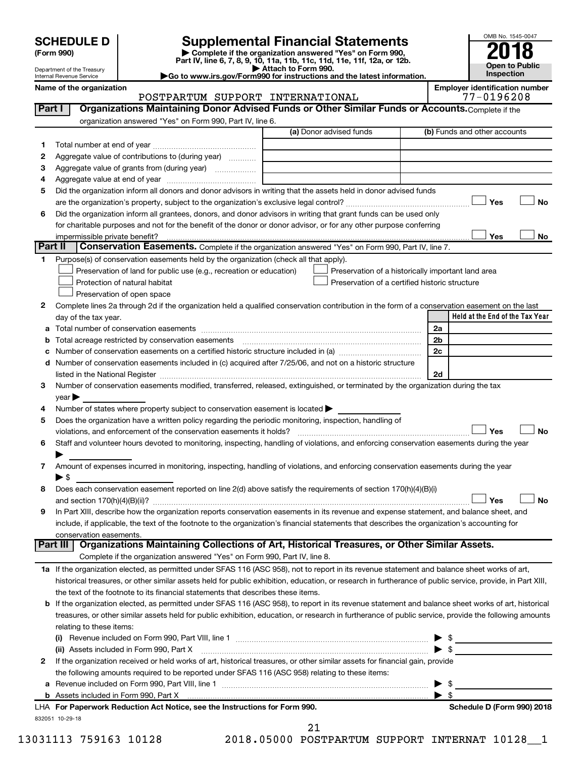| <b>SCHEDULE D</b> |  |
|-------------------|--|
|-------------------|--|

# SCHEDULE D<br>(Form 990) **Supplemental Financial Statements**<br>(Form 990) **2018**

**(Form 990) | Complete if the organization answered "Yes" on Form 990, Part IV, line 6, 7, 8, 9, 10, 11a, 11b, 11c, 11d, 11e, 11f, 12a, or 12b.**



|    | Department of the Treasury<br>Internal Revenue Service |                                                                                                                                                                                                                               | Attach to Form 990.<br>Go to www.irs.gov/Form990 for instructions and the latest information. |     | <b>Open to Public</b><br>Inspection   |
|----|--------------------------------------------------------|-------------------------------------------------------------------------------------------------------------------------------------------------------------------------------------------------------------------------------|-----------------------------------------------------------------------------------------------|-----|---------------------------------------|
|    | Name of the organization                               |                                                                                                                                                                                                                               |                                                                                               |     | <b>Employer identification number</b> |
|    |                                                        | POSTPARTUM SUPPORT INTERNATIONAL                                                                                                                                                                                              |                                                                                               |     | 77-0196208                            |
|    | Part I                                                 | Organizations Maintaining Donor Advised Funds or Other Similar Funds or Accounts. Complete if the                                                                                                                             |                                                                                               |     |                                       |
|    |                                                        | organization answered "Yes" on Form 990, Part IV, line 6.                                                                                                                                                                     |                                                                                               |     |                                       |
|    |                                                        |                                                                                                                                                                                                                               | (a) Donor advised funds                                                                       |     | (b) Funds and other accounts          |
| 1. |                                                        |                                                                                                                                                                                                                               |                                                                                               |     |                                       |
| 2  |                                                        | Aggregate value of contributions to (during year)                                                                                                                                                                             |                                                                                               |     |                                       |
| 3  |                                                        | Aggregate value of grants from (during year)                                                                                                                                                                                  |                                                                                               |     |                                       |
| 4  |                                                        |                                                                                                                                                                                                                               |                                                                                               |     |                                       |
| 5  |                                                        | Did the organization inform all donors and donor advisors in writing that the assets held in donor advised funds                                                                                                              |                                                                                               |     |                                       |
|    |                                                        |                                                                                                                                                                                                                               |                                                                                               |     | Yes<br>No                             |
| 6  |                                                        | Did the organization inform all grantees, donors, and donor advisors in writing that grant funds can be used only                                                                                                             |                                                                                               |     |                                       |
|    |                                                        | for charitable purposes and not for the benefit of the donor or donor advisor, or for any other purpose conferring                                                                                                            |                                                                                               |     |                                       |
|    | impermissible private benefit?<br>Part II              | Conservation Easements. Complete if the organization answered "Yes" on Form 990, Part IV, line 7.                                                                                                                             |                                                                                               |     | Yes<br>No                             |
| 1  |                                                        | Purpose(s) of conservation easements held by the organization (check all that apply).                                                                                                                                         |                                                                                               |     |                                       |
|    |                                                        | Preservation of land for public use (e.g., recreation or education)                                                                                                                                                           | Preservation of a historically important land area                                            |     |                                       |
|    |                                                        | Protection of natural habitat                                                                                                                                                                                                 | Preservation of a certified historic structure                                                |     |                                       |
|    |                                                        | Preservation of open space                                                                                                                                                                                                    |                                                                                               |     |                                       |
| 2  |                                                        | Complete lines 2a through 2d if the organization held a qualified conservation contribution in the form of a conservation easement on the last                                                                                |                                                                                               |     |                                       |
|    | day of the tax year.                                   |                                                                                                                                                                                                                               |                                                                                               |     | Held at the End of the Tax Year       |
|    |                                                        |                                                                                                                                                                                                                               |                                                                                               | 2a  |                                       |
| b  |                                                        | Total acreage restricted by conservation easements                                                                                                                                                                            |                                                                                               | 2b  |                                       |
|    |                                                        |                                                                                                                                                                                                                               |                                                                                               | 2c  |                                       |
| d  |                                                        | Number of conservation easements included in (c) acquired after 7/25/06, and not on a historic structure                                                                                                                      |                                                                                               |     |                                       |
|    |                                                        | listed in the National Register [111] Marshall Register [11] Marshall Register [11] Marshall Register [11] Marshall Register [11] Marshall Register [11] Marshall Register [11] Marshall Register [11] Marshall Register [11] |                                                                                               | 2d  |                                       |
| З  |                                                        | Number of conservation easements modified, transferred, released, extinguished, or terminated by the organization during the tax                                                                                              |                                                                                               |     |                                       |
|    | $year \triangleright$                                  |                                                                                                                                                                                                                               |                                                                                               |     |                                       |
| 4  |                                                        | Number of states where property subject to conservation easement is located >                                                                                                                                                 |                                                                                               |     |                                       |
| 5  |                                                        | Does the organization have a written policy regarding the periodic monitoring, inspection, handling of                                                                                                                        |                                                                                               |     |                                       |
|    |                                                        | violations, and enforcement of the conservation easements it holds?                                                                                                                                                           |                                                                                               |     | Yes<br><b>No</b>                      |
| 6  |                                                        | Staff and volunteer hours devoted to monitoring, inspecting, handling of violations, and enforcing conservation easements during the year                                                                                     |                                                                                               |     |                                       |
|    |                                                        | Amount of expenses incurred in monitoring, inspecting, handling of violations, and enforcing conservation easements during the year                                                                                           |                                                                                               |     |                                       |
| 7  | $\blacktriangleright$ \$                               |                                                                                                                                                                                                                               |                                                                                               |     |                                       |
| 8  |                                                        | Does each conservation easement reported on line 2(d) above satisfy the requirements of section 170(h)(4)(B)(i)                                                                                                               |                                                                                               |     |                                       |
|    |                                                        |                                                                                                                                                                                                                               |                                                                                               |     | Yes<br>No                             |
| 9  |                                                        | In Part XIII, describe how the organization reports conservation easements in its revenue and expense statement, and balance sheet, and                                                                                       |                                                                                               |     |                                       |
|    |                                                        | include, if applicable, the text of the footnote to the organization's financial statements that describes the organization's accounting for                                                                                  |                                                                                               |     |                                       |
|    | conservation easements.                                |                                                                                                                                                                                                                               |                                                                                               |     |                                       |
|    | Part III                                               | Organizations Maintaining Collections of Art, Historical Treasures, or Other Similar Assets.                                                                                                                                  |                                                                                               |     |                                       |
|    |                                                        | Complete if the organization answered "Yes" on Form 990, Part IV, line 8.                                                                                                                                                     |                                                                                               |     |                                       |
|    |                                                        | 1a If the organization elected, as permitted under SFAS 116 (ASC 958), not to report in its revenue statement and balance sheet works of art,                                                                                 |                                                                                               |     |                                       |
|    |                                                        | historical treasures, or other similar assets held for public exhibition, education, or research in furtherance of public service, provide, in Part XIII,                                                                     |                                                                                               |     |                                       |
|    |                                                        | the text of the footnote to its financial statements that describes these items.                                                                                                                                              |                                                                                               |     |                                       |
| b  |                                                        | If the organization elected, as permitted under SFAS 116 (ASC 958), to report in its revenue statement and balance sheet works of art, historical                                                                             |                                                                                               |     |                                       |
|    |                                                        | treasures, or other similar assets held for public exhibition, education, or research in furtherance of public service, provide the following amounts                                                                         |                                                                                               |     |                                       |
|    | relating to these items:                               |                                                                                                                                                                                                                               |                                                                                               |     |                                       |
|    |                                                        |                                                                                                                                                                                                                               |                                                                                               | -\$ |                                       |
|    |                                                        | (ii) Assets included in Form 990, Part X                                                                                                                                                                                      |                                                                                               | \$  |                                       |
| 2  |                                                        | If the organization received or held works of art, historical treasures, or other similar assets for financial gain, provide                                                                                                  |                                                                                               |     |                                       |

**a** Revenue included on Form 990, Part VIII, line 1 ~~~~~~~~~~~~~~~~~~~~~~~~~~~~~~ | \$ **For Paperwork Reduction Act Notice, see the Instructions for Form 990. Schedule D (Form 990) 2018** LHA Assets included in Form 990, Part X | \$

the following amounts required to be reported under SFAS 116 (ASC 958) relating to these items:

832051 10-29-18

**b**

13031113 759163 10128 2018.05000 POSTPARTUM SUPPORT INTERNAT 10128\_\_1 21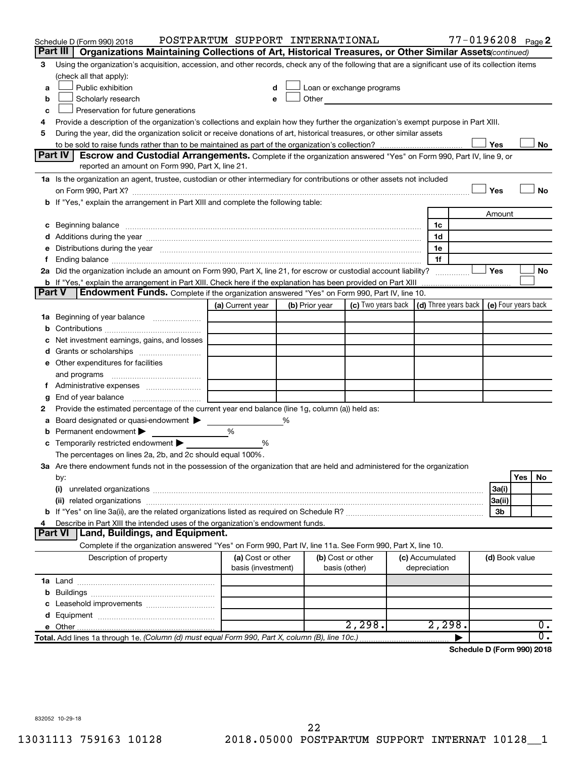|               | Schedule D (Form 990) 2018                                                                                                                                                                                                     | POSTPARTUM SUPPORT INTERNATIONAL |   |                |                                                         |  |                 | 77-0196208 Page 2          |                     |     |           |
|---------------|--------------------------------------------------------------------------------------------------------------------------------------------------------------------------------------------------------------------------------|----------------------------------|---|----------------|---------------------------------------------------------|--|-----------------|----------------------------|---------------------|-----|-----------|
|               | Part III<br>Organizations Maintaining Collections of Art, Historical Treasures, or Other Similar Assets(continued)                                                                                                             |                                  |   |                |                                                         |  |                 |                            |                     |     |           |
| 3             | Using the organization's acquisition, accession, and other records, check any of the following that are a significant use of its collection items                                                                              |                                  |   |                |                                                         |  |                 |                            |                     |     |           |
|               | (check all that apply):                                                                                                                                                                                                        |                                  |   |                |                                                         |  |                 |                            |                     |     |           |
| a             | Public exhibition                                                                                                                                                                                                              |                                  |   |                | Loan or exchange programs                               |  |                 |                            |                     |     |           |
| b             | Scholarly research                                                                                                                                                                                                             | e                                |   |                | Other <b>Communication</b>                              |  |                 |                            |                     |     |           |
| с             | Preservation for future generations                                                                                                                                                                                            |                                  |   |                |                                                         |  |                 |                            |                     |     |           |
| 4             | Provide a description of the organization's collections and explain how they further the organization's exempt purpose in Part XIII.                                                                                           |                                  |   |                |                                                         |  |                 |                            |                     |     |           |
| 5             | During the year, did the organization solicit or receive donations of art, historical treasures, or other similar assets                                                                                                       |                                  |   |                |                                                         |  |                 |                            |                     |     |           |
|               | Yes<br>No<br>Escrow and Custodial Arrangements. Complete if the organization answered "Yes" on Form 990, Part IV, line 9, or                                                                                                   |                                  |   |                |                                                         |  |                 |                            |                     |     |           |
|               | Part IV I                                                                                                                                                                                                                      |                                  |   |                |                                                         |  |                 |                            |                     |     |           |
|               | reported an amount on Form 990, Part X, line 21.                                                                                                                                                                               |                                  |   |                |                                                         |  |                 |                            |                     |     |           |
|               | 1a Is the organization an agent, trustee, custodian or other intermediary for contributions or other assets not included                                                                                                       |                                  |   |                |                                                         |  |                 |                            |                     |     |           |
|               |                                                                                                                                                                                                                                |                                  |   |                |                                                         |  |                 |                            | Yes                 |     | <b>No</b> |
|               | b If "Yes," explain the arrangement in Part XIII and complete the following table:                                                                                                                                             |                                  |   |                |                                                         |  |                 |                            |                     |     |           |
|               |                                                                                                                                                                                                                                |                                  |   |                |                                                         |  |                 |                            | Amount              |     |           |
| с             | Beginning balance measurements and contain the contract of the contract of the contract of the contract of the                                                                                                                 |                                  |   |                |                                                         |  | 1c              |                            |                     |     |           |
|               |                                                                                                                                                                                                                                |                                  |   |                |                                                         |  | 1d              |                            |                     |     |           |
| е             | Distributions during the year manufactured and an account of the year manufactured and the year manufactured and the year manufactured and the year manufactured and the year manufactured and the year manufactured and the y |                                  |   |                |                                                         |  | 1e              |                            |                     |     |           |
| f.            | 2a Did the organization include an amount on Form 990, Part X, line 21, for escrow or custodial account liability?                                                                                                             |                                  |   |                |                                                         |  | 1f              |                            | Yes                 |     | No        |
|               | b If "Yes," explain the arrangement in Part XIII. Check here if the explanation has been provided on Part XIII                                                                                                                 |                                  |   |                |                                                         |  |                 |                            |                     |     |           |
| <b>Part V</b> | Endowment Funds. Complete if the organization answered "Yes" on Form 990, Part IV, line 10.                                                                                                                                    |                                  |   |                |                                                         |  |                 |                            |                     |     |           |
|               |                                                                                                                                                                                                                                | (a) Current year                 |   | (b) Prior year | (c) Two years back $\vert$ (d) Three years back $\vert$ |  |                 |                            | (e) Four years back |     |           |
|               | 1a Beginning of year balance                                                                                                                                                                                                   |                                  |   |                |                                                         |  |                 |                            |                     |     |           |
| b             |                                                                                                                                                                                                                                |                                  |   |                |                                                         |  |                 |                            |                     |     |           |
| с             | Net investment earnings, gains, and losses                                                                                                                                                                                     |                                  |   |                |                                                         |  |                 |                            |                     |     |           |
| d             | Grants or scholarships                                                                                                                                                                                                         |                                  |   |                |                                                         |  |                 |                            |                     |     |           |
|               | e Other expenditures for facilities                                                                                                                                                                                            |                                  |   |                |                                                         |  |                 |                            |                     |     |           |
|               | and programs                                                                                                                                                                                                                   |                                  |   |                |                                                         |  |                 |                            |                     |     |           |
|               | f Administrative expenses                                                                                                                                                                                                      |                                  |   |                |                                                         |  |                 |                            |                     |     |           |
| g             |                                                                                                                                                                                                                                |                                  |   |                |                                                         |  |                 |                            |                     |     |           |
| 2             | Provide the estimated percentage of the current year end balance (line 1g, column (a)) held as:                                                                                                                                |                                  |   |                |                                                         |  |                 |                            |                     |     |           |
| а             | Board designated or quasi-endowment                                                                                                                                                                                            |                                  | % |                |                                                         |  |                 |                            |                     |     |           |
| b             | Permanent endowment                                                                                                                                                                                                            | %                                |   |                |                                                         |  |                 |                            |                     |     |           |
| с             | Temporarily restricted endowment                                                                                                                                                                                               | %                                |   |                |                                                         |  |                 |                            |                     |     |           |
|               | The percentages on lines 2a, 2b, and 2c should equal 100%.                                                                                                                                                                     |                                  |   |                |                                                         |  |                 |                            |                     |     |           |
|               | 3a Are there endowment funds not in the possession of the organization that are held and administered for the organization                                                                                                     |                                  |   |                |                                                         |  |                 |                            |                     |     |           |
|               | by:                                                                                                                                                                                                                            |                                  |   |                |                                                         |  |                 |                            |                     | Yes | No.       |
|               | (i)                                                                                                                                                                                                                            |                                  |   |                |                                                         |  |                 |                            | 3a(i)               |     |           |
|               |                                                                                                                                                                                                                                |                                  |   |                |                                                         |  |                 |                            | 3a(ii)              |     |           |
|               |                                                                                                                                                                                                                                |                                  |   |                |                                                         |  | 3b              |                            |                     |     |           |
| 4             | Describe in Part XIII the intended uses of the organization's endowment funds.                                                                                                                                                 |                                  |   |                |                                                         |  |                 |                            |                     |     |           |
|               | Land, Buildings, and Equipment.<br><b>Part VI</b>                                                                                                                                                                              |                                  |   |                |                                                         |  |                 |                            |                     |     |           |
|               | Complete if the organization answered "Yes" on Form 990, Part IV, line 11a. See Form 990, Part X, line 10.                                                                                                                     |                                  |   |                |                                                         |  |                 |                            |                     |     |           |
|               | Description of property                                                                                                                                                                                                        | (a) Cost or other                |   |                | (b) Cost or other                                       |  | (c) Accumulated |                            | (d) Book value      |     |           |
|               |                                                                                                                                                                                                                                | basis (investment)               |   |                | basis (other)                                           |  | depreciation    |                            |                     |     |           |
|               |                                                                                                                                                                                                                                |                                  |   |                |                                                         |  |                 |                            |                     |     |           |
| b             |                                                                                                                                                                                                                                |                                  |   |                |                                                         |  |                 |                            |                     |     |           |
| c             | Leasehold improvements                                                                                                                                                                                                         |                                  |   |                |                                                         |  |                 |                            |                     |     |           |
|               |                                                                                                                                                                                                                                |                                  |   |                |                                                         |  |                 |                            |                     |     |           |
|               |                                                                                                                                                                                                                                |                                  |   |                | 2,298.                                                  |  | 2,298.          |                            |                     |     | ο.        |
|               | Total. Add lines 1a through 1e. (Column (d) must equal Form 990, Part X, column (B), line 10c.)                                                                                                                                |                                  |   |                |                                                         |  |                 |                            |                     |     | σ.        |
|               |                                                                                                                                                                                                                                |                                  |   |                |                                                         |  |                 | Schedule D (Form 990) 2018 |                     |     |           |

832052 10-29-18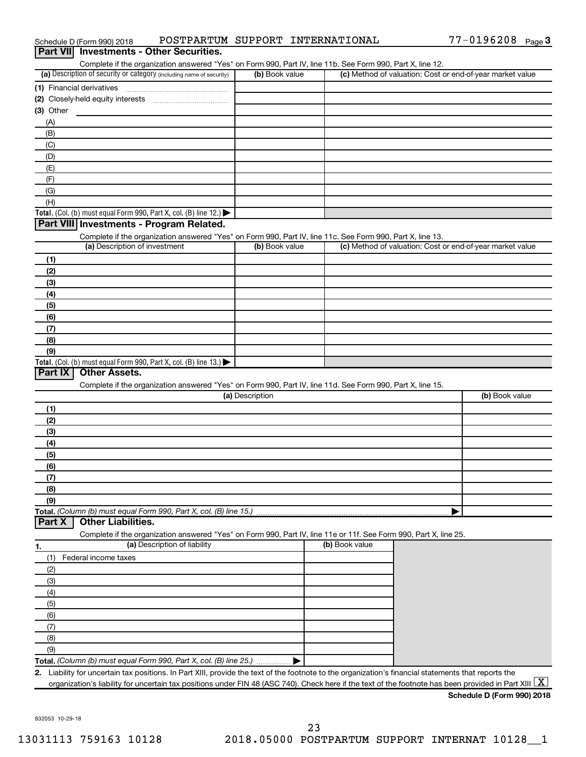| Schedule D (Form 990) 2018                                                                                 | POSTPARTUM SUPPORT INTERNATIONAL |                                                           | $77 - 0196208$ Page 3 |
|------------------------------------------------------------------------------------------------------------|----------------------------------|-----------------------------------------------------------|-----------------------|
| Part VII Investments - Other Securities.                                                                   |                                  |                                                           |                       |
| Complete if the organization answered "Yes" on Form 990, Part IV, line 11b. See Form 990, Part X, line 12. |                                  |                                                           |                       |
| (a) Description of security or category (including name of security)                                       | (b) Book value                   | (c) Method of valuation: Cost or end-of-year market value |                       |
| (1) Financial derivatives                                                                                  |                                  |                                                           |                       |
| (2) Closely-held equity interests                                                                          |                                  |                                                           |                       |
| (3) Other                                                                                                  |                                  |                                                           |                       |
| (A)                                                                                                        |                                  |                                                           |                       |
| (B)                                                                                                        |                                  |                                                           |                       |
| (C)                                                                                                        |                                  |                                                           |                       |
| (D)                                                                                                        |                                  |                                                           |                       |
| (E)                                                                                                        |                                  |                                                           |                       |
| (F)                                                                                                        |                                  |                                                           |                       |
| (G)                                                                                                        |                                  |                                                           |                       |
| (H)                                                                                                        |                                  |                                                           |                       |
| Total. (Col. (b) must equal Form 990, Part X, col. (B) line 12.) $\blacktriangleright$                     |                                  |                                                           |                       |
| Part VIII Investments - Program Related.                                                                   |                                  |                                                           |                       |
| Complete if the organization answered "Yes" on Form 990, Part IV, line 11c. See Form 990, Part X, line 13. |                                  |                                                           |                       |
| (a) Description of investment                                                                              | (b) Book value                   | (c) Method of valuation: Cost or end-of-year market value |                       |
| (1)                                                                                                        |                                  |                                                           |                       |
| (2)                                                                                                        |                                  |                                                           |                       |
| (3)                                                                                                        |                                  |                                                           |                       |
| (4)                                                                                                        |                                  |                                                           |                       |
| (5)                                                                                                        |                                  |                                                           |                       |
| (6)                                                                                                        |                                  |                                                           |                       |
| (7)                                                                                                        |                                  |                                                           |                       |
| (8)                                                                                                        |                                  |                                                           |                       |
| (9)                                                                                                        |                                  |                                                           |                       |
| Total. (Col. (b) must equal Form 990, Part X, col. (B) line 13.)                                           |                                  |                                                           |                       |
| <b>Other Assets.</b><br>Part IX                                                                            |                                  |                                                           |                       |
| Complete if the organization answered "Yes" on Form 990, Part IV, line 11d. See Form 990, Part X, line 15. |                                  |                                                           |                       |
|                                                                                                            | (a) Description                  |                                                           | (b) Book value        |
| (1)                                                                                                        |                                  |                                                           |                       |
| (2)                                                                                                        |                                  |                                                           |                       |
| (3)                                                                                                        |                                  |                                                           |                       |
| (4)                                                                                                        |                                  |                                                           |                       |
| (5)                                                                                                        |                                  |                                                           |                       |
| (6)                                                                                                        |                                  |                                                           |                       |
| (7)                                                                                                        |                                  |                                                           |                       |
| (8)                                                                                                        |                                  |                                                           |                       |
| (9)                                                                                                        |                                  |                                                           |                       |
| Total. (Column (b) must equal Form 990, Part X, col. (B) line 15.)                                         |                                  |                                                           |                       |

#### **Part X | Other Liabilities.**

Complete if the organization answered "Yes" on Form 990, Part IV, line 11e or 11f. See Form 990, Part X, line 25.

|     | (a) Description of liability                                       | (b) Book value |
|-----|--------------------------------------------------------------------|----------------|
|     | Federal income taxes                                               |                |
| (2) |                                                                    |                |
| (3) |                                                                    |                |
| (4) |                                                                    |                |
| (5) |                                                                    |                |
| (6) |                                                                    |                |
|     |                                                                    |                |
| (8) |                                                                    |                |
| (9) |                                                                    |                |
|     | Total. (Column (b) must equal Form 990, Part X, col. (B) line 25.) |                |

**2.** Liability for uncertain tax positions. In Part XIII, provide the text of the footnote to the organization's financial statements that reports the organization's liability for uncertain tax positions under FIN 48 (ASC 740). Check here if the text of the footnote has been provided in Part XIII  $\boxed{\text{X}}$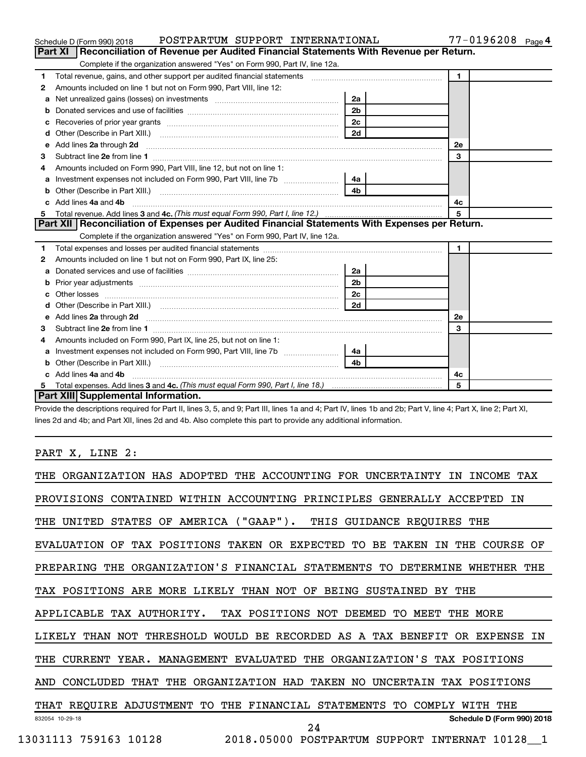|    | POSTPARTUM SUPPORT INTERNATIONAL<br>Schedule D (Form 990) 2018                                                                                                                                                                                             |                | 77-0196208 Page 4 |
|----|------------------------------------------------------------------------------------------------------------------------------------------------------------------------------------------------------------------------------------------------------------|----------------|-------------------|
|    | Part XI   Reconciliation of Revenue per Audited Financial Statements With Revenue per Return.                                                                                                                                                              |                |                   |
|    | Complete if the organization answered "Yes" on Form 990, Part IV, line 12a.                                                                                                                                                                                |                |                   |
| 1. | Total revenue, gains, and other support per audited financial statements [11, 11] Total revenue, gains, and other support per audited financial statements                                                                                                 |                | $\blacksquare$    |
| 2  | Amounts included on line 1 but not on Form 990, Part VIII, line 12:                                                                                                                                                                                        |                |                   |
| a  |                                                                                                                                                                                                                                                            | 2a             |                   |
| b  |                                                                                                                                                                                                                                                            | 2 <sub>b</sub> |                   |
| с  |                                                                                                                                                                                                                                                            | 2 <sub>c</sub> |                   |
| d  |                                                                                                                                                                                                                                                            | 2d             |                   |
| e  | Add lines 2a through 2d                                                                                                                                                                                                                                    |                | <b>2e</b>         |
| З  |                                                                                                                                                                                                                                                            |                | 3                 |
| 4  | Amounts included on Form 990, Part VIII, line 12, but not on line 1:                                                                                                                                                                                       |                |                   |
| a  | Investment expenses not included on Form 990, Part VIII, line 7b                                                                                                                                                                                           | 4a l           |                   |
| b  |                                                                                                                                                                                                                                                            | 4 <sub>b</sub> |                   |
| C. | Add lines 4a and 4b                                                                                                                                                                                                                                        | 4с             |                   |
| 5  |                                                                                                                                                                                                                                                            | 5              |                   |
|    | Part XII   Reconciliation of Expenses per Audited Financial Statements With Expenses per Return.                                                                                                                                                           |                |                   |
|    | Complete if the organization answered "Yes" on Form 990, Part IV, line 12a.                                                                                                                                                                                |                |                   |
| 1  |                                                                                                                                                                                                                                                            |                | 1                 |
| 2  | Amounts included on line 1 but not on Form 990, Part IX, line 25:                                                                                                                                                                                          |                |                   |
| a  |                                                                                                                                                                                                                                                            | 2a             |                   |
| b  |                                                                                                                                                                                                                                                            | 2 <sub>b</sub> |                   |
|    | Other losses                                                                                                                                                                                                                                               | 2c             |                   |
|    |                                                                                                                                                                                                                                                            | 2d             |                   |
| e  |                                                                                                                                                                                                                                                            |                | 2e                |
| З  |                                                                                                                                                                                                                                                            |                | 3                 |
| 4  | Amounts included on Form 990, Part IX, line 25, but not on line 1:                                                                                                                                                                                         |                |                   |
| a  |                                                                                                                                                                                                                                                            | 4a l<br>4b     |                   |
| b  | Other (Describe in Part XIII.) <b>2006</b> 2007 2010 2010 2010 2010 2011 2012 2013 2014 2015 2016 2017 2018 2019 2016 2016 2017 2018 2019 2016 2017 2018 2019 2016 2017 2018 2019 2018 2019 2016 2017 2018 2019 2018 2019 2018 2019<br>Add lines 4a and 4b |                |                   |
| 5  |                                                                                                                                                                                                                                                            |                | 4c<br>5           |
|    | Part XIII Supplemental Information.                                                                                                                                                                                                                        |                |                   |

Provide the descriptions required for Part II, lines 3, 5, and 9; Part III, lines 1a and 4; Part IV, lines 1b and 2b; Part V, line 4; Part X, line 2; Part XI, lines 2d and 4b; and Part XII, lines 2d and 4b. Also complete this part to provide any additional information.

### PART X, LINE 2:

| THE                                                | ORGANIZATION HAS ADOPTED THE ACCOUNTING FOR UNCERTAINTY<br>INCOME TAX<br>ΙN |
|----------------------------------------------------|-----------------------------------------------------------------------------|
| PROVISIONS                                         | CONTAINED WITHIN ACCOUNTING PRINCIPLES GENERALLY ACCEPTED<br>ΙN             |
| THE UNITED                                         | STATES OF AMERICA ("GAAP"). THIS GUIDANCE REQUIRES THE                      |
| EVALUATION OF                                      | TAX POSITIONS TAKEN OR EXPECTED<br>TO BE TAKEN<br>COURSE<br>IN<br>THE<br>OF |
| PREPARING<br>THE                                   | ORGANIZATION'S FINANCIAL STATEMENTS TO DETERMINE<br>WHETHER THE             |
|                                                    | TAX POSITIONS ARE MORE LIKELY THAN NOT OF BEING SUSTAINED<br>BY THE         |
| APPLICABLE TAX AUTHORITY. TAX POSITIONS NOT DEEMED | MEET<br>THE MORE<br>TO.                                                     |
| LIKELY THAN NOT                                    | THRESHOLD WOULD BE RECORDED AS A TAX BENEFIT OR EXPENSE<br>ΙN               |
| YEAR.<br>THE<br>CURRENT                            | MANAGEMENT EVALUATED<br>THE ORGANIZATION'S TAX POSITIONS                    |
| AND CONCLUDED                                      | THAT THE ORGANIZATION HAD TAKEN NO UNCERTAIN TAX POSITIONS                  |
| THAT REQUIRE ADJUSTMENT TO                         | THE FINANCIAL STATEMENTS<br>COMPLY WITH<br>TO<br>THE.                       |
| 832054 10-29-18                                    | Schedule D (Form 990) 2018<br>24                                            |
| 13031113<br>759163 10128                           | 2018.05000 POSTPARTUM SUPPORT INTERNAT 10128 1                              |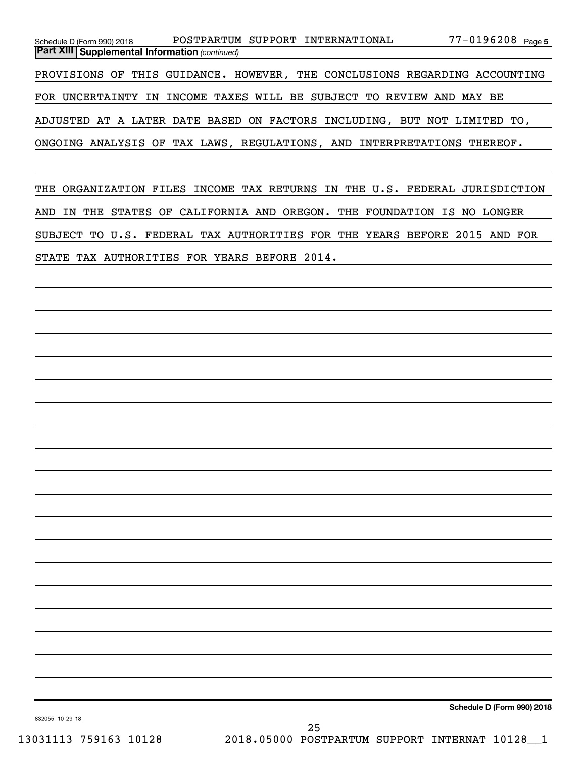| Schedule D (Form 990) 2018                              | POSTPARTUM SUPPORT INTERNATIONAL                                           | 77-0196208 <sub>Page 5</sub> |
|---------------------------------------------------------|----------------------------------------------------------------------------|------------------------------|
| <b>Part XIII   Supplemental Information (continued)</b> |                                                                            |                              |
|                                                         | PROVISIONS OF THIS GUIDANCE. HOWEVER, THE CONCLUSIONS REGARDING ACCOUNTING |                              |
|                                                         | FOR UNCERTAINTY IN INCOME TAXES WILL BE SUBJECT TO REVIEW AND MAY BE       |                              |
|                                                         | ADJUSTED AT A LATER DATE BASED ON FACTORS INCLUDING, BUT NOT LIMITED TO,   |                              |
|                                                         | ONGOING ANALYSIS OF TAX LAWS, REGULATIONS, AND INTERPRETATIONS THEREOF.    |                              |

THE ORGANIZATION FILES INCOME TAX RETURNS IN THE U.S. FEDERAL JURISDICTION AND IN THE STATES OF CALIFORNIA AND OREGON. THE FOUNDATION IS NO LONGER SUBJECT TO U.S. FEDERAL TAX AUTHORITIES FOR THE YEARS BEFORE 2015 AND FOR STATE TAX AUTHORITIES FOR YEARS BEFORE 2014.

**Schedule D (Form 990) 2018**

832055 10-29-18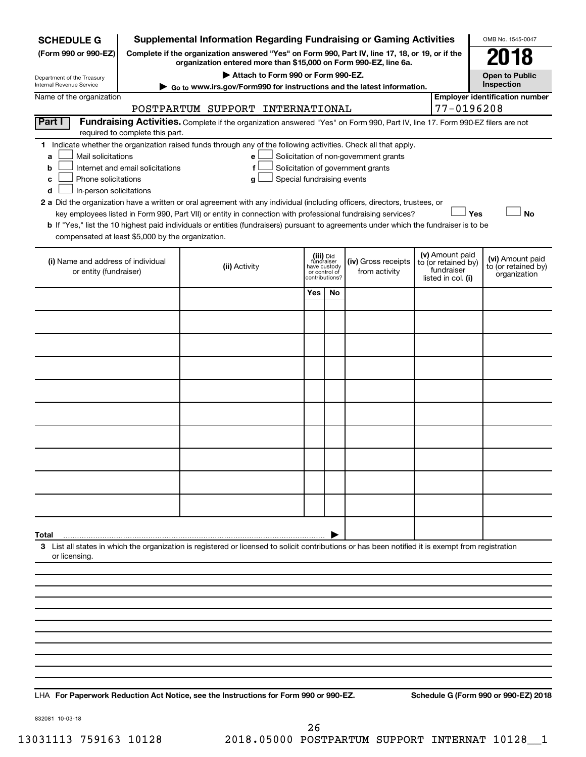| <b>SCHEDULE G</b>                                            |                                                                                                                                                                                                                                                                                                                                                                                                                                                                                                                                                                                                                                                                                                                                                                                                                       | <b>Supplemental Information Regarding Fundraising or Gaming Activities</b>                                                                         |                                                                            |    |                                      |  |                                                                            | OMB No. 1545-0047                                       |  |  |  |
|--------------------------------------------------------------|-----------------------------------------------------------------------------------------------------------------------------------------------------------------------------------------------------------------------------------------------------------------------------------------------------------------------------------------------------------------------------------------------------------------------------------------------------------------------------------------------------------------------------------------------------------------------------------------------------------------------------------------------------------------------------------------------------------------------------------------------------------------------------------------------------------------------|----------------------------------------------------------------------------------------------------------------------------------------------------|----------------------------------------------------------------------------|----|--------------------------------------|--|----------------------------------------------------------------------------|---------------------------------------------------------|--|--|--|
| (Form 990 or 990-EZ)                                         | Complete if the organization answered "Yes" on Form 990, Part IV, line 17, 18, or 19, or if the<br>organization entered more than \$15,000 on Form 990-EZ, line 6a.                                                                                                                                                                                                                                                                                                                                                                                                                                                                                                                                                                                                                                                   |                                                                                                                                                    |                                                                            |    |                                      |  |                                                                            |                                                         |  |  |  |
| Department of the Treasury                                   |                                                                                                                                                                                                                                                                                                                                                                                                                                                                                                                                                                                                                                                                                                                                                                                                                       | Attach to Form 990 or Form 990-EZ.                                                                                                                 |                                                                            |    |                                      |  |                                                                            | 2018<br><b>Open to Public</b>                           |  |  |  |
| Internal Revenue Service                                     |                                                                                                                                                                                                                                                                                                                                                                                                                                                                                                                                                                                                                                                                                                                                                                                                                       | Go to www.irs.gov/Form990 for instructions and the latest information.                                                                             |                                                                            |    |                                      |  |                                                                            | Inspection                                              |  |  |  |
| Name of the organization                                     |                                                                                                                                                                                                                                                                                                                                                                                                                                                                                                                                                                                                                                                                                                                                                                                                                       | POSTPARTUM SUPPORT INTERNATIONAL                                                                                                                   |                                                                            |    |                                      |  | 77-0196208                                                                 | <b>Employer identification number</b>                   |  |  |  |
| Part I                                                       |                                                                                                                                                                                                                                                                                                                                                                                                                                                                                                                                                                                                                                                                                                                                                                                                                       | Fundraising Activities. Complete if the organization answered "Yes" on Form 990, Part IV, line 17. Form 990-EZ filers are not                      |                                                                            |    |                                      |  |                                                                            |                                                         |  |  |  |
|                                                              | required to complete this part.                                                                                                                                                                                                                                                                                                                                                                                                                                                                                                                                                                                                                                                                                                                                                                                       |                                                                                                                                                    |                                                                            |    |                                      |  |                                                                            |                                                         |  |  |  |
| a<br>b<br>с<br>d                                             | 1 Indicate whether the organization raised funds through any of the following activities. Check all that apply.<br>Mail solicitations<br>Solicitation of non-government grants<br>е<br>Internet and email solicitations<br>Solicitation of government grants<br>f<br>Phone solicitations<br>Special fundraising events<br>g<br>In-person solicitations<br>2 a Did the organization have a written or oral agreement with any individual (including officers, directors, trustees, or<br>Yes<br><b>No</b><br>key employees listed in Form 990, Part VII) or entity in connection with professional fundraising services?<br>b If "Yes," list the 10 highest paid individuals or entities (fundraisers) pursuant to agreements under which the fundraiser is to be<br>compensated at least \$5,000 by the organization. |                                                                                                                                                    |                                                                            |    |                                      |  |                                                                            |                                                         |  |  |  |
|                                                              |                                                                                                                                                                                                                                                                                                                                                                                                                                                                                                                                                                                                                                                                                                                                                                                                                       |                                                                                                                                                    |                                                                            |    |                                      |  |                                                                            |                                                         |  |  |  |
| (i) Name and address of individual<br>or entity (fundraiser) |                                                                                                                                                                                                                                                                                                                                                                                                                                                                                                                                                                                                                                                                                                                                                                                                                       | (ii) Activity                                                                                                                                      | (iii) Did<br>fundraiser<br>have custody<br>or control of<br>contributions? |    | (iv) Gross receipts<br>from activity |  | (v) Amount paid<br>to (or retained by)<br>fundraiser<br>listed in col. (i) | (vi) Amount paid<br>to (or retained by)<br>organization |  |  |  |
|                                                              |                                                                                                                                                                                                                                                                                                                                                                                                                                                                                                                                                                                                                                                                                                                                                                                                                       |                                                                                                                                                    | Yes                                                                        | No |                                      |  |                                                                            |                                                         |  |  |  |
|                                                              |                                                                                                                                                                                                                                                                                                                                                                                                                                                                                                                                                                                                                                                                                                                                                                                                                       |                                                                                                                                                    |                                                                            |    |                                      |  |                                                                            |                                                         |  |  |  |
|                                                              |                                                                                                                                                                                                                                                                                                                                                                                                                                                                                                                                                                                                                                                                                                                                                                                                                       |                                                                                                                                                    |                                                                            |    |                                      |  |                                                                            |                                                         |  |  |  |
|                                                              |                                                                                                                                                                                                                                                                                                                                                                                                                                                                                                                                                                                                                                                                                                                                                                                                                       |                                                                                                                                                    |                                                                            |    |                                      |  |                                                                            |                                                         |  |  |  |
|                                                              |                                                                                                                                                                                                                                                                                                                                                                                                                                                                                                                                                                                                                                                                                                                                                                                                                       |                                                                                                                                                    |                                                                            |    |                                      |  |                                                                            |                                                         |  |  |  |
|                                                              |                                                                                                                                                                                                                                                                                                                                                                                                                                                                                                                                                                                                                                                                                                                                                                                                                       |                                                                                                                                                    |                                                                            |    |                                      |  |                                                                            |                                                         |  |  |  |
|                                                              |                                                                                                                                                                                                                                                                                                                                                                                                                                                                                                                                                                                                                                                                                                                                                                                                                       |                                                                                                                                                    |                                                                            |    |                                      |  |                                                                            |                                                         |  |  |  |
|                                                              |                                                                                                                                                                                                                                                                                                                                                                                                                                                                                                                                                                                                                                                                                                                                                                                                                       |                                                                                                                                                    |                                                                            |    |                                      |  |                                                                            |                                                         |  |  |  |
|                                                              |                                                                                                                                                                                                                                                                                                                                                                                                                                                                                                                                                                                                                                                                                                                                                                                                                       |                                                                                                                                                    |                                                                            |    |                                      |  |                                                                            |                                                         |  |  |  |
|                                                              |                                                                                                                                                                                                                                                                                                                                                                                                                                                                                                                                                                                                                                                                                                                                                                                                                       |                                                                                                                                                    |                                                                            |    |                                      |  |                                                                            |                                                         |  |  |  |
|                                                              |                                                                                                                                                                                                                                                                                                                                                                                                                                                                                                                                                                                                                                                                                                                                                                                                                       |                                                                                                                                                    |                                                                            |    |                                      |  |                                                                            |                                                         |  |  |  |
| Total                                                        |                                                                                                                                                                                                                                                                                                                                                                                                                                                                                                                                                                                                                                                                                                                                                                                                                       | 3 List all states in which the organization is registered or licensed to solicit contributions or has been notified it is exempt from registration |                                                                            |    |                                      |  |                                                                            |                                                         |  |  |  |
| or licensing.                                                |                                                                                                                                                                                                                                                                                                                                                                                                                                                                                                                                                                                                                                                                                                                                                                                                                       |                                                                                                                                                    |                                                                            |    |                                      |  |                                                                            |                                                         |  |  |  |
|                                                              |                                                                                                                                                                                                                                                                                                                                                                                                                                                                                                                                                                                                                                                                                                                                                                                                                       |                                                                                                                                                    |                                                                            |    |                                      |  |                                                                            |                                                         |  |  |  |
|                                                              |                                                                                                                                                                                                                                                                                                                                                                                                                                                                                                                                                                                                                                                                                                                                                                                                                       |                                                                                                                                                    |                                                                            |    |                                      |  |                                                                            |                                                         |  |  |  |
|                                                              |                                                                                                                                                                                                                                                                                                                                                                                                                                                                                                                                                                                                                                                                                                                                                                                                                       |                                                                                                                                                    |                                                                            |    |                                      |  |                                                                            |                                                         |  |  |  |
|                                                              |                                                                                                                                                                                                                                                                                                                                                                                                                                                                                                                                                                                                                                                                                                                                                                                                                       |                                                                                                                                                    |                                                                            |    |                                      |  |                                                                            |                                                         |  |  |  |
|                                                              |                                                                                                                                                                                                                                                                                                                                                                                                                                                                                                                                                                                                                                                                                                                                                                                                                       |                                                                                                                                                    |                                                                            |    |                                      |  |                                                                            |                                                         |  |  |  |
|                                                              |                                                                                                                                                                                                                                                                                                                                                                                                                                                                                                                                                                                                                                                                                                                                                                                                                       |                                                                                                                                                    |                                                                            |    |                                      |  |                                                                            |                                                         |  |  |  |

LHA For Paperwork Reduction Act Notice, see the Instructions for Form 990 or 990-EZ. Schedule G (Form 990 or 990-EZ) 2018

832081 10-03-18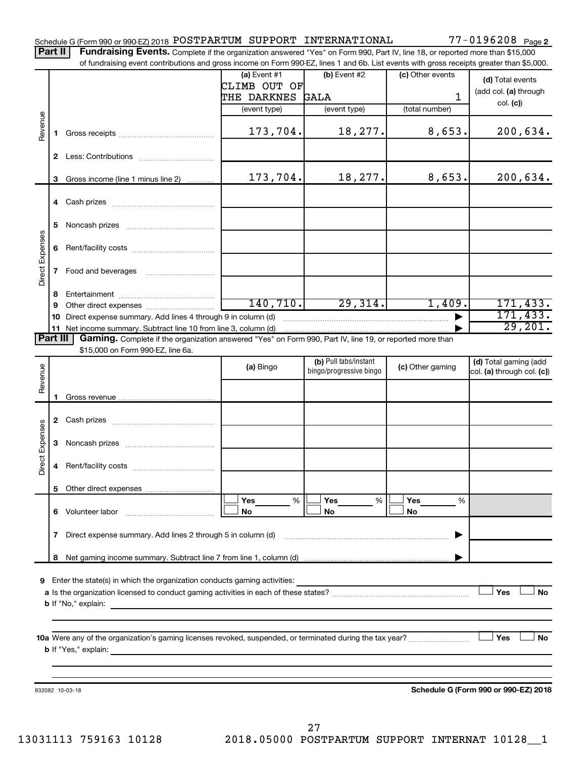#### Schedule G (Form 990 or 990-EZ) 2018  ${\tt POSTPARTUM}$  SUPPORT  ${\tt INTERNATIONAL}$   $77-0196208$   ${\tt Page}$

77-0196208 Page 2

Part II | Fundraising Events. Complete if the organization answered "Yes" on Form 990, Part IV, line 18, or reported more than \$15,000 of fundraising event contributions and gross income on Form 990-EZ, lines 1 and 6b. List events with gross receipts greater than \$5,000.

|                        |    | or iditionalshig event contributions and gross income on Form 990-EZ, lines T and 6D. Elst events with gross receipts greater than \$5,000.                                                                                               |                                |                                                  |                  |                                                     |  |  |  |  |  |
|------------------------|----|-------------------------------------------------------------------------------------------------------------------------------------------------------------------------------------------------------------------------------------------|--------------------------------|--------------------------------------------------|------------------|-----------------------------------------------------|--|--|--|--|--|
|                        |    |                                                                                                                                                                                                                                           | (a) Event $#1$<br>CLIMB OUT OF | $(b)$ Event #2                                   | (c) Other events | (d) Total events                                    |  |  |  |  |  |
|                        |    |                                                                                                                                                                                                                                           | THE DARKNES                    | GALA                                             | 1                | (add col. (a) through                               |  |  |  |  |  |
|                        |    |                                                                                                                                                                                                                                           | (event type)                   | (event type)                                     | (total number)   | col. (c)                                            |  |  |  |  |  |
|                        |    |                                                                                                                                                                                                                                           |                                |                                                  |                  |                                                     |  |  |  |  |  |
| Revenue                | 1. |                                                                                                                                                                                                                                           | 173,704.                       | 18,277.                                          | 8,653.           | 200,634.                                            |  |  |  |  |  |
|                        |    |                                                                                                                                                                                                                                           |                                |                                                  |                  |                                                     |  |  |  |  |  |
|                        | 3  | Gross income (line 1 minus line 2)                                                                                                                                                                                                        | 173,704.                       | 18,277.                                          | 8,653.           | 200,634.                                            |  |  |  |  |  |
|                        |    |                                                                                                                                                                                                                                           |                                |                                                  |                  |                                                     |  |  |  |  |  |
|                        | 5  |                                                                                                                                                                                                                                           |                                |                                                  |                  |                                                     |  |  |  |  |  |
|                        |    |                                                                                                                                                                                                                                           |                                |                                                  |                  |                                                     |  |  |  |  |  |
| Direct Expenses        |    |                                                                                                                                                                                                                                           |                                |                                                  |                  |                                                     |  |  |  |  |  |
|                        | 8  |                                                                                                                                                                                                                                           |                                |                                                  |                  |                                                     |  |  |  |  |  |
|                        | 9  |                                                                                                                                                                                                                                           | 140, 710.                      | 29,314.                                          | 1,409.           | 171, 433.                                           |  |  |  |  |  |
|                        |    | 10 Direct expense summary. Add lines 4 through 9 in column (d)                                                                                                                                                                            |                                |                                                  |                  | 171, 433.                                           |  |  |  |  |  |
|                        |    |                                                                                                                                                                                                                                           |                                |                                                  |                  | 29,201.                                             |  |  |  |  |  |
| Part III               |    | Gaming. Complete if the organization answered "Yes" on Form 990, Part IV, line 19, or reported more than                                                                                                                                  |                                |                                                  |                  |                                                     |  |  |  |  |  |
|                        |    | \$15,000 on Form 990-EZ, line 6a.                                                                                                                                                                                                         |                                |                                                  |                  |                                                     |  |  |  |  |  |
| Revenue                |    |                                                                                                                                                                                                                                           | (a) Bingo                      | (b) Pull tabs/instant<br>bingo/progressive bingo | (c) Other gaming | (d) Total gaming (add<br>col. (a) through col. (c)) |  |  |  |  |  |
|                        |    |                                                                                                                                                                                                                                           |                                |                                                  |                  |                                                     |  |  |  |  |  |
|                        | 1  |                                                                                                                                                                                                                                           |                                |                                                  |                  |                                                     |  |  |  |  |  |
|                        |    |                                                                                                                                                                                                                                           |                                |                                                  |                  |                                                     |  |  |  |  |  |
|                        |    |                                                                                                                                                                                                                                           |                                |                                                  |                  |                                                     |  |  |  |  |  |
| <b>Direct Expenses</b> | 3  |                                                                                                                                                                                                                                           |                                |                                                  |                  |                                                     |  |  |  |  |  |
|                        | 4  |                                                                                                                                                                                                                                           |                                |                                                  |                  |                                                     |  |  |  |  |  |
|                        |    |                                                                                                                                                                                                                                           |                                |                                                  |                  |                                                     |  |  |  |  |  |
|                        |    |                                                                                                                                                                                                                                           | Yes<br>%                       | Yes<br>%                                         | Yes<br>%         |                                                     |  |  |  |  |  |
|                        |    | 6 Volunteer labor                                                                                                                                                                                                                         | No                             | No                                               | No               |                                                     |  |  |  |  |  |
|                        | 7  | Direct expense summary. Add lines 2 through 5 in column (d)                                                                                                                                                                               |                                |                                                  |                  |                                                     |  |  |  |  |  |
|                        | 8  |                                                                                                                                                                                                                                           |                                |                                                  |                  |                                                     |  |  |  |  |  |
|                        |    |                                                                                                                                                                                                                                           |                                |                                                  |                  |                                                     |  |  |  |  |  |
| 9                      |    | Enter the state(s) in which the organization conducts gaming activities:                                                                                                                                                                  |                                |                                                  |                  | Yes                                                 |  |  |  |  |  |
|                        |    |                                                                                                                                                                                                                                           |                                |                                                  |                  | No                                                  |  |  |  |  |  |
|                        |    | <b>b</b> If "No," explain:<br>and the state of the state of the state of the state of the state of the state of the                                                                                                                       |                                |                                                  |                  |                                                     |  |  |  |  |  |
|                        |    |                                                                                                                                                                                                                                           |                                |                                                  |                  |                                                     |  |  |  |  |  |
|                        |    |                                                                                                                                                                                                                                           |                                |                                                  |                  |                                                     |  |  |  |  |  |
|                        |    | <b>b</b> If "Yes," explain: <u>And a set of the set of the set of the set of the set of the set of the set of the set of the set of the set of the set of the set of the set of the set of the set of the set of the set of the set o</u> |                                |                                                  |                  |                                                     |  |  |  |  |  |
|                        |    |                                                                                                                                                                                                                                           |                                |                                                  |                  |                                                     |  |  |  |  |  |
|                        |    |                                                                                                                                                                                                                                           |                                |                                                  |                  |                                                     |  |  |  |  |  |
|                        |    | 832082 10-03-18                                                                                                                                                                                                                           |                                |                                                  |                  | Schedule G (Form 990 or 990-EZ) 2018                |  |  |  |  |  |
|                        |    |                                                                                                                                                                                                                                           |                                |                                                  |                  |                                                     |  |  |  |  |  |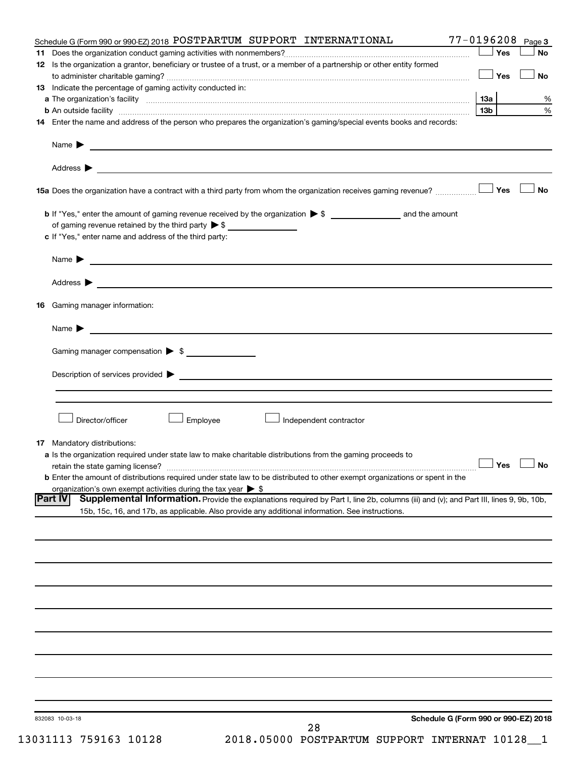| 28                                                                                                                                                                                                                  |                      |           |
|---------------------------------------------------------------------------------------------------------------------------------------------------------------------------------------------------------------------|----------------------|-----------|
| Schedule G (Form 990 or 990-EZ) 2018<br>832083 10-03-18                                                                                                                                                             |                      |           |
|                                                                                                                                                                                                                     |                      |           |
|                                                                                                                                                                                                                     |                      |           |
|                                                                                                                                                                                                                     |                      |           |
|                                                                                                                                                                                                                     |                      |           |
|                                                                                                                                                                                                                     |                      |           |
|                                                                                                                                                                                                                     |                      |           |
|                                                                                                                                                                                                                     |                      |           |
|                                                                                                                                                                                                                     |                      |           |
|                                                                                                                                                                                                                     |                      |           |
|                                                                                                                                                                                                                     |                      |           |
|                                                                                                                                                                                                                     |                      |           |
|                                                                                                                                                                                                                     |                      |           |
| 15b, 15c, 16, and 17b, as applicable. Also provide any additional information. See instructions.                                                                                                                    |                      |           |
| Supplemental Information. Provide the explanations required by Part I, line 2b, columns (iii) and (v); and Part III, lines 9, 9b, 10b,<br><b>Part IV</b>                                                            |                      |           |
| <b>b</b> Enter the amount of distributions required under state law to be distributed to other exempt organizations or spent in the<br>organization's own exempt activities during the tax year $\triangleright$ \$ |                      |           |
|                                                                                                                                                                                                                     | $\Box$ Yes $\Box$ No |           |
| a Is the organization required under state law to make charitable distributions from the gaming proceeds to                                                                                                         |                      |           |
| <b>17</b> Mandatory distributions:                                                                                                                                                                                  |                      |           |
| Director/officer<br>Employee<br>Independent contractor                                                                                                                                                              |                      |           |
|                                                                                                                                                                                                                     |                      |           |
|                                                                                                                                                                                                                     |                      |           |
|                                                                                                                                                                                                                     |                      |           |
|                                                                                                                                                                                                                     |                      |           |
| Gaming manager compensation > \$                                                                                                                                                                                    |                      |           |
|                                                                                                                                                                                                                     |                      |           |
| <b>16</b> Gaming manager information:                                                                                                                                                                               |                      |           |
|                                                                                                                                                                                                                     |                      |           |
|                                                                                                                                                                                                                     |                      |           |
|                                                                                                                                                                                                                     |                      |           |
|                                                                                                                                                                                                                     |                      |           |
| c If "Yes," enter name and address of the third party:                                                                                                                                                              |                      |           |
| of gaming revenue retained by the third party $\triangleright$ \$                                                                                                                                                   |                      |           |
|                                                                                                                                                                                                                     |                      |           |
|                                                                                                                                                                                                                     |                      | No        |
|                                                                                                                                                                                                                     |                      |           |
| Name $\blacktriangleright$ $\frac{1}{\sqrt{1-\frac{1}{2}}\left(1-\frac{1}{2}\right)}$                                                                                                                               |                      |           |
|                                                                                                                                                                                                                     |                      |           |
| 14 Enter the name and address of the person who prepares the organization's gaming/special events books and records:                                                                                                |                      |           |
|                                                                                                                                                                                                                     | 13b l                | %<br>%    |
| 13 Indicate the percentage of gaming activity conducted in:                                                                                                                                                         |                      |           |
|                                                                                                                                                                                                                     | <b>」Yes</b>          | <b>No</b> |
| 12 Is the organization a grantor, beneficiary or trustee of a trust, or a member of a partnership or other entity formed                                                                                            | Yes                  | <b>No</b> |
| Schedule G (Form 990 or 990-EZ) 2018 POSTPARTUM SUPPORT INTERNATIONAL                                                                                                                                               | 77-0196208           | Page 3    |
|                                                                                                                                                                                                                     |                      |           |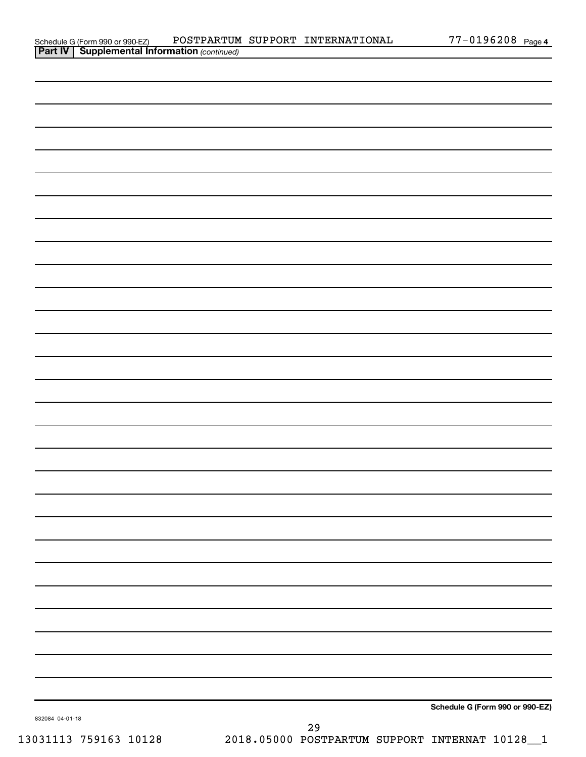| Schedule G (Form 990 or 990-EZ)                       |  | POSTPARTUM SUPPORT INTERNATIONAL | 77-0196208 <sub>Page</sub> |  |
|-------------------------------------------------------|--|----------------------------------|----------------------------|--|
| <b>Part IV   Supplemental Information</b> (continued) |  |                                  |                            |  |

| $\vert$ and $\vert$ buppenent and morman $\vert$ community |  |                                 |
|------------------------------------------------------------|--|---------------------------------|
|                                                            |  |                                 |
|                                                            |  |                                 |
|                                                            |  |                                 |
|                                                            |  |                                 |
|                                                            |  |                                 |
|                                                            |  |                                 |
|                                                            |  |                                 |
|                                                            |  |                                 |
|                                                            |  |                                 |
|                                                            |  |                                 |
|                                                            |  |                                 |
|                                                            |  |                                 |
|                                                            |  |                                 |
|                                                            |  |                                 |
|                                                            |  |                                 |
|                                                            |  |                                 |
|                                                            |  |                                 |
|                                                            |  |                                 |
|                                                            |  |                                 |
|                                                            |  |                                 |
|                                                            |  |                                 |
|                                                            |  |                                 |
|                                                            |  |                                 |
|                                                            |  |                                 |
|                                                            |  |                                 |
|                                                            |  |                                 |
|                                                            |  |                                 |
|                                                            |  |                                 |
| 832084 04-01-18                                            |  | Schedule G (Form 990 or 990-EZ) |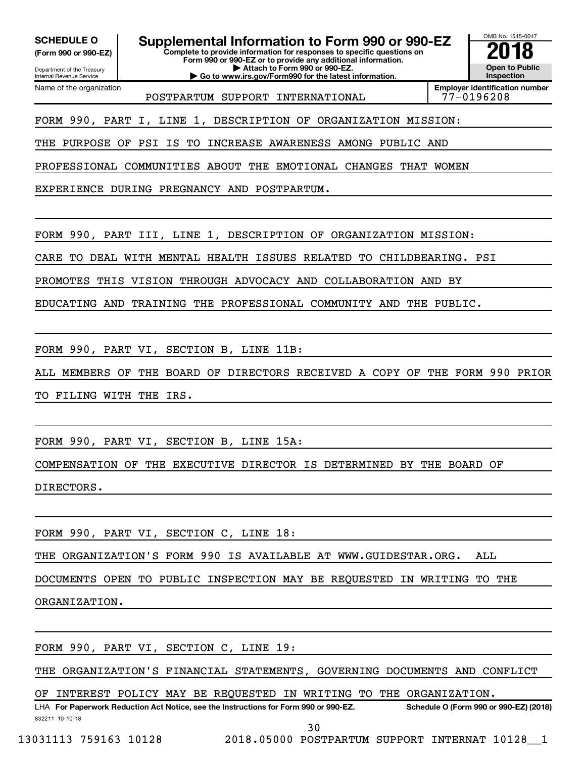Internal Revenue Service

Department of the Treasury **(Form 990 or 990-EZ)**

Name of the organization

SCHEDULE O **Supplemental Information to Form 990 or 990-EZ 2018**<br>(Form 990 or 990-EZ) Complete to provide information for responses to specific questions on

**Complete to provide information for responses to specific questions on Form 990 or 990-EZ or to provide any additional information. | Attach to Form 990 or 990-EZ.**

**| Go to www.irs.gov/Form990 for the latest information.**



POSTPARTUM SUPPORT INTERNATIONAL

**Employer identification number**

FORM 990, PART I, LINE 1, DESCRIPTION OF ORGANIZATION MISSION:

THE PURPOSE OF PSI IS TO INCREASE AWARENESS AMONG PUBLIC AND

PROFESSIONAL COMMUNITIES ABOUT THE EMOTIONAL CHANGES THAT WOMEN

EXPERIENCE DURING PREGNANCY AND POSTPARTUM.

FORM 990, PART III, LINE 1, DESCRIPTION OF ORGANIZATION MISSION:

CARE TO DEAL WITH MENTAL HEALTH ISSUES RELATED TO CHILDBEARING. PSI

PROMOTES THIS VISION THROUGH ADVOCACY AND COLLABORATION AND BY

EDUCATING AND TRAINING THE PROFESSIONAL COMMUNITY AND THE PUBLIC.

FORM 990, PART VI, SECTION B, LINE 11B:

ALL MEMBERS OF THE BOARD OF DIRECTORS RECEIVED A COPY OF THE FORM 990 PRIOR

TO FILING WITH THE IRS.

FORM 990, PART VI, SECTION B, LINE 15A:

COMPENSATION OF THE EXECUTIVE DIRECTOR IS DETERMINED BY THE BOARD OF

DIRECTORS.

FORM 990, PART VI, SECTION C, LINE 18:

THE ORGANIZATION'S FORM 990 IS AVAILABLE AT WWW.GUIDESTAR.ORG. ALL

DOCUMENTS OPEN TO PUBLIC INSPECTION MAY BE REQUESTED IN WRITING TO THE

ORGANIZATION.

FORM 990, PART VI, SECTION C, LINE 19:

THE ORGANIZATION'S FINANCIAL STATEMENTS, GOVERNING DOCUMENTS AND CONFLICT

OF INTEREST POLICY MAY BE REQUESTED IN WRITING TO THE ORGANIZATION.

832211 10-10-18 **For Paperwork Reduction Act Notice, see the Instructions for Form 990 or 990-EZ. Schedule O (Form 990 or 990-EZ) (2018)** LHA 30

13031113 759163 10128 2018.05000 POSTPARTUM SUPPORT INTERNAT 10128\_\_1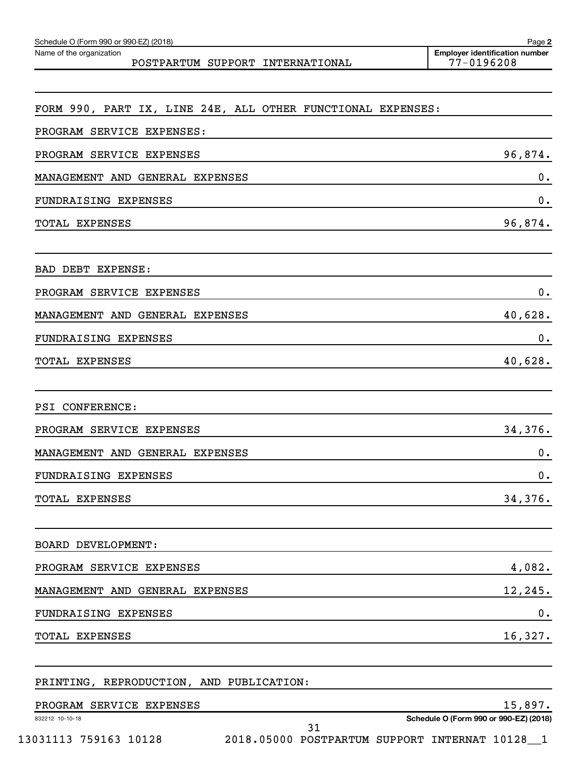| Name of the organization<br>POSTPARTUM SUPPORT INTERNATIONAL | <b>Employer identification number</b><br>77-0196208 |
|--------------------------------------------------------------|-----------------------------------------------------|
|                                                              |                                                     |
| FORM 990, PART IX, LINE 24E, ALL OTHER FUNCTIONAL EXPENSES:  |                                                     |
| PROGRAM SERVICE EXPENSES:                                    |                                                     |
| PROGRAM SERVICE EXPENSES                                     | 96,874.                                             |
| GENERAL<br>MANAGEMENT AND<br><b>EXPENSES</b>                 | 0.                                                  |
| FUNDRAISING EXPENSES                                         | 0.                                                  |
| TOTAL EXPENSES                                               | 96,874.                                             |
| <b>BAD DEBT</b><br>EXPENSE:                                  |                                                     |
| PROGRAM SERVICE<br>EXPENSES                                  | 0.                                                  |
| MANAGEMENT AND GENERAL<br><b>EXPENSES</b>                    | 40,628.                                             |
| FUNDRAISING EXPENSES                                         | 0.                                                  |
| TOTAL EXPENSES                                               | 40,628.                                             |
| <b>CONFERENCE:</b><br>PSI                                    |                                                     |
| PROGRAM SERVICE EXPENSES                                     | 34,376.                                             |
| MANAGEMENT AND GENERAL EXPENSES                              | 0.                                                  |
| FUNDRAISING EXPENSES                                         | 0.                                                  |
| TOTAL EXPENSES                                               | 34,376.                                             |
| BOARD DEVELOPMENT:                                           |                                                     |
| PROGRAM SERVICE EXPENSES                                     | 4,082.                                              |
| MANAGEMENT AND GENERAL EXPENSES                              | 12,245.                                             |
| FUNDRAISING EXPENSES                                         | $\mathbf 0$ .                                       |
| TOTAL EXPENSES                                               | 16,327.                                             |
|                                                              |                                                     |

|  |  | PRINTING, REPRODUCTION, AND PUBLICATION: |  |  |
|--|--|------------------------------------------|--|--|
|--|--|------------------------------------------|--|--|

| 15,897.                                |        | PROGRAM SERVICE EXPENSES |                 |
|----------------------------------------|--------|--------------------------|-----------------|
| Schedule O (Form 990 or 990-EZ) (2018) |        |                          | 832212 10-10-18 |
|                                        | ົ<br>ັ |                          |                 |

Schedule O (Form 990 or 990-EZ) (2018)

**2**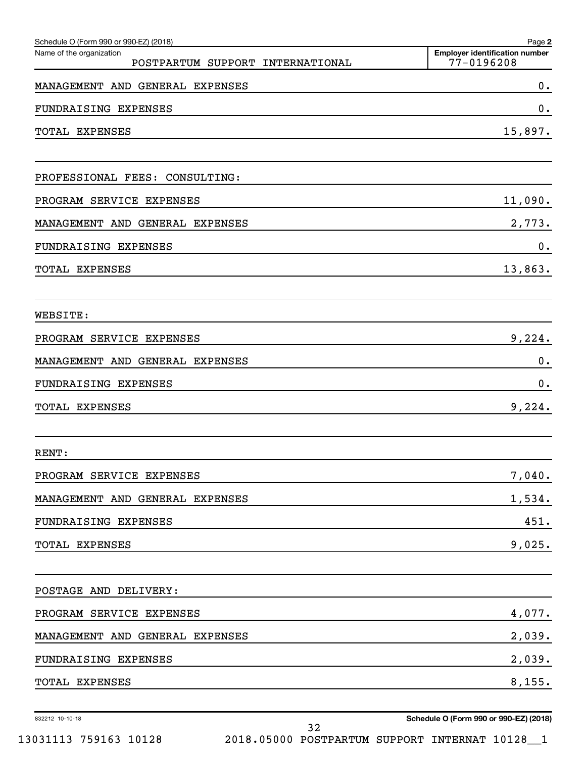| Schedule O (Form 990 or 990-EZ) (2018)                          | Page 2                                              |
|-----------------------------------------------------------------|-----------------------------------------------------|
| Name of the organization<br>POSTPARTUM SUPPORT<br>INTERNATIONAL | <b>Employer identification number</b><br>77-0196208 |
| MANAGEMENT AND GENERAL EXPENSES                                 | 0.                                                  |
| FUNDRAISING EXPENSES                                            | 0.                                                  |
| TOTAL EXPENSES                                                  | 15,897.                                             |
| PROFESSIONAL FEES: CONSULTING:                                  |                                                     |
| PROGRAM SERVICE EXPENSES                                        | 11,090.                                             |
| MANAGEMENT AND GENERAL EXPENSES                                 | 2,773.                                              |
| FUNDRAISING EXPENSES                                            | 0.                                                  |
| TOTAL EXPENSES                                                  | 13,863.                                             |
| WEBSITE:                                                        |                                                     |
| PROGRAM SERVICE EXPENSES                                        | 9,224.                                              |
| MANAGEMENT AND GENERAL EXPENSES                                 | $0$ .                                               |
| FUNDRAISING EXPENSES                                            | 0.                                                  |
| TOTAL EXPENSES                                                  | 9,224.                                              |
| RENT:                                                           |                                                     |
| PROGRAM SERVICE EXPENSES                                        | 7,040.                                              |
| MANAGEMENT AND GENERAL EXPENSES                                 | 1,534.                                              |
| FUNDRAISING EXPENSES                                            | 451.                                                |
| TOTAL EXPENSES                                                  | 9,025.                                              |
| POSTAGE AND DELIVERY:                                           |                                                     |
| PROGRAM SERVICE EXPENSES                                        | 4,077.                                              |
| MANAGEMENT AND GENERAL EXPENSES                                 | 2,039.                                              |
| FUNDRAISING EXPENSES                                            | 2,039.                                              |
| TOTAL EXPENSES                                                  | 8,155.                                              |

32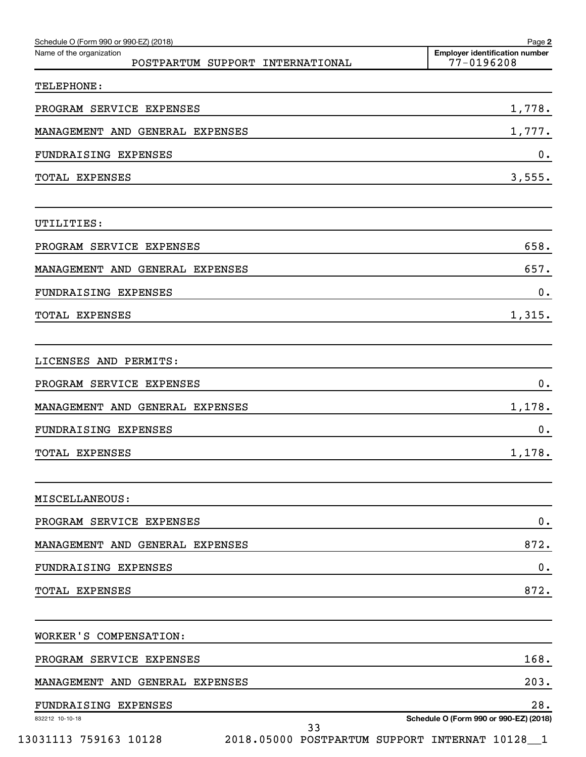| Schedule O (Form 990 or 990-EZ) (2018)<br>Name of the organization<br>POSTPARTUM SUPPORT INTERNATIONAL | Page 2<br><b>Employer identification number</b><br>$77 - 0196208$ |
|--------------------------------------------------------------------------------------------------------|-------------------------------------------------------------------|
| TELEPHONE:                                                                                             |                                                                   |
| PROGRAM SERVICE EXPENSES                                                                               | 1,778.                                                            |
| MANAGEMENT AND GENERAL EXPENSES                                                                        | 1,777.                                                            |
| FUNDRAISING EXPENSES                                                                                   | 0.                                                                |
| TOTAL EXPENSES                                                                                         | 3,555.                                                            |
| UTILITIES:                                                                                             |                                                                   |
| PROGRAM SERVICE EXPENSES                                                                               | 658.                                                              |
| MANAGEMENT AND GENERAL EXPENSES                                                                        | 657.                                                              |
| FUNDRAISING EXPENSES                                                                                   | 0.                                                                |
| TOTAL EXPENSES                                                                                         | 1,315.                                                            |
| LICENSES AND PERMITS:                                                                                  |                                                                   |
| PROGRAM SERVICE EXPENSES                                                                               | 0.                                                                |
| MANAGEMENT AND GENERAL EXPENSES                                                                        | 1,178.                                                            |
| FUNDRAISING EXPENSES                                                                                   | 0.                                                                |
| <b>TOTAL EXPENSES</b>                                                                                  | 1,178.                                                            |
| MISCELLANEOUS:                                                                                         |                                                                   |
| PROGRAM SERVICE EXPENSES                                                                               | 0.                                                                |
| MANAGEMENT AND GENERAL EXPENSES                                                                        | 872.                                                              |
| FUNDRAISING EXPENSES                                                                                   | 0.                                                                |
| <b>TOTAL EXPENSES</b>                                                                                  | 872.                                                              |
| WORKER'S COMPENSATION:                                                                                 |                                                                   |
| PROGRAM SERVICE EXPENSES                                                                               | 168.                                                              |
| MANAGEMENT AND GENERAL EXPENSES                                                                        | 203.                                                              |
| FUNDRAISING EXPENSES                                                                                   | 28.                                                               |
| 832212 10-10-18<br>33                                                                                  | Schedule O (Form 990 or 990-EZ) (2018)                            |
| 13031113 759163 10128<br>2018.05000 POSTPARTUM SUPPORT INTERNAT 10128_1                                |                                                                   |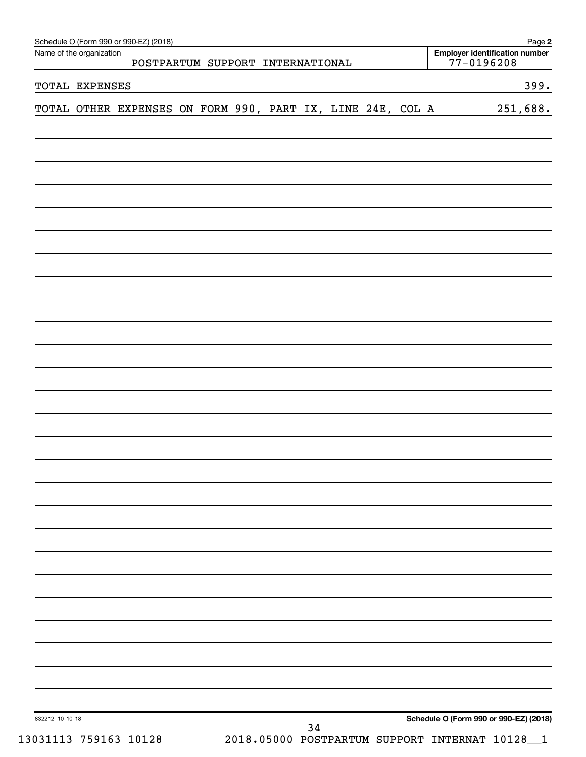|                 | Name of the organization | Schedule O (Form 990 or 990-EZ) (2018)<br>POSTPARTUM SUPPORT INTERNATIONAL |  |  |    |  |                                        | Employer identification number<br>$77 - 0196208$ | Page 2   |
|-----------------|--------------------------|----------------------------------------------------------------------------|--|--|----|--|----------------------------------------|--------------------------------------------------|----------|
|                 | TOTAL EXPENSES           |                                                                            |  |  |    |  |                                        |                                                  | 399.     |
|                 |                          | TOTAL OTHER EXPENSES ON FORM 990, PART IX, LINE 24E, COL A                 |  |  |    |  |                                        |                                                  | 251,688. |
|                 |                          |                                                                            |  |  |    |  |                                        |                                                  |          |
|                 |                          |                                                                            |  |  |    |  |                                        |                                                  |          |
|                 |                          |                                                                            |  |  |    |  |                                        |                                                  |          |
|                 |                          |                                                                            |  |  |    |  |                                        |                                                  |          |
|                 |                          |                                                                            |  |  |    |  |                                        |                                                  |          |
|                 |                          |                                                                            |  |  |    |  |                                        |                                                  |          |
|                 |                          |                                                                            |  |  |    |  |                                        |                                                  |          |
|                 |                          |                                                                            |  |  |    |  |                                        |                                                  |          |
|                 |                          |                                                                            |  |  |    |  |                                        |                                                  |          |
|                 |                          |                                                                            |  |  |    |  |                                        |                                                  |          |
|                 |                          |                                                                            |  |  |    |  |                                        |                                                  |          |
|                 |                          |                                                                            |  |  |    |  |                                        |                                                  |          |
|                 |                          |                                                                            |  |  |    |  |                                        |                                                  |          |
|                 |                          |                                                                            |  |  |    |  |                                        |                                                  |          |
|                 |                          |                                                                            |  |  |    |  |                                        |                                                  |          |
|                 |                          |                                                                            |  |  |    |  |                                        |                                                  |          |
|                 |                          |                                                                            |  |  |    |  |                                        |                                                  |          |
|                 |                          |                                                                            |  |  |    |  |                                        |                                                  |          |
| 832212 10-10-18 |                          |                                                                            |  |  | 34 |  | Schedule O (Form 990 or 990-EZ) (2018) |                                                  |          |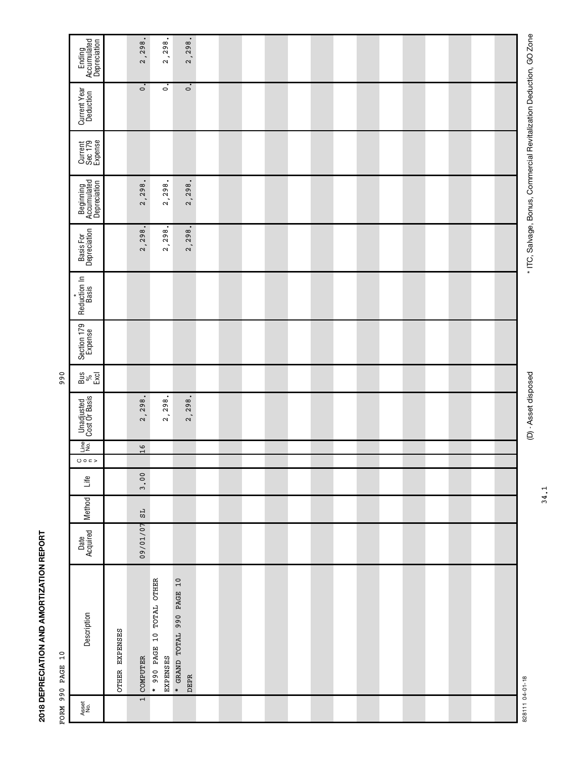| ĺ<br>i<br>:                |  |
|----------------------------|--|
| ĺ<br>;<br>Í                |  |
| :<br>;<br>;<br>ļ<br>i<br>ī |  |

|                     | Ending<br>Accumulated<br>Depreciation    |                | 2,298.                   | 2,298.                                | 2,298.                                   |  |  |  |  |  |  |  |
|---------------------|------------------------------------------|----------------|--------------------------|---------------------------------------|------------------------------------------|--|--|--|--|--|--|--|
|                     | Current Year<br>Deduction                |                | $\overline{\phantom{0}}$ | $\overline{\phantom{0}}$              | $\overline{\phantom{0}}$                 |  |  |  |  |  |  |  |
|                     | Current<br>Sec 179<br>Expense            |                |                          |                                       |                                          |  |  |  |  |  |  |  |
|                     | Beginning<br>Accumulated<br>Depreciation |                | $\bullet$<br>2,298.      | $\bullet$<br>2,298.                   | $\bullet$<br>2,298.                      |  |  |  |  |  |  |  |
|                     | Basis For<br>Depreciation                |                | $\bullet$<br>2,298.      | $\bullet$<br>2,298.                   | $\bullet$<br>2,298.                      |  |  |  |  |  |  |  |
|                     | Reduction In<br>Basis<br>¥               |                |                          |                                       |                                          |  |  |  |  |  |  |  |
|                     | Section 179<br>Expense                   |                |                          |                                       |                                          |  |  |  |  |  |  |  |
| 990                 | $\frac{3}{8}$<br>Excl                    |                |                          |                                       |                                          |  |  |  |  |  |  |  |
|                     | <b>Unadjusted</b><br>Cost Or Basis       |                | $\bullet$<br>2,298.      | $\bullet$<br>2,298.                   | $\bullet$<br>2,298.                      |  |  |  |  |  |  |  |
|                     | Line<br>No.                              |                | $\frac{9}{1}$            |                                       |                                          |  |  |  |  |  |  |  |
|                     | 0002<br>Life                             |                | 3.00                     |                                       |                                          |  |  |  |  |  |  |  |
|                     | Method                                   |                | $\mathsf{TS}$            |                                       |                                          |  |  |  |  |  |  |  |
|                     | Date<br>Acquired                         |                | 09/01/07                 |                                       |                                          |  |  |  |  |  |  |  |
| 10<br>FORM 990 PAGE | Description                              | OTHER EXPENSES | COMPUTER                 | * 990 PAGE 10 TOTAL OTHER<br>EXPENSES | * GRAND TOTAL 990 PAGE 10<br><b>DEPR</b> |  |  |  |  |  |  |  |
|                     | Asset<br>No.                             |                | $\overline{1}$           |                                       |                                          |  |  |  |  |  |  |  |

et disposed disposed \* Asset disposed \* ITC, Salvage, Salvage, Salvage, Salvage, Promition Deduction, GO Zone<br>Lone (D) - Asset disposed

\* ITC, Salvage, Bonus, Commercial Revitalization Deduction, GO Zone

34.1

828111 04-01-18 828111 04-01-18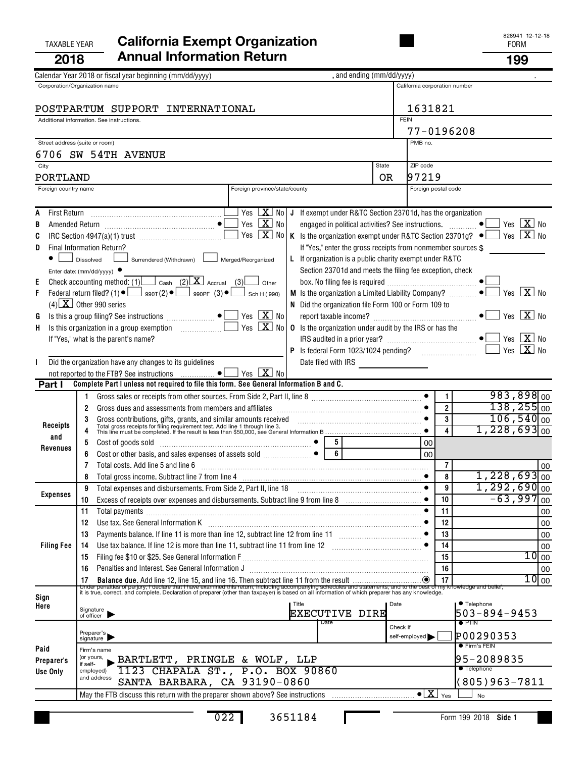## TAXABLE YEAR **California Exempt Organization California Exempt Organization 2018 Annual Information Return 199**

|                      | , and ending (mm/dd/yyyy)<br>Calendar Year 2018 or fiscal year beginning (mm/dd/yyyy)                                                                                                                                                  |             |                                           |                         |                                          |
|----------------------|----------------------------------------------------------------------------------------------------------------------------------------------------------------------------------------------------------------------------------------|-------------|-------------------------------------------|-------------------------|------------------------------------------|
|                      | Corporation/Organization name                                                                                                                                                                                                          |             | California corporation number             |                         |                                          |
|                      |                                                                                                                                                                                                                                        |             |                                           |                         |                                          |
|                      | POSTPARTUM SUPPORT INTERNATIONAL                                                                                                                                                                                                       |             | 1631821                                   |                         |                                          |
|                      | Additional information. See instructions.                                                                                                                                                                                              | <b>FEIN</b> |                                           |                         |                                          |
|                      |                                                                                                                                                                                                                                        |             | 77-0196208                                |                         |                                          |
|                      | Street address (suite or room)                                                                                                                                                                                                         |             | PMB no.                                   |                         |                                          |
| City                 | 6706 SW 54TH AVENUE<br>State                                                                                                                                                                                                           |             | ZIP code                                  |                         |                                          |
| PORTLAND             |                                                                                                                                                                                                                                        | OR.         | 97219                                     |                         |                                          |
| Foreign country name | Foreign province/state/county                                                                                                                                                                                                          |             | Foreign postal code                       |                         |                                          |
|                      |                                                                                                                                                                                                                                        |             |                                           |                         |                                          |
| A                    | Yes $\lfloor \mathbf{X} \rfloor$<br>No   J If exempt under R&TC Section 23701d, has the organization                                                                                                                                   |             |                                           |                         |                                          |
| B                    | Yes $\boxed{\mathbf{X}}$<br>engaged in political activities? See instructions. $\Box$<br>No                                                                                                                                            |             |                                           |                         | Yes $\boxed{\mathbf{X}}$ No              |
| C                    | Yes $\boxed{\mathbf{X}}$<br>No<br>K Is the organization exempt under R&TC Section 23701g? $\bullet$ $\Box$ Yes $\boxed{\mathbf{X}}$ No                                                                                                 |             |                                           |                         |                                          |
| D                    | Final Information Return?<br>If "Yes," enter the gross receipts from nonmember sources \$                                                                                                                                              |             |                                           |                         |                                          |
|                      | Surrendered (Withdrawn) Lackburrend/Reorganized<br>L If organization is a public charity exempt under R&TC<br>Dissolved                                                                                                                |             |                                           |                         |                                          |
|                      | Section 23701d and meets the filing fee exception, check<br>Enter date: ( $mm/dd/yyyy$ ) $\bullet$                                                                                                                                     |             |                                           |                         |                                          |
| Ε                    | Check accounting method: $(1)$ $\Box$ Cash $(2)$ $\boxed{\mathbf{X}}$ Accrual $(3)$ $\boxed{\phantom{2}}$<br>Other                                                                                                                     |             |                                           |                         |                                          |
| F                    | $M$ Is the organization a Limited Liability Company? $\Box$<br>Federal return filed? (1) $\bullet$ $\Box$ 990T(2) $\bullet$ $\Box$ 990PF (3) $\bullet$ $\Box$ Sch H (990)                                                              |             |                                           |                         | $\sqrt{X}$ No<br>Yes                     |
|                      | $(4)$ X Other 990 series<br>N Did the organization file Form 100 or Form 109 to                                                                                                                                                        |             |                                           |                         |                                          |
| G                    | Yes $\boxed{\mathbf{X}}$ No                                                                                                                                                                                                            |             |                                           |                         |                                          |
| H.                   | $Yes \ \boxed{X}$<br>No<br><b>0</b> Is the organization under audit by the IRS or has the                                                                                                                                              |             |                                           |                         |                                          |
|                      | If "Yes," what is the parent's name?                                                                                                                                                                                                   |             |                                           |                         | Yes $\boxed{\mathbf{X}}$ No<br>$X _{N0}$ |
|                      |                                                                                                                                                                                                                                        |             |                                           |                         | Yes                                      |
| I.                   | Did the organization have any changes to its guidelines<br>Yes $X$ No<br>not reported to the FTB? See instructions  ●                                                                                                                  |             |                                           |                         |                                          |
| Part I               | Complete Part I unless not required to file this form. See General Information B and C.                                                                                                                                                |             |                                           |                         |                                          |
|                      | Gross sales or receipts from other sources. From Side 2, Part II, line 8<br>1.                                                                                                                                                         |             |                                           | $\mathbf{1}$            | $983,898$ <sub>00</sub>                  |
|                      | 2                                                                                                                                                                                                                                      |             |                                           | $\boldsymbol{2}$        | $138,255_{00}$                           |
|                      | 3                                                                                                                                                                                                                                      |             |                                           | $\overline{\mathbf{3}}$ | $106,540$ <sub>00</sub>                  |
| Receipts             | Gross contributions, gifts, grants, and similar amounts received contained and the contributions, gifts, grants, and similar amounts received contained and the state of filing requirement test. Add line 1 through line 3.<br>T<br>4 |             |                                           |                         | $1,228,693$ <sub>00</sub>                |
| and                  | Cost of goods sold<br>Cost or other basis, and sales expenses of assets sold<br>$\begin{array}{ c c c c c }\n\hline\n6 & 6\n\end{array}$<br>5                                                                                          |             | 00                                        |                         |                                          |
| Revenues             | 6                                                                                                                                                                                                                                      |             | 00                                        |                         |                                          |
|                      | Total costs. Add line 5 and line 6<br>7                                                                                                                                                                                                |             |                                           | $\overline{7}$          | 00                                       |
|                      | 8                                                                                                                                                                                                                                      |             |                                           | 8                       | $1,228,693$ $_{00}$                      |
| <b>Expenses</b>      | 9<br>Total expenses and disbursements. From Side 2, Part II, line 18                                                                                                                                                                   |             | $\bullet$                                 | 9                       | $1,292,690$ <sub>00</sub>                |
|                      | 10                                                                                                                                                                                                                                     |             |                                           | 10                      | $-63,997$<br>00                          |
|                      | Total payments [111] continuum material contracts and all payments in the contract of the contract of the contract of the contract of the contract of the contract of the contract of the contract of the contract of the cont<br>11   |             |                                           | 11                      | 00                                       |
|                      | Use tax. See General Information K<br>12                                                                                                                                                                                               |             |                                           | 12<br>13                | 00                                       |
| <b>Filing Fee</b>    | 13<br>Use tax balance. If line 12 is more than line 11, subtract line 11 from line 12 [11] mass contains the state of $\bullet$<br>14                                                                                                  |             |                                           | 14                      | 00<br>00                                 |
|                      | 15                                                                                                                                                                                                                                     |             |                                           | 15                      | 10<br>00                                 |
|                      | Penalties and Interest. See General Information J<br>16                                                                                                                                                                                |             |                                           | 16                      | 00                                       |
|                      |                                                                                                                                                                                                                                        |             |                                           |                         | 10 <sub>00</sub>                         |
|                      |                                                                                                                                                                                                                                        |             |                                           |                         |                                          |
| Sign<br>Here         | l Title                                                                                                                                                                                                                                | Date        |                                           |                         | • Telephone                              |
|                      | Signature<br>of officer<br><b>EXECUTIVE DIRE</b>                                                                                                                                                                                       |             |                                           |                         | 503-894-9453                             |
|                      | Date                                                                                                                                                                                                                                   | Check if    |                                           |                         | $\bullet$ PTIN                           |
|                      | Preparer's<br>signature                                                                                                                                                                                                                |             | self-employed                             |                         | P00290353                                |
| Paid                 | Firm's name                                                                                                                                                                                                                            |             |                                           |                         | ● Firm's FEIN                            |
| Preparer's           | (or yours,<br>BARTLETT, PRINGLE & WOLF, LLP<br>if self-                                                                                                                                                                                |             |                                           |                         | 95-2089835                               |
| Use Only             | 1123 CHAPALA ST., P.O. BOX 90860<br>employed)<br>and address                                                                                                                                                                           |             |                                           |                         | <b>•</b> Telephone                       |
|                      | SANTA BARBARA, CA 93190-0860                                                                                                                                                                                                           |             |                                           |                         | (805)963-7811                            |
|                      | May the FTB discuss this return with the preparer shown above? See instructions                                                                                                                                                        |             | $\bullet$ $\boxed{\text{X}}$ $\text{Yes}$ |                         | No                                       |

022 3651184

П

**Side 1** Form 199 2018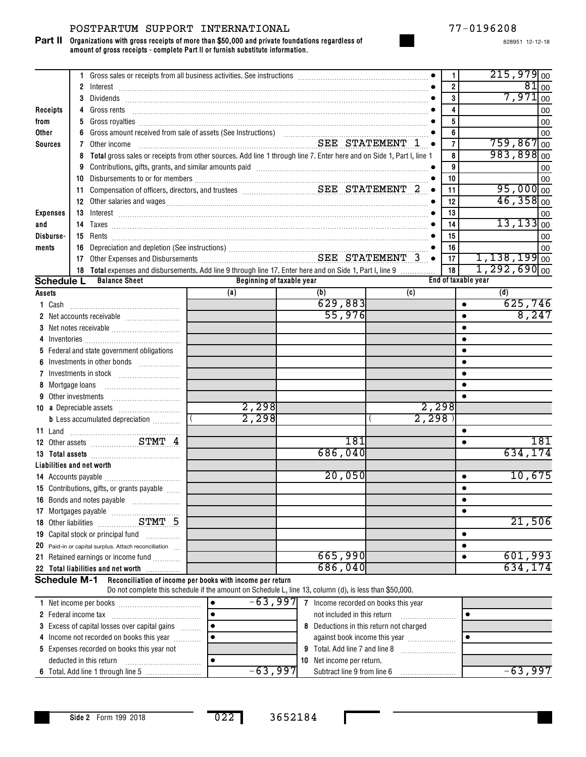#### POSTPARTUM SUPPORT INTERNATIONAL 77-0196208

**Organizations with gross receipts of more than \$50,000 and private foundations regardless of amount of gross receipts - complete Part II or furnish substitute information. Part II**

|                           |    | 1 Gross sales or receipts from all business activities. See instructions [11, 11] Gross sales or receipts from all business activities. See instructions [11] Gross sales or receipts from all business activities.            |                                                                                                                       |                                                  |       | $\mathbf{1}$            | $215,979$ <sub>00</sub>       |
|---------------------------|----|--------------------------------------------------------------------------------------------------------------------------------------------------------------------------------------------------------------------------------|-----------------------------------------------------------------------------------------------------------------------|--------------------------------------------------|-------|-------------------------|-------------------------------|
|                           |    |                                                                                                                                                                                                                                |                                                                                                                       |                                                  |       | $\overline{\mathbf{2}}$ | $81$ 00                       |
|                           |    |                                                                                                                                                                                                                                |                                                                                                                       |                                                  |       | $\mathbf{3}$            | $7,971$ <sub>00</sub>         |
| Receipts                  | 4  | Gross rents                                                                                                                                                                                                                    |                                                                                                                       |                                                  |       | 4                       | 00                            |
| from                      | 5  |                                                                                                                                                                                                                                |                                                                                                                       |                                                  |       | 5                       | 00                            |
| Other                     | 6  |                                                                                                                                                                                                                                |                                                                                                                       |                                                  |       | 6<br>$\overline{7}$     | 00<br>$759,867$ <sub>00</sub> |
| <b>Sources</b>            | 7  | Other income                                                                                                                                                                                                                   | SEE STATEMENT 1 .                                                                                                     |                                                  |       | 8                       | $983,898$ <sub>00</sub>       |
|                           | 8  |                                                                                                                                                                                                                                | Total gross sales or receipts from other sources. Add line 1 through line 7. Enter here and on Side 1, Part I, line 1 |                                                  |       | 9                       |                               |
|                           |    | 9 Contributions, gifts, grants, and similar amounts paid [11] content to the contributions, gifts, grants, and similar amounts paid [11] content content of the content of the content of the content of the content of the co |                                                                                                                       |                                                  |       | 10                      | 00<br>00                      |
|                           |    |                                                                                                                                                                                                                                |                                                                                                                       |                                                  |       | 11                      | $95,000$ <sub>00</sub>        |
|                           |    |                                                                                                                                                                                                                                | 12                                                                                                                    | $46,358$ <sub>00</sub>                           |       |                         |                               |
| <b>Expenses</b>           |    | 13 Interest 2000 Committee Committee Committee Committee Committee Committee Committee Committee Committee Committee Committee Committee Committee Committee Committee Committee Committee Committee Committee Committee Commi |                                                                                                                       |                                                  |       | 13                      | 00                            |
| and                       |    |                                                                                                                                                                                                                                |                                                                                                                       |                                                  |       | 14                      | $13, 133$ <sub>00</sub>       |
| Disburse-                 |    |                                                                                                                                                                                                                                |                                                                                                                       |                                                  |       | 15                      | 00                            |
| ments                     | 16 |                                                                                                                                                                                                                                |                                                                                                                       |                                                  |       | 16                      | 00                            |
|                           |    |                                                                                                                                                                                                                                |                                                                                                                       |                                                  |       | 17                      | $1,138,199$ <sub>00</sub>     |
|                           |    | 18 Total expenses and disbursements. Add line 9 through line 17. Enter here and on Side 1, Part I, line 9                                                                                                                      |                                                                                                                       |                                                  |       | 18                      | $1,292,690$ <sub>00</sub>     |
| <b>Schedule L</b>         |    | <b>Balance Sheet</b>                                                                                                                                                                                                           | Beginning of taxable year                                                                                             |                                                  |       | End of taxable year     |                               |
| Assets                    |    |                                                                                                                                                                                                                                | (a)                                                                                                                   | (b)                                              | (c)   |                         | (d)                           |
|                           |    |                                                                                                                                                                                                                                |                                                                                                                       | 629,883                                          |       | $\bullet$               | 625,746                       |
|                           |    |                                                                                                                                                                                                                                |                                                                                                                       | 55,976                                           |       | $\bullet$               | 8,247                         |
|                           |    |                                                                                                                                                                                                                                |                                                                                                                       |                                                  |       | $\bullet$               |                               |
|                           |    |                                                                                                                                                                                                                                |                                                                                                                       |                                                  |       | $\bullet$               |                               |
|                           |    | 5 Federal and state government obligations                                                                                                                                                                                     |                                                                                                                       |                                                  |       | $\bullet$               |                               |
| 6                         |    | Investments in other bonds                                                                                                                                                                                                     |                                                                                                                       |                                                  |       | $\bullet$               |                               |
| 7                         |    |                                                                                                                                                                                                                                |                                                                                                                       |                                                  |       |                         |                               |
| 8 Mortgage loans          |    |                                                                                                                                                                                                                                |                                                                                                                       |                                                  |       | $\bullet$               |                               |
| 9                         |    | Other investments                                                                                                                                                                                                              |                                                                                                                       |                                                  |       |                         |                               |
|                           |    | 10 a Depreciable assets                                                                                                                                                                                                        | 2,298                                                                                                                 |                                                  | 2,298 |                         |                               |
|                           |    | <b>b</b> Less accumulated depreciation <i></i>                                                                                                                                                                                 | 2,298                                                                                                                 |                                                  | 2,298 |                         |                               |
| 11 Land                   |    |                                                                                                                                                                                                                                |                                                                                                                       | 181                                              |       | $\bullet$               | 181                           |
|                           |    | 12 Other assets STMT 4                                                                                                                                                                                                         |                                                                                                                       | 686,040                                          |       | $\bullet$               | 634,174                       |
|                           |    |                                                                                                                                                                                                                                |                                                                                                                       |                                                  |       |                         |                               |
| Liabilities and net worth |    |                                                                                                                                                                                                                                |                                                                                                                       | 20,050                                           |       | $\bullet$               | 10,675                        |
|                           |    | 15 Contributions, gifts, or grants payable                                                                                                                                                                                     |                                                                                                                       |                                                  |       | $\bullet$               |                               |
|                           |    | 16 Bonds and notes payable                                                                                                                                                                                                     |                                                                                                                       |                                                  |       | ٠                       |                               |
|                           |    |                                                                                                                                                                                                                                |                                                                                                                       |                                                  |       | $\bullet$               |                               |
|                           |    | 18 Other liabilities STMT 5                                                                                                                                                                                                    |                                                                                                                       |                                                  |       |                         | 21,506                        |
|                           |    | 19 Capital stock or principal fund [19] Capital stock or principal fund                                                                                                                                                        |                                                                                                                       |                                                  |       | $\bullet$               |                               |
|                           |    | 20 Paid-in or capital surplus. Attach reconciliation                                                                                                                                                                           |                                                                                                                       |                                                  |       | $\bullet$               |                               |
|                           |    | 21 Retained earnings or income fund                                                                                                                                                                                            |                                                                                                                       | 665,990                                          |       | $\bullet$               | 601,993                       |
|                           |    | 22 Total liabilities and net worth                                                                                                                                                                                             |                                                                                                                       | 686,040                                          |       |                         | 634,174                       |
| <b>Schedule M-1</b>       |    |                                                                                                                                                                                                                                | Reconciliation of income per books with income per return                                                             |                                                  |       |                         |                               |
|                           |    |                                                                                                                                                                                                                                | Do not complete this schedule if the amount on Schedule L, line 13, column (d), is less than \$50,000.                |                                                  |       |                         |                               |
|                           |    |                                                                                                                                                                                                                                |                                                                                                                       | $-63$ , 997 7 Income recorded on books this year |       |                         |                               |

| NEL INCONNE DEL DOOKS                                |          | THEOTHE FECOLUTED OIL DOOKS THIS YEAR.  |         |
|------------------------------------------------------|----------|-----------------------------------------|---------|
| 2 Federal income tax                                 |          | not included in this return             |         |
| <b>3</b> Excess of capital losses over capital gains |          | 8 Deductions in this return not charged |         |
| 4 Income not recorded on books this year             |          | against book income this year           |         |
| 5 Expenses recorded on books this year not           |          | <b>9</b> Total. Add line 7 and line 8   |         |
| deducted in this return                              |          | <b>10</b> Net income per return.        |         |
|                                                      | -63,9971 | Subtract line 9 from line 6             | -63,997 |

022 3652184

П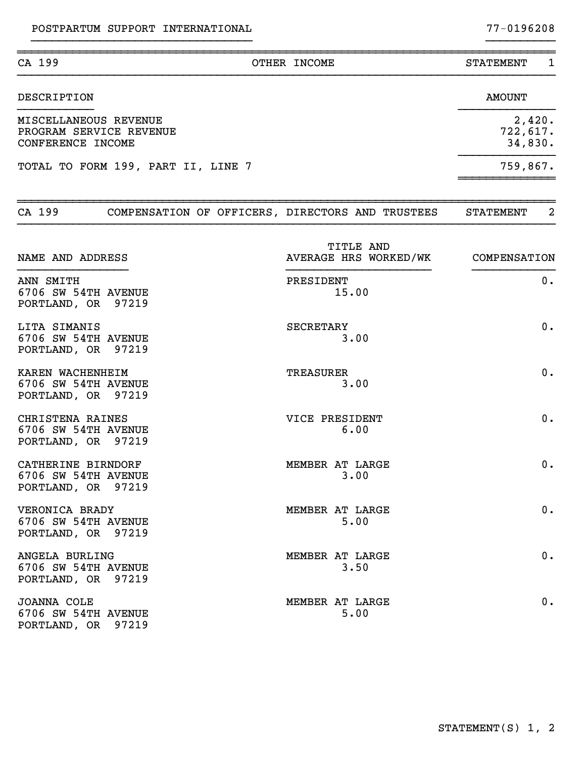| CA 199                                                                | OTHER INCOME                                     | <b>STATEMENT</b><br>1         |
|-----------------------------------------------------------------------|--------------------------------------------------|-------------------------------|
| <b>DESCRIPTION</b>                                                    |                                                  | <b>AMOUNT</b>                 |
| MISCELLANEOUS REVENUE<br>PROGRAM SERVICE REVENUE<br>CONFERENCE INCOME |                                                  | 2,420.<br>722,617.<br>34,830. |
| TOTAL TO FORM 199, PART II, LINE 7                                    |                                                  | 759,867.                      |
| CA 199                                                                | COMPENSATION OF OFFICERS, DIRECTORS AND TRUSTEES | 2<br>STATEMENT                |
| NAME AND ADDRESS                                                      | TITLE AND<br>AVERAGE HRS WORKED/WK               | COMPENSATION                  |
| ANN SMITH<br>6706 SW 54TH AVENUE<br>PORTLAND, OR 97219                | PRESIDENT<br>15.00                               | 0.                            |
| LITA SIMANIS<br>6706 SW 54TH AVENUE<br>97219<br>PORTLAND, OR          | <b>SECRETARY</b><br>3.00                         | 0.                            |
| KAREN WACHENHEIM<br>6706 SW 54TH AVENUE                               | <b>TREASURER</b><br>3.00                         | 0.                            |

}}}}}}}}}}}}}}}}}}}}}}}}}}}}}}}} }}}}}}}}}}

PORTLAND, OR 97219

CHRISTENA RAINES VICE PRESIDENT 0. 6706 SW 54TH AVENUE 6.00 PORTLAND, OR 97219

CATHERINE BIRNDORF **MEMBER AT LARGE** 0. 6706 SW 54TH AVENUE 3.00 PORTLAND, OR 97219

6706 SW 54TH AVENUE 5.00 PORTLAND, OR 97219

6706 SW 54TH AVENUE 3.50 PORTLAND, OR 97219

6706 SW 54TH AVENUE 5.00 PORTLAND, OR 97219

VERONICA BRADY **MEMBER AT LARGE** 0.

ANGELA BURLING  $\qquad \qquad \qquad$  MEMBER AT LARGE  $\qquad \qquad \qquad \qquad 0$ .

JOANNA COLE MEMBER AT LARGE 0.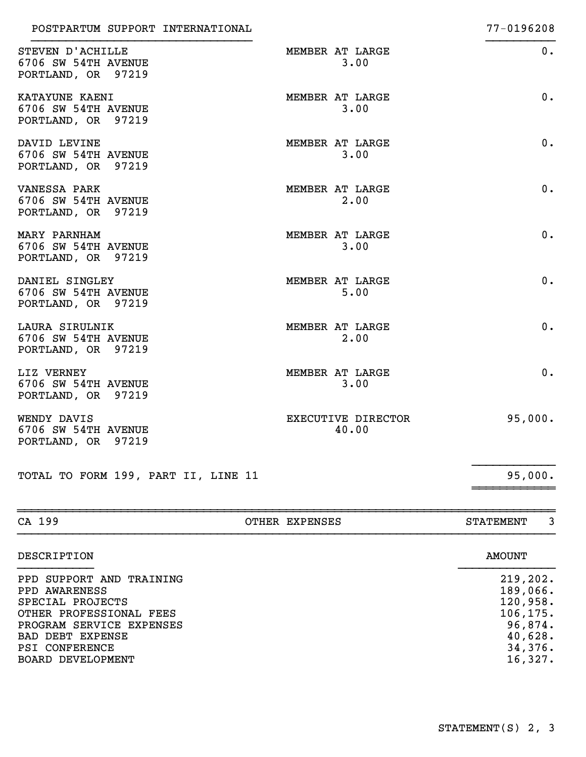| STEVEN D'ACHILLE<br>6706 SW 54TH AVENUE<br>PORTLAND, OR 97219      | MEMBER AT LARGE<br>3.00     | 0.      |
|--------------------------------------------------------------------|-----------------------------|---------|
| <b>KATAYUNE KAENI</b><br>6706 SW 54TH AVENUE<br>PORTLAND, OR 97219 | MEMBER AT LARGE<br>3.00     | $0$ .   |
| DAVID LEVINE<br>6706 SW 54TH AVENUE<br>PORTLAND, OR 97219          | MEMBER AT LARGE<br>3.00     | 0.      |
| <b>VANESSA PARK</b><br>6706 SW 54TH AVENUE<br>PORTLAND, OR 97219   | MEMBER AT LARGE<br>2.00     | 0.      |
| MARY PARNHAM<br>6706 SW 54TH AVENUE<br>PORTLAND, OR 97219          | MEMBER AT LARGE<br>3.00     | 0.      |
| DANIEL SINGLEY<br>6706 SW 54TH AVENUE<br>PORTLAND, OR 97219        | MEMBER AT LARGE<br>5.00     | 0.      |
| LAURA SIRULNIK<br>6706 SW 54TH AVENUE<br>PORTLAND, OR 97219        | MEMBER AT LARGE<br>2.00     | 0.      |
| LIZ VERNEY<br>6706 SW 54TH AVENUE<br>PORTLAND, OR 97219            | MEMBER AT LARGE<br>3.00     | 0.      |
| WENDY DAVIS<br>6706 SW 54TH AVENUE<br>PORTLAND, OR 97219           | EXECUTIVE DIRECTOR<br>40.00 | 95,000. |
| TOTAL TO FORM 199, PART II, LINE 11                                |                             | 95,000. |

| CA 199                                                                                                                                                                                 | OTHER EXPENSES | 3<br><b>STATEMENT</b>                                                                     |
|----------------------------------------------------------------------------------------------------------------------------------------------------------------------------------------|----------------|-------------------------------------------------------------------------------------------|
| DESCRIPTION                                                                                                                                                                            |                | <b>AMOUNT</b>                                                                             |
| PPD SUPPORT AND TRAINING<br>PPD AWARENESS<br>SPECIAL PROJECTS<br>OTHER PROFESSIONAL FEES<br>PROGRAM SERVICE EXPENSES<br>BAD DEBT EXPENSE<br><b>PSI CONFERENCE</b><br>BOARD DEVELOPMENT |                | 219,202.<br>189,066.<br>120,958.<br>106, 175.<br>96,874.<br>40,628.<br>34,376.<br>16,327. |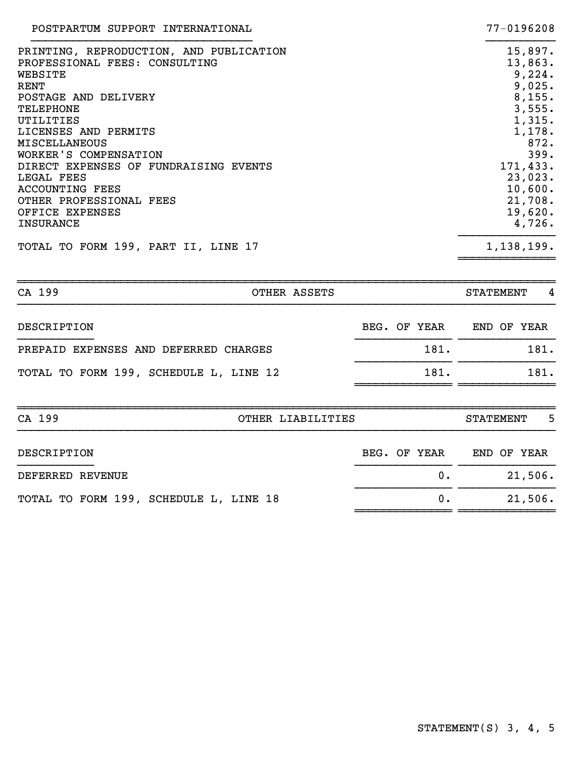| POSTPARTUM SUPPORT INTERNATIONAL        | 77-0196208 |
|-----------------------------------------|------------|
| PRINTING, REPRODUCTION, AND PUBLICATION | 15,897.    |
| PROFESSIONAL FEES: CONSULTING           | 13,863.    |
| WEBSITE                                 | 9,224.     |
| RENT                                    | 9,025.     |
| POSTAGE AND DELIVERY                    | 8, 155.    |
| <b>TELEPHONE</b>                        | 3,555.     |
| UTILITIES                               | 1,315.     |
| LICENSES AND PERMITS                    | 1,178.     |
| <b>MISCELLANEOUS</b>                    | 872.       |
| WORKER'S COMPENSATION                   | 399.       |
| DIRECT EXPENSES OF FUNDRAISING EVENTS   | 171,433.   |
| LEGAL FEES                              | 23,023.    |
| <b>ACCOUNTING FEES</b>                  | 10,600.    |
| OTHER PROFESSIONAL FEES                 | 21,708.    |
| OFFICE EXPENSES                         | 19,620.    |
| <b>INSURANCE</b>                        | 4,726.     |
| TOTAL TO FORM 199, PART II, LINE 17     | 1,138,199. |
|                                         |            |

| CA 199                                 | OTHER ASSETS             | <b>STATEMENT</b><br>- 4 |
|----------------------------------------|--------------------------|-------------------------|
| DESCRIPTION                            | BEG. OF YEAR END OF YEAR |                         |
| PREPAID EXPENSES AND DEFERRED CHARGES  | 181.                     | 181.                    |
| TOTAL TO FORM 199, SCHEDULE L, LINE 12 | 181.                     | 181.                    |
| CA 199                                 | OTHER LIABILITIES        | - 5<br><b>STATEMENT</b> |
| DESCRIPTION                            | BEG. OF YEAR END OF YEAR |                         |
| DEFERRED REVENUE                       | 0.                       | 21,506.                 |
| TOTAL TO FORM 199, SCHEDULE L, LINE 18 | 0.                       | 21,506.                 |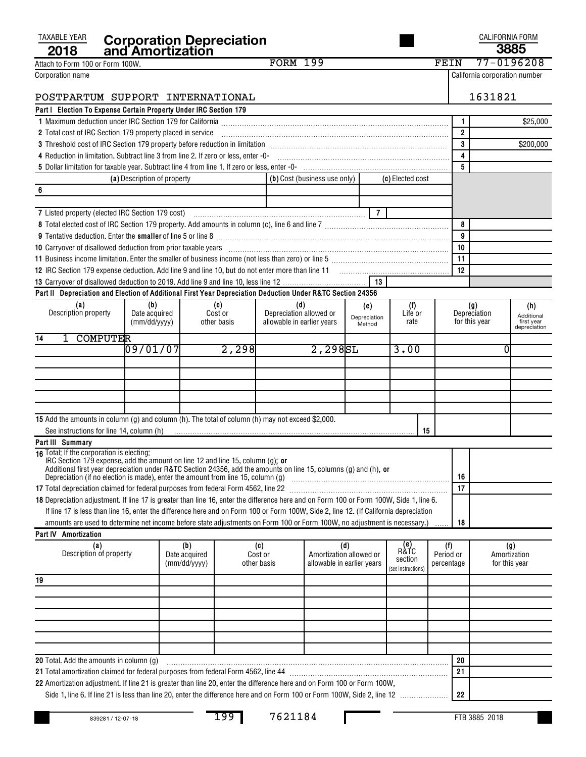| TAXABLE YEAR<br>2018                                                                                                                                                                                                           |                             | <b>Corporation Depreciation<br/>and Amortization</b> |             |                            |                                                       |                |                    |    |            |                | <b>CALIFORNIA FORM</b><br>3885 |                            |
|--------------------------------------------------------------------------------------------------------------------------------------------------------------------------------------------------------------------------------|-----------------------------|------------------------------------------------------|-------------|----------------------------|-------------------------------------------------------|----------------|--------------------|----|------------|----------------|--------------------------------|----------------------------|
| Attach to Form 100 or Form 100W.                                                                                                                                                                                               |                             |                                                      |             | <b>FORM 199</b>            |                                                       |                |                    |    | FEIN       |                | 77-0196208                     |                            |
| Corporation name                                                                                                                                                                                                               |                             |                                                      |             |                            |                                                       |                |                    |    |            |                | California corporation number  |                            |
|                                                                                                                                                                                                                                |                             |                                                      |             |                            |                                                       |                |                    |    |            |                |                                |                            |
| POSTPARTUM SUPPORT INTERNATIONAL                                                                                                                                                                                               |                             |                                                      |             |                            |                                                       |                |                    |    |            |                | 1631821                        |                            |
| Part   Election To Expense Certain Property Under IRC Section 179                                                                                                                                                              |                             |                                                      |             |                            |                                                       |                |                    |    |            |                |                                |                            |
|                                                                                                                                                                                                                                |                             |                                                      |             |                            |                                                       |                |                    |    |            | 1              |                                | \$25,000                   |
| 2 Total cost of IRC Section 179 property placed in service                                                                                                                                                                     |                             |                                                      |             |                            |                                                       |                |                    |    |            | $\overline{2}$ |                                |                            |
|                                                                                                                                                                                                                                |                             |                                                      |             |                            |                                                       |                |                    |    |            | 3              |                                | \$200,000                  |
| 4 Reduction in limitation. Subtract line 3 from line 2. If zero or less, enter -0- [11] manumeron manumeron in limitation. Subtract line 3 from line 2. If zero or less, enter -0- [11] manumeron manumeron in the set of the  |                             |                                                      |             |                            |                                                       |                |                    |    |            | $\overline{4}$ |                                |                            |
|                                                                                                                                                                                                                                |                             |                                                      |             |                            |                                                       |                |                    |    |            | 5              |                                |                            |
|                                                                                                                                                                                                                                | (a) Description of property |                                                      |             |                            | (b) Cost (business use only)                          |                | (c) Elected cost   |    |            |                |                                |                            |
| 6                                                                                                                                                                                                                              |                             |                                                      |             |                            |                                                       |                |                    |    |            |                |                                |                            |
|                                                                                                                                                                                                                                |                             |                                                      |             |                            |                                                       |                |                    |    |            |                |                                |                            |
| 7 Listed property (elected IRC Section 179 cost)                                                                                                                                                                               |                             |                                                      |             |                            |                                                       | $\overline{7}$ |                    |    |            |                |                                |                            |
|                                                                                                                                                                                                                                |                             |                                                      |             |                            |                                                       |                |                    |    |            | 8<br>9         |                                |                            |
| 10 Carryover of disallowed deduction from prior taxable years [11] match match match match and the disalt match match match match of the disalver match match match match match match match match match match match match matc |                             |                                                      |             |                            |                                                       |                |                    |    |            | 10             |                                |                            |
|                                                                                                                                                                                                                                |                             |                                                      |             |                            |                                                       |                |                    |    |            | 11             |                                |                            |
|                                                                                                                                                                                                                                |                             |                                                      |             |                            |                                                       |                |                    |    |            | 12             |                                |                            |
|                                                                                                                                                                                                                                |                             |                                                      |             |                            |                                                       | 13             |                    |    |            |                |                                |                            |
| Part II Depreciation and Election of Additional First Year Depreciation Deduction Under R&TC Section 24356                                                                                                                     |                             |                                                      |             |                            |                                                       |                |                    |    |            |                |                                |                            |
| (a)                                                                                                                                                                                                                            | (b)                         |                                                      | (c)         | (d)                        |                                                       | (e)            | (f)                |    |            |                | (g)                            | (h)                        |
| Description property                                                                                                                                                                                                           | Date acquired               |                                                      | Cost or     | Depreciation allowed or    |                                                       | Depreciation   | Life or            |    |            |                | Depreciation                   | Additional                 |
|                                                                                                                                                                                                                                | (mm/dd/yyyy)                |                                                      | other basis | allowable in earlier years |                                                       | Method         | rate               |    |            |                | for this year                  | first year<br>depreciation |
| 1 COMPUTER<br>14                                                                                                                                                                                                               |                             |                                                      |             |                            |                                                       |                |                    |    |            |                |                                |                            |
|                                                                                                                                                                                                                                | 09/01/07                    |                                                      | 2,298       |                            | 2,2985L                                               |                | 3.00               |    |            |                | 0                              |                            |
|                                                                                                                                                                                                                                |                             |                                                      |             |                            |                                                       |                |                    |    |            |                |                                |                            |
|                                                                                                                                                                                                                                |                             |                                                      |             |                            |                                                       |                |                    |    |            |                |                                |                            |
|                                                                                                                                                                                                                                |                             |                                                      |             |                            |                                                       |                |                    |    |            |                |                                |                            |
|                                                                                                                                                                                                                                |                             |                                                      |             |                            |                                                       |                |                    |    |            |                |                                |                            |
|                                                                                                                                                                                                                                |                             |                                                      |             |                            |                                                       |                |                    |    |            |                |                                |                            |
| 15 Add the amounts in column (g) and column (h). The total of column (h) may not exceed \$2,000.                                                                                                                               |                             |                                                      |             |                            |                                                       |                |                    |    |            |                |                                |                            |
| See instructions for line 14, column (h)                                                                                                                                                                                       |                             |                                                      |             |                            |                                                       |                |                    | 15 |            |                |                                |                            |
| Part III Summary<br>16 Total: If the corporation is electing:                                                                                                                                                                  |                             |                                                      |             |                            |                                                       |                |                    |    |            |                |                                |                            |
| IRC Section 179 expense, add the amount on line 12 and line 15, column (g); or                                                                                                                                                 |                             |                                                      |             |                            |                                                       |                |                    |    |            |                |                                |                            |
| Additional first year depreciation under R&TC Section 24356, add the amounts on line 15, columns (g) and (h), or<br>Depreciation (if no election is made), enter the amount from line 15, column (g)                           |                             |                                                      |             |                            |                                                       |                |                    |    |            | 16             |                                |                            |
| 17 Total depreciation claimed for federal purposes from federal Form 4562, line 22 [11] Total depreciation claimed for federal purposes from federal Form 4562, line 22                                                        |                             |                                                      |             |                            |                                                       |                |                    |    |            | 17             |                                |                            |
| 18 Depreciation adjustment. If line 17 is greater than line 16, enter the difference here and on Form 100 or Form 100W, Side 1, line 6.                                                                                        |                             |                                                      |             |                            |                                                       |                |                    |    |            |                |                                |                            |
| If line 17 is less than line 16, enter the difference here and on Form 100 or Form 100W, Side 2, line 12. (If California depreciation                                                                                          |                             |                                                      |             |                            |                                                       |                |                    |    |            |                |                                |                            |
| amounts are used to determine net income before state adjustments on Form 100 or Form 100W, no adjustment is necessary.)                                                                                                       |                             |                                                      |             |                            |                                                       |                |                    |    |            | 18             |                                |                            |
| Part IV Amortization                                                                                                                                                                                                           |                             |                                                      |             |                            |                                                       |                |                    |    |            |                |                                |                            |
| (a)                                                                                                                                                                                                                            |                             | (b)                                                  |             | (c)                        |                                                       | (d)            | e)<br>R&TC         |    | (f)        |                | (g)                            |                            |
| Description of property                                                                                                                                                                                                        |                             | Date acquired                                        |             | Cost or<br>other basis     | Amortization allowed or<br>allowable in earlier years |                | section            |    | Period or  |                | Amortization                   |                            |
|                                                                                                                                                                                                                                |                             | (mm/dd/yyyy)                                         |             |                            |                                                       |                | (see instructions) |    | percentage |                | for this year                  |                            |
| 19                                                                                                                                                                                                                             |                             |                                                      |             |                            |                                                       |                |                    |    |            |                |                                |                            |
|                                                                                                                                                                                                                                |                             |                                                      |             |                            |                                                       |                |                    |    |            |                |                                |                            |
|                                                                                                                                                                                                                                |                             |                                                      |             |                            |                                                       |                |                    |    |            |                |                                |                            |
|                                                                                                                                                                                                                                |                             |                                                      |             |                            |                                                       |                |                    |    |            |                |                                |                            |
|                                                                                                                                                                                                                                |                             |                                                      |             |                            |                                                       |                |                    |    |            |                |                                |                            |
|                                                                                                                                                                                                                                |                             |                                                      |             |                            |                                                       |                |                    |    |            |                |                                |                            |
|                                                                                                                                                                                                                                |                             |                                                      |             |                            |                                                       |                |                    |    |            |                |                                |                            |
| <b>20</b> Total. Add the amounts in column (g)<br>21 Total amortization claimed for federal purposes from federal Form 4562, line 44                                                                                           |                             |                                                      |             |                            |                                                       |                |                    |    |            | 20<br>21       |                                |                            |
| 22 Amortization adjustment. If line 21 is greater than line 20, enter the difference here and on Form 100 or Form 100W,                                                                                                        |                             |                                                      |             |                            |                                                       |                |                    |    |            |                |                                |                            |
|                                                                                                                                                                                                                                |                             |                                                      |             |                            |                                                       |                |                    |    |            | 22             |                                |                            |
|                                                                                                                                                                                                                                |                             |                                                      |             |                            |                                                       |                |                    |    |            |                |                                |                            |

199 7621184

Ш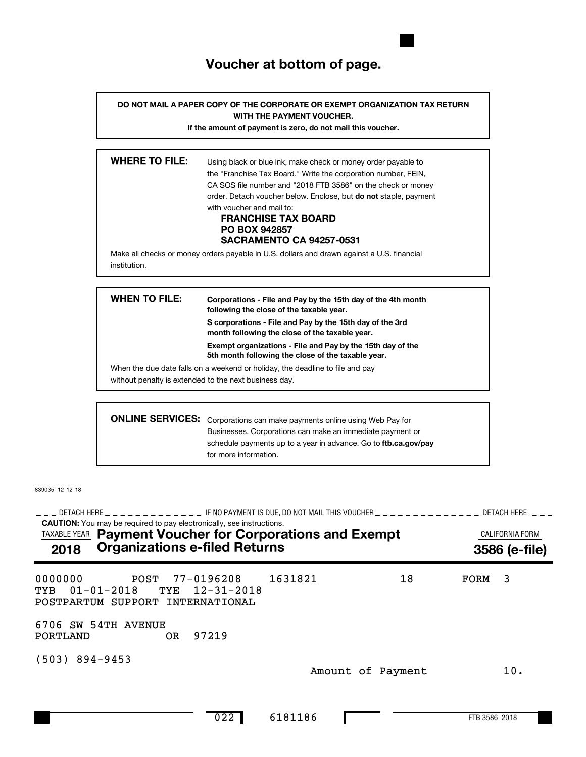### **Voucher at bottom of page.**

**DO NOT MAIL A PAPER COPY OF THE CORPORATE OR EXEMPT ORGANIZATION TAX RETURN WITH THE PAYMENT VOUCHER.**

**If the amount of payment is zero, do not mail this voucher.**

| <b>WHERE TO FILE:</b> | Using black or blue ink, make check or money order payable to<br>the "Franchise Tax Board." Write the corporation number, FEIN,<br>CA SOS file number and "2018 FTB 3586" on the check or money<br>order. Detach voucher below. Enclose, but <b>do not</b> staple, payment<br>with voucher and mail to:<br><b>FRANCHISE TAX BOARD</b><br><b>PO BOX 942857</b> |
|-----------------------|---------------------------------------------------------------------------------------------------------------------------------------------------------------------------------------------------------------------------------------------------------------------------------------------------------------------------------------------------------------|
|                       | <b>SACRAMENTO CA 94257-0531</b>                                                                                                                                                                                                                                                                                                                               |
| institution.          | Make all checks or money orders payable in U.S. dollars and drawn against a U.S. financial                                                                                                                                                                                                                                                                    |

| WHEN TO FILE: | Corporations - File and Pay by the 15th day of the 4th month<br>following the close of the taxable year.         |
|---------------|------------------------------------------------------------------------------------------------------------------|
|               | S corporations - File and Pay by the 15th day of the 3rd<br>month following the close of the taxable year.       |
|               | Exempt organizations - File and Pay by the 15th day of the<br>5th month following the close of the taxable year. |
|               | When the due date falls on a weekend or holiday, the deadline to file and pay                                    |
|               | without penalty is extended to the next business day.                                                            |
|               |                                                                                                                  |
|               | <b>ONLINE SERVICES:</b> Corporations can make payments online using Web Pay for                                  |

schedule payments up to a year in advance. Go to **ftb.ca.gov/pay** Corporations can make payments online using Web Pay for Businesses. Corporations can make an immediate payment or for more information.

839035 12-12-18

**CAUTION:** You may be required to pay electronically, see instructions. DETACH HERE IF NO PAYMENT IS DUE, DO NOT MAIL THIS VOUCHER DETACH HERE !!! !!!!!!!!!!!!! !!!!!!!!!!!!!! !!! TAXABLE YEAR **Payment Voucher for Corporations and Exempt Exampt CALIFORNIA FORM 2018 Organizations e-filed Returns 3586 (e-file)** 0000000 POST 77-0196208 1631821 18 FORM 3 TYB 01-01-2018 TYE 12-31-2018 POSTPARTUM SUPPORT INTERNATIONAL 6706 SW 54TH AVENUE PORTLAND OR 97219 (503) 894-9453 Amount of Payment 10.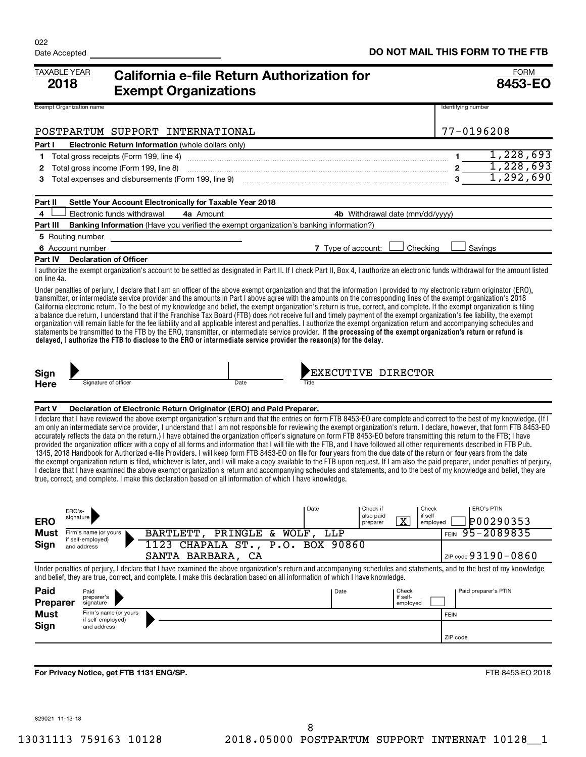| TAXABLE YEAR<br>California e-file Return Authorization for<br>2018<br><b>Exempt Organizations</b> |                                                                                                                                                                                                                                                                                                                                                                                                                                                                                                                                                                                                                                                                                                                                                                                                                                                                                                                                                                                                                                                                                                                                                                                    |                                                                                                                                                                                                                                                                                                                                                                                                                                                                                                                                                                                                                                                                                                                                                                                                                                                                                                                                                                                                                                                                                                                                                                                                                                                                                                                                                                       |                             |                    |                                                            |                               |                      | <b>FORM</b><br>8453-EO         |
|---------------------------------------------------------------------------------------------------|------------------------------------------------------------------------------------------------------------------------------------------------------------------------------------------------------------------------------------------------------------------------------------------------------------------------------------------------------------------------------------------------------------------------------------------------------------------------------------------------------------------------------------------------------------------------------------------------------------------------------------------------------------------------------------------------------------------------------------------------------------------------------------------------------------------------------------------------------------------------------------------------------------------------------------------------------------------------------------------------------------------------------------------------------------------------------------------------------------------------------------------------------------------------------------|-----------------------------------------------------------------------------------------------------------------------------------------------------------------------------------------------------------------------------------------------------------------------------------------------------------------------------------------------------------------------------------------------------------------------------------------------------------------------------------------------------------------------------------------------------------------------------------------------------------------------------------------------------------------------------------------------------------------------------------------------------------------------------------------------------------------------------------------------------------------------------------------------------------------------------------------------------------------------------------------------------------------------------------------------------------------------------------------------------------------------------------------------------------------------------------------------------------------------------------------------------------------------------------------------------------------------------------------------------------------------|-----------------------------|--------------------|------------------------------------------------------------|-------------------------------|----------------------|--------------------------------|
| <b>Exempt Organization name</b>                                                                   |                                                                                                                                                                                                                                                                                                                                                                                                                                                                                                                                                                                                                                                                                                                                                                                                                                                                                                                                                                                                                                                                                                                                                                                    |                                                                                                                                                                                                                                                                                                                                                                                                                                                                                                                                                                                                                                                                                                                                                                                                                                                                                                                                                                                                                                                                                                                                                                                                                                                                                                                                                                       |                             |                    |                                                            |                               | Identifying number   |                                |
|                                                                                                   |                                                                                                                                                                                                                                                                                                                                                                                                                                                                                                                                                                                                                                                                                                                                                                                                                                                                                                                                                                                                                                                                                                                                                                                    | POSTPARTUM SUPPORT INTERNATIONAL                                                                                                                                                                                                                                                                                                                                                                                                                                                                                                                                                                                                                                                                                                                                                                                                                                                                                                                                                                                                                                                                                                                                                                                                                                                                                                                                      |                             |                    |                                                            |                               | 77-0196208           |                                |
| Part I                                                                                            |                                                                                                                                                                                                                                                                                                                                                                                                                                                                                                                                                                                                                                                                                                                                                                                                                                                                                                                                                                                                                                                                                                                                                                                    | Electronic Return Information (whole dollars only)                                                                                                                                                                                                                                                                                                                                                                                                                                                                                                                                                                                                                                                                                                                                                                                                                                                                                                                                                                                                                                                                                                                                                                                                                                                                                                                    |                             |                    |                                                            |                               |                      |                                |
| 1                                                                                                 |                                                                                                                                                                                                                                                                                                                                                                                                                                                                                                                                                                                                                                                                                                                                                                                                                                                                                                                                                                                                                                                                                                                                                                                    | Total gross receipts (Form 199, line 4)                                                                                                                                                                                                                                                                                                                                                                                                                                                                                                                                                                                                                                                                                                                                                                                                                                                                                                                                                                                                                                                                                                                                                                                                                                                                                                                               |                             |                    |                                                            |                               |                      | 1,228,693                      |
| 2                                                                                                 | Total gross income (Form 199, line 8)                                                                                                                                                                                                                                                                                                                                                                                                                                                                                                                                                                                                                                                                                                                                                                                                                                                                                                                                                                                                                                                                                                                                              |                                                                                                                                                                                                                                                                                                                                                                                                                                                                                                                                                                                                                                                                                                                                                                                                                                                                                                                                                                                                                                                                                                                                                                                                                                                                                                                                                                       | $2\overline{1,228,693}$     |                    |                                                            |                               |                      | 1,292,690                      |
| 3                                                                                                 |                                                                                                                                                                                                                                                                                                                                                                                                                                                                                                                                                                                                                                                                                                                                                                                                                                                                                                                                                                                                                                                                                                                                                                                    |                                                                                                                                                                                                                                                                                                                                                                                                                                                                                                                                                                                                                                                                                                                                                                                                                                                                                                                                                                                                                                                                                                                                                                                                                                                                                                                                                                       |                             |                    |                                                            |                               |                      |                                |
| Part II                                                                                           |                                                                                                                                                                                                                                                                                                                                                                                                                                                                                                                                                                                                                                                                                                                                                                                                                                                                                                                                                                                                                                                                                                                                                                                    | Settle Your Account Electronically for Taxable Year 2018                                                                                                                                                                                                                                                                                                                                                                                                                                                                                                                                                                                                                                                                                                                                                                                                                                                                                                                                                                                                                                                                                                                                                                                                                                                                                                              |                             |                    |                                                            |                               |                      |                                |
| 4                                                                                                 | Electronic funds withdrawal                                                                                                                                                                                                                                                                                                                                                                                                                                                                                                                                                                                                                                                                                                                                                                                                                                                                                                                                                                                                                                                                                                                                                        | 4a Amount                                                                                                                                                                                                                                                                                                                                                                                                                                                                                                                                                                                                                                                                                                                                                                                                                                                                                                                                                                                                                                                                                                                                                                                                                                                                                                                                                             |                             |                    | 4b Withdrawal date (mm/dd/yyyy)                            |                               |                      |                                |
| Part III                                                                                          |                                                                                                                                                                                                                                                                                                                                                                                                                                                                                                                                                                                                                                                                                                                                                                                                                                                                                                                                                                                                                                                                                                                                                                                    | <b>Banking Information</b> (Have you verified the exempt organization's banking information?)                                                                                                                                                                                                                                                                                                                                                                                                                                                                                                                                                                                                                                                                                                                                                                                                                                                                                                                                                                                                                                                                                                                                                                                                                                                                         |                             |                    |                                                            |                               |                      |                                |
|                                                                                                   | 5 Routing number                                                                                                                                                                                                                                                                                                                                                                                                                                                                                                                                                                                                                                                                                                                                                                                                                                                                                                                                                                                                                                                                                                                                                                   |                                                                                                                                                                                                                                                                                                                                                                                                                                                                                                                                                                                                                                                                                                                                                                                                                                                                                                                                                                                                                                                                                                                                                                                                                                                                                                                                                                       |                             |                    |                                                            |                               |                      |                                |
| Part IV                                                                                           | 6 Account number<br><b>Declaration of Officer</b>                                                                                                                                                                                                                                                                                                                                                                                                                                                                                                                                                                                                                                                                                                                                                                                                                                                                                                                                                                                                                                                                                                                                  |                                                                                                                                                                                                                                                                                                                                                                                                                                                                                                                                                                                                                                                                                                                                                                                                                                                                                                                                                                                                                                                                                                                                                                                                                                                                                                                                                                       |                             | 7 Type of account: |                                                            | Checking                      | Savings              |                                |
|                                                                                                   |                                                                                                                                                                                                                                                                                                                                                                                                                                                                                                                                                                                                                                                                                                                                                                                                                                                                                                                                                                                                                                                                                                                                                                                    | I authorize the exempt organization's account to be settled as designated in Part II. If I check Part II, Box 4, I authorize an electronic funds withdrawal for the amount listed                                                                                                                                                                                                                                                                                                                                                                                                                                                                                                                                                                                                                                                                                                                                                                                                                                                                                                                                                                                                                                                                                                                                                                                     |                             |                    |                                                            |                               |                      |                                |
| on line 4a.                                                                                       |                                                                                                                                                                                                                                                                                                                                                                                                                                                                                                                                                                                                                                                                                                                                                                                                                                                                                                                                                                                                                                                                                                                                                                                    |                                                                                                                                                                                                                                                                                                                                                                                                                                                                                                                                                                                                                                                                                                                                                                                                                                                                                                                                                                                                                                                                                                                                                                                                                                                                                                                                                                       |                             |                    |                                                            |                               |                      |                                |
|                                                                                                   | Under penalties of perjury, I declare that I am an officer of the above exempt organization and that the information I provided to my electronic return originator (ERO),<br>transmitter, or intermediate service provider and the amounts in Part I above agree with the amounts on the corresponding lines of the exempt organization's 2018<br>California electronic return. To the best of my knowledge and belief, the exempt organization's return is true, correct, and complete. If the exempt organization is filing<br>a balance due return, I understand that if the Franchise Tax Board (FTB) does not receive full and timely payment of the exempt organization's fee liability, the exempt<br>organization will remain liable for the fee liability and all applicable interest and penalties. I authorize the exempt organization return and accompanying schedules and<br>statements be transmitted to the FTB by the ERO, transmitter, or intermediate service provider. If the processing of the exempt organization's return or refund is<br>delayed, I authorize the FTB to disclose to the ERO or intermediate service provider the reason(s) for the delay. |                                                                                                                                                                                                                                                                                                                                                                                                                                                                                                                                                                                                                                                                                                                                                                                                                                                                                                                                                                                                                                                                                                                                                                                                                                                                                                                                                                       |                             |                    |                                                            |                               |                      |                                |
| Sign                                                                                              |                                                                                                                                                                                                                                                                                                                                                                                                                                                                                                                                                                                                                                                                                                                                                                                                                                                                                                                                                                                                                                                                                                                                                                                    |                                                                                                                                                                                                                                                                                                                                                                                                                                                                                                                                                                                                                                                                                                                                                                                                                                                                                                                                                                                                                                                                                                                                                                                                                                                                                                                                                                       |                             |                    | EXECUTIVE DIRECTOR                                         |                               |                      |                                |
| <b>Here</b>                                                                                       | Signature of officer                                                                                                                                                                                                                                                                                                                                                                                                                                                                                                                                                                                                                                                                                                                                                                                                                                                                                                                                                                                                                                                                                                                                                               |                                                                                                                                                                                                                                                                                                                                                                                                                                                                                                                                                                                                                                                                                                                                                                                                                                                                                                                                                                                                                                                                                                                                                                                                                                                                                                                                                                       | Date                        |                    |                                                            |                               |                      |                                |
| Part V                                                                                            |                                                                                                                                                                                                                                                                                                                                                                                                                                                                                                                                                                                                                                                                                                                                                                                                                                                                                                                                                                                                                                                                                                                                                                                    | Declaration of Electronic Return Originator (ERO) and Paid Preparer.                                                                                                                                                                                                                                                                                                                                                                                                                                                                                                                                                                                                                                                                                                                                                                                                                                                                                                                                                                                                                                                                                                                                                                                                                                                                                                  |                             |                    |                                                            |                               |                      |                                |
|                                                                                                   |                                                                                                                                                                                                                                                                                                                                                                                                                                                                                                                                                                                                                                                                                                                                                                                                                                                                                                                                                                                                                                                                                                                                                                                    | I declare that I have reviewed the above exempt organization's return and that the entries on form FTB 8453-EO are complete and correct to the best of my knowledge. (If I<br>am only an intermediate service provider, I understand that I am not responsible for reviewing the exempt organization's return. I declare, however, that form FTB 8453-EO<br>accurately reflects the data on the return.) I have obtained the organization officer's signature on form FTB 8453-EO before transmitting this return to the FTB; I have<br>provided the organization officer with a copy of all forms and information that I will file with the FTB, and I have followed all other requirements described in FTB Pub.<br>1345, 2018 Handbook for Authorized e-file Providers. I will keep form FTB 8453-EO on file for four years from the due date of the return or four years from the date<br>the exempt organization return is filed, whichever is later, and I will make a copy available to the FTB upon request. If I am also the paid preparer, under penalties of perjury,<br>I declare that I have examined the above exempt organization's return and accompanying schedules and statements, and to the best of my knowledge and belief, they are<br>true, correct, and complete. I make this declaration based on all information of which I have knowledge. |                             |                    |                                                            |                               |                      |                                |
| <b>ERO</b>                                                                                        | ERO's-<br>signature                                                                                                                                                                                                                                                                                                                                                                                                                                                                                                                                                                                                                                                                                                                                                                                                                                                                                                                                                                                                                                                                                                                                                                |                                                                                                                                                                                                                                                                                                                                                                                                                                                                                                                                                                                                                                                                                                                                                                                                                                                                                                                                                                                                                                                                                                                                                                                                                                                                                                                                                                       |                             | Date               | Check if<br>also paid<br>$\overline{\text{X}}$<br>preparer | Check<br>if self-<br>employed |                      | <b>ERO's PTIN</b><br>P00290353 |
| Must                                                                                              | Firm's name (or yours                                                                                                                                                                                                                                                                                                                                                                                                                                                                                                                                                                                                                                                                                                                                                                                                                                                                                                                                                                                                                                                                                                                                                              | BARTLETT, PRINGLE & WOLF, LLP                                                                                                                                                                                                                                                                                                                                                                                                                                                                                                                                                                                                                                                                                                                                                                                                                                                                                                                                                                                                                                                                                                                                                                                                                                                                                                                                         |                             |                    |                                                            |                               | <b>FEIN</b>          | 95-2089835                     |
| Sign                                                                                              | if self-employed)<br>and address                                                                                                                                                                                                                                                                                                                                                                                                                                                                                                                                                                                                                                                                                                                                                                                                                                                                                                                                                                                                                                                                                                                                                   | 1123                                                                                                                                                                                                                                                                                                                                                                                                                                                                                                                                                                                                                                                                                                                                                                                                                                                                                                                                                                                                                                                                                                                                                                                                                                                                                                                                                                  | CHAPALA ST., P.O. BOX 90860 |                    |                                                            |                               |                      | ZIP code 93190-0860            |
|                                                                                                   |                                                                                                                                                                                                                                                                                                                                                                                                                                                                                                                                                                                                                                                                                                                                                                                                                                                                                                                                                                                                                                                                                                                                                                                    | SANTA BARBARA, CA<br>Under penalties of perjury, I declare that I have examined the above organization's return and accompanying schedules and statements, and to the best of my knowledge<br>and belief, they are true, correct, and complete. I make this declaration based on all information of which I have knowledge.                                                                                                                                                                                                                                                                                                                                                                                                                                                                                                                                                                                                                                                                                                                                                                                                                                                                                                                                                                                                                                           |                             |                    |                                                            |                               |                      |                                |
| Paid<br>Preparer                                                                                  | Paid<br>preparer's<br>signature                                                                                                                                                                                                                                                                                                                                                                                                                                                                                                                                                                                                                                                                                                                                                                                                                                                                                                                                                                                                                                                                                                                                                    |                                                                                                                                                                                                                                                                                                                                                                                                                                                                                                                                                                                                                                                                                                                                                                                                                                                                                                                                                                                                                                                                                                                                                                                                                                                                                                                                                                       |                             | Date               | Check<br>if self-<br>employed                              |                               | Paid preparer's PTIN |                                |
| <b>Must</b>                                                                                       | Firm's name (or yours                                                                                                                                                                                                                                                                                                                                                                                                                                                                                                                                                                                                                                                                                                                                                                                                                                                                                                                                                                                                                                                                                                                                                              |                                                                                                                                                                                                                                                                                                                                                                                                                                                                                                                                                                                                                                                                                                                                                                                                                                                                                                                                                                                                                                                                                                                                                                                                                                                                                                                                                                       |                             |                    |                                                            |                               | <b>FEIN</b>          |                                |
| Sign                                                                                              | if self-employed)<br>and address                                                                                                                                                                                                                                                                                                                                                                                                                                                                                                                                                                                                                                                                                                                                                                                                                                                                                                                                                                                                                                                                                                                                                   |                                                                                                                                                                                                                                                                                                                                                                                                                                                                                                                                                                                                                                                                                                                                                                                                                                                                                                                                                                                                                                                                                                                                                                                                                                                                                                                                                                       |                             |                    |                                                            |                               |                      |                                |
|                                                                                                   |                                                                                                                                                                                                                                                                                                                                                                                                                                                                                                                                                                                                                                                                                                                                                                                                                                                                                                                                                                                                                                                                                                                                                                                    |                                                                                                                                                                                                                                                                                                                                                                                                                                                                                                                                                                                                                                                                                                                                                                                                                                                                                                                                                                                                                                                                                                                                                                                                                                                                                                                                                                       |                             |                    |                                                            |                               | ZIP code             |                                |
|                                                                                                   |                                                                                                                                                                                                                                                                                                                                                                                                                                                                                                                                                                                                                                                                                                                                                                                                                                                                                                                                                                                                                                                                                                                                                                                    |                                                                                                                                                                                                                                                                                                                                                                                                                                                                                                                                                                                                                                                                                                                                                                                                                                                                                                                                                                                                                                                                                                                                                                                                                                                                                                                                                                       |                             |                    |                                                            |                               |                      |                                |
|                                                                                                   |                                                                                                                                                                                                                                                                                                                                                                                                                                                                                                                                                                                                                                                                                                                                                                                                                                                                                                                                                                                                                                                                                                                                                                                    | For Privacy Notice, get FTB 1131 ENG/SP.                                                                                                                                                                                                                                                                                                                                                                                                                                                                                                                                                                                                                                                                                                                                                                                                                                                                                                                                                                                                                                                                                                                                                                                                                                                                                                                              |                             |                    |                                                            |                               |                      | FTB 8453-EO 2018               |

829021 11-13-18